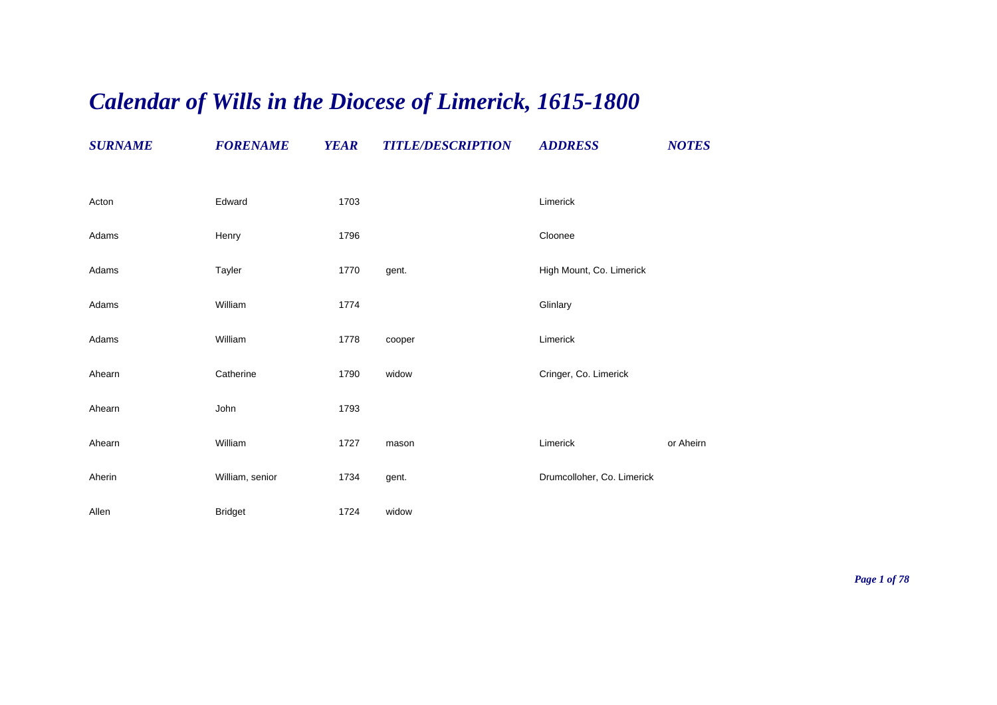## *Calendar of Wills in the Diocese of Limerick, 1615-1800*

| <b>SURNAME</b> | <b>FORENAME</b> | <b>YEAR</b> | <b>TITLE/DESCRIPTION</b> | <b>ADDRESS</b>             | <b>NOTES</b> |
|----------------|-----------------|-------------|--------------------------|----------------------------|--------------|
| Acton          | Edward          | 1703        |                          | Limerick                   |              |
| Adams          | Henry           | 1796        |                          | Cloonee                    |              |
| Adams          | Tayler          | 1770        | gent.                    | High Mount, Co. Limerick   |              |
| Adams          | William         | 1774        |                          | Glinlary                   |              |
| Adams          | William         | 1778        | cooper                   | Limerick                   |              |
| Ahearn         | Catherine       | 1790        | widow                    | Cringer, Co. Limerick      |              |
| Ahearn         | John            | 1793        |                          |                            |              |
| Ahearn         | William         | 1727        | mason                    | Limerick                   | or Aheirn    |
| Aherin         | William, senior | 1734        | gent.                    | Drumcolloher, Co. Limerick |              |
| Allen          | <b>Bridget</b>  | 1724        | widow                    |                            |              |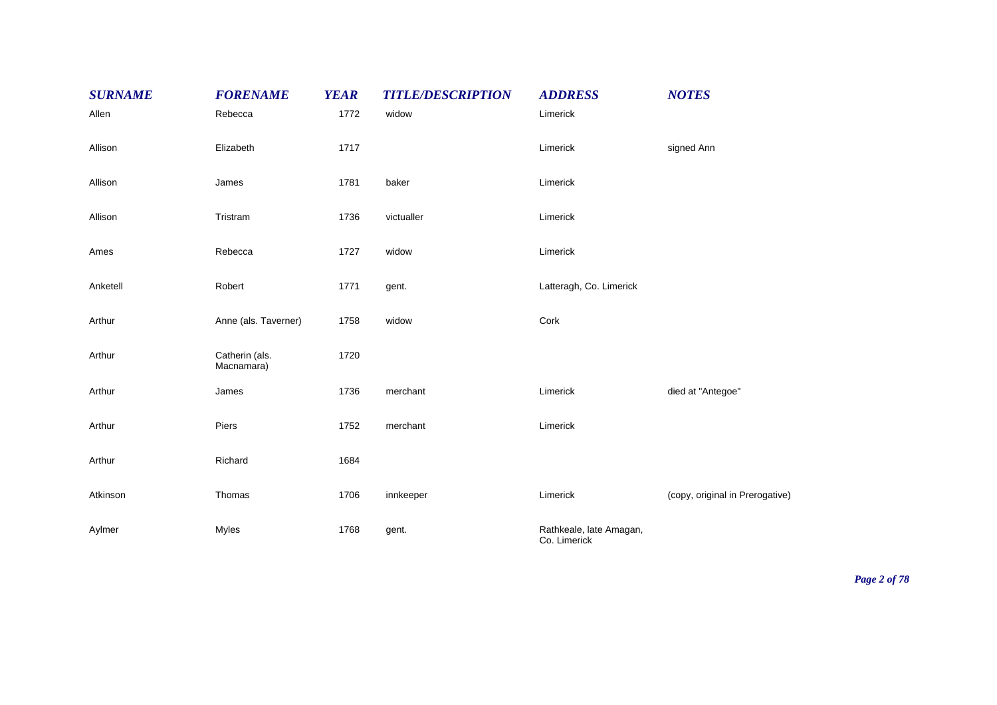| <b>SURNAME</b> | <b>FORENAME</b>              | <b>YEAR</b> | <b>TITLE/DESCRIPTION</b> | <b>ADDRESS</b>                          | <b>NOTES</b>                    |
|----------------|------------------------------|-------------|--------------------------|-----------------------------------------|---------------------------------|
| Allen          | Rebecca                      | 1772        | widow                    | Limerick                                |                                 |
| Allison        | Elizabeth                    | 1717        |                          | Limerick                                | signed Ann                      |
| Allison        | James                        | 1781        | baker                    | Limerick                                |                                 |
| Allison        | Tristram                     | 1736        | victualler               | Limerick                                |                                 |
| Ames           | Rebecca                      | 1727        | widow                    | Limerick                                |                                 |
| Anketell       | Robert                       | 1771        | gent.                    | Latteragh, Co. Limerick                 |                                 |
| Arthur         | Anne (als. Taverner)         | 1758        | widow                    | Cork                                    |                                 |
| Arthur         | Catherin (als.<br>Macnamara) | 1720        |                          |                                         |                                 |
| Arthur         | James                        | 1736        | merchant                 | Limerick                                | died at "Antegoe"               |
| Arthur         | Piers                        | 1752        | merchant                 | Limerick                                |                                 |
| Arthur         | Richard                      | 1684        |                          |                                         |                                 |
| Atkinson       | Thomas                       | 1706        | innkeeper                | Limerick                                | (copy, original in Prerogative) |
| Aylmer         | <b>Myles</b>                 | 1768        | gent.                    | Rathkeale, late Amagan,<br>Co. Limerick |                                 |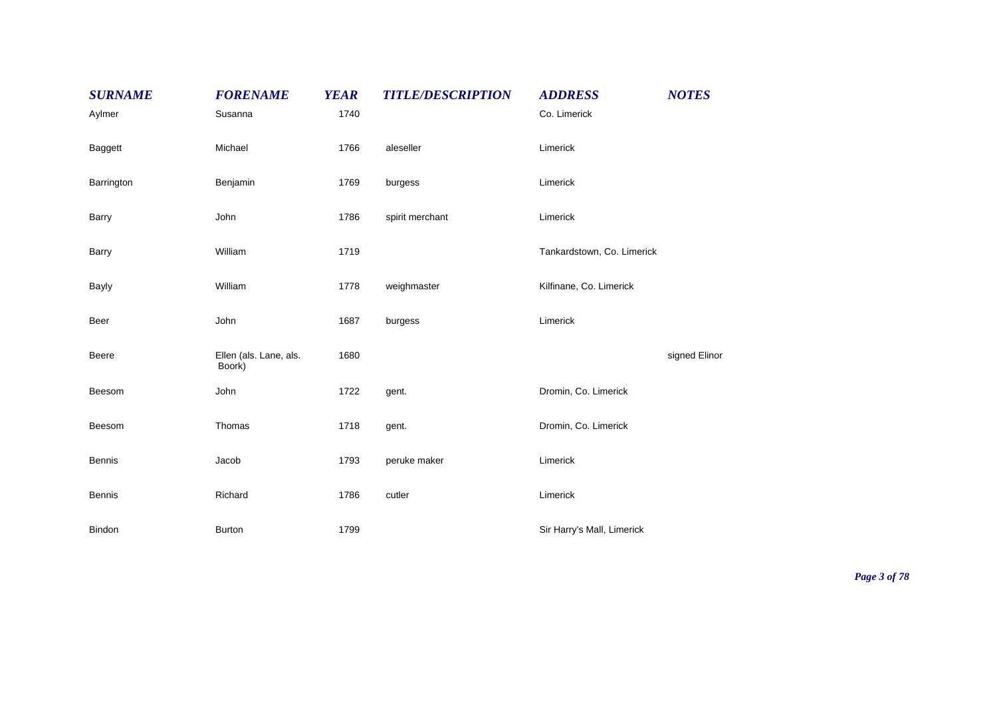| <b>SURNAME</b> | <b>FORENAME</b>                  | <b>YEAR</b> | <b>TITLE/DESCRIPTION</b> | <b>ADDRESS</b>             | <b>NOTES</b>  |
|----------------|----------------------------------|-------------|--------------------------|----------------------------|---------------|
| Aylmer         | Susanna                          | 1740        |                          | Co. Limerick               |               |
| Baggett        | Michael                          | 1766        | aleseller                | Limerick                   |               |
| Barrington     | Benjamin                         | 1769        | burgess                  | Limerick                   |               |
| Barry          | John                             | 1786        | spirit merchant          | Limerick                   |               |
| <b>Barry</b>   | William                          | 1719        |                          | Tankardstown, Co. Limerick |               |
| <b>Bayly</b>   | William                          | 1778        | weighmaster              | Kilfinane, Co. Limerick    |               |
| Beer           | John                             | 1687        | burgess                  | Limerick                   |               |
| <b>Beere</b>   | Ellen (als. Lane, als.<br>Boork) | 1680        |                          |                            | signed Elinor |
| Beesom         | John                             | 1722        | gent.                    | Dromin, Co. Limerick       |               |
| Beesom         | Thomas                           | 1718        | gent.                    | Dromin, Co. Limerick       |               |
| <b>Bennis</b>  | Jacob                            | 1793        | peruke maker             | Limerick                   |               |
| <b>Bennis</b>  | Richard                          | 1786        | cutler                   | Limerick                   |               |
| Bindon         | <b>Burton</b>                    | 1799        |                          | Sir Harry's Mall, Limerick |               |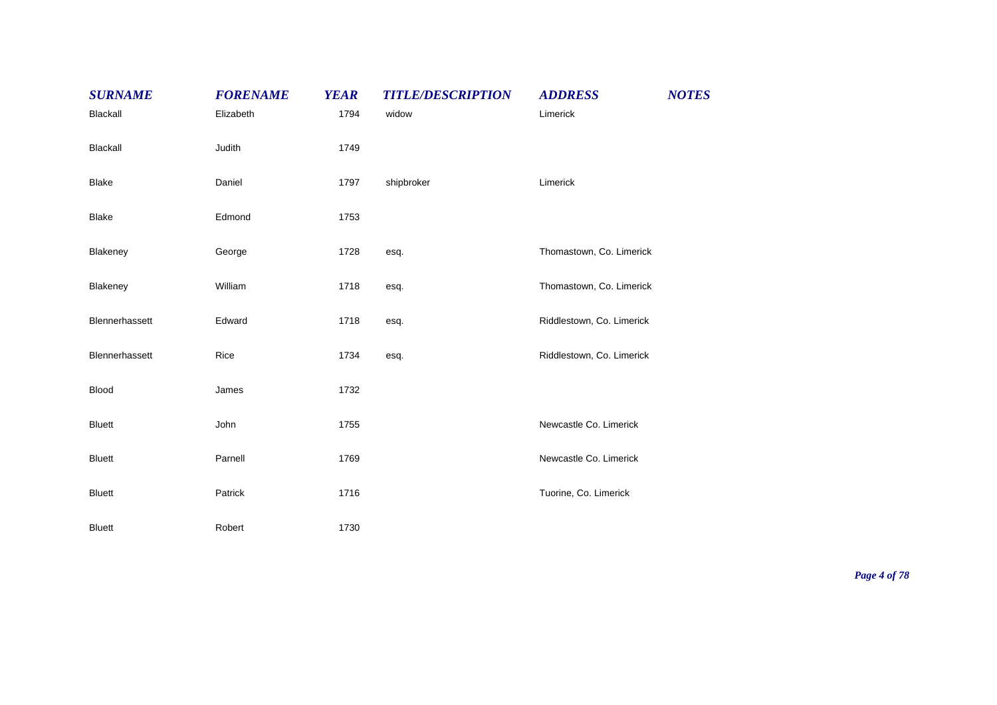| <b>SURNAME</b> | <b>FORENAME</b> | <b>YEAR</b> | <b>TITLE/DESCRIPTION</b> | <b>ADDRESS</b>            | <b>NOTES</b> |
|----------------|-----------------|-------------|--------------------------|---------------------------|--------------|
| Blackall       | Elizabeth       | 1794        | widow                    | Limerick                  |              |
| Blackall       | Judith          | 1749        |                          |                           |              |
| <b>Blake</b>   | Daniel          | 1797        | shipbroker               | Limerick                  |              |
| <b>Blake</b>   | Edmond          | 1753        |                          |                           |              |
| Blakeney       | George          | 1728        | esq.                     | Thomastown, Co. Limerick  |              |
| Blakeney       | William         | 1718        | esq.                     | Thomastown, Co. Limerick  |              |
| Blennerhassett | Edward          | 1718        | esq.                     | Riddlestown, Co. Limerick |              |
| Blennerhassett | Rice            | 1734        | esq.                     | Riddlestown, Co. Limerick |              |
| Blood          | James           | 1732        |                          |                           |              |
| <b>Bluett</b>  | John            | 1755        |                          | Newcastle Co. Limerick    |              |
| <b>Bluett</b>  | Parnell         | 1769        |                          | Newcastle Co. Limerick    |              |
| <b>Bluett</b>  | Patrick         | 1716        |                          | Tuorine, Co. Limerick     |              |
| <b>Bluett</b>  | Robert          | 1730        |                          |                           |              |

*Page 4 of 78*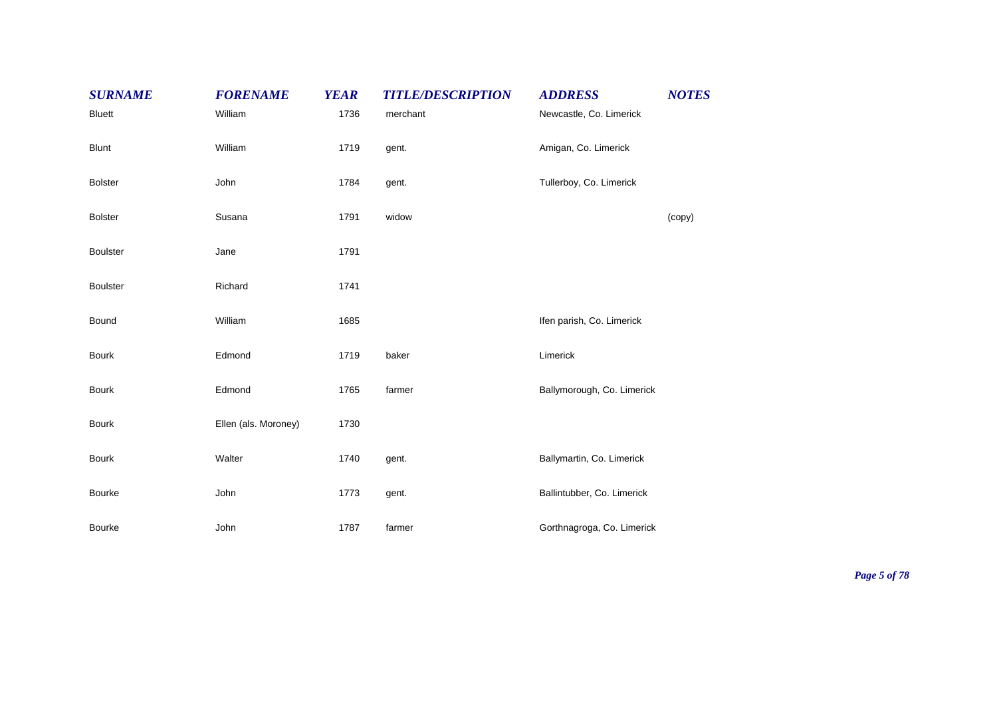| <b>SURNAME</b>  | <b>FORENAME</b>      | <b>YEAR</b> | <b>TITLE/DESCRIPTION</b> | <b>ADDRESS</b>             | <b>NOTES</b> |
|-----------------|----------------------|-------------|--------------------------|----------------------------|--------------|
| <b>Bluett</b>   | William              | 1736        | merchant                 | Newcastle, Co. Limerick    |              |
| <b>Blunt</b>    | William              | 1719        | gent.                    | Amigan, Co. Limerick       |              |
| <b>Bolster</b>  | John                 | 1784        | gent.                    | Tullerboy, Co. Limerick    |              |
| <b>Bolster</b>  | Susana               | 1791        | widow                    |                            | (copy)       |
| <b>Boulster</b> | Jane                 | 1791        |                          |                            |              |
| <b>Boulster</b> | Richard              | 1741        |                          |                            |              |
| Bound           | William              | 1685        |                          | Ifen parish, Co. Limerick  |              |
| <b>Bourk</b>    | Edmond               | 1719        | baker                    | Limerick                   |              |
| <b>Bourk</b>    | Edmond               | 1765        | farmer                   | Ballymorough, Co. Limerick |              |
| <b>Bourk</b>    | Ellen (als. Moroney) | 1730        |                          |                            |              |
| <b>Bourk</b>    | Walter               | 1740        | gent.                    | Ballymartin, Co. Limerick  |              |
| Bourke          | John                 | 1773        | gent.                    | Ballintubber, Co. Limerick |              |
| <b>Bourke</b>   | John                 | 1787        | farmer                   | Gorthnagroga, Co. Limerick |              |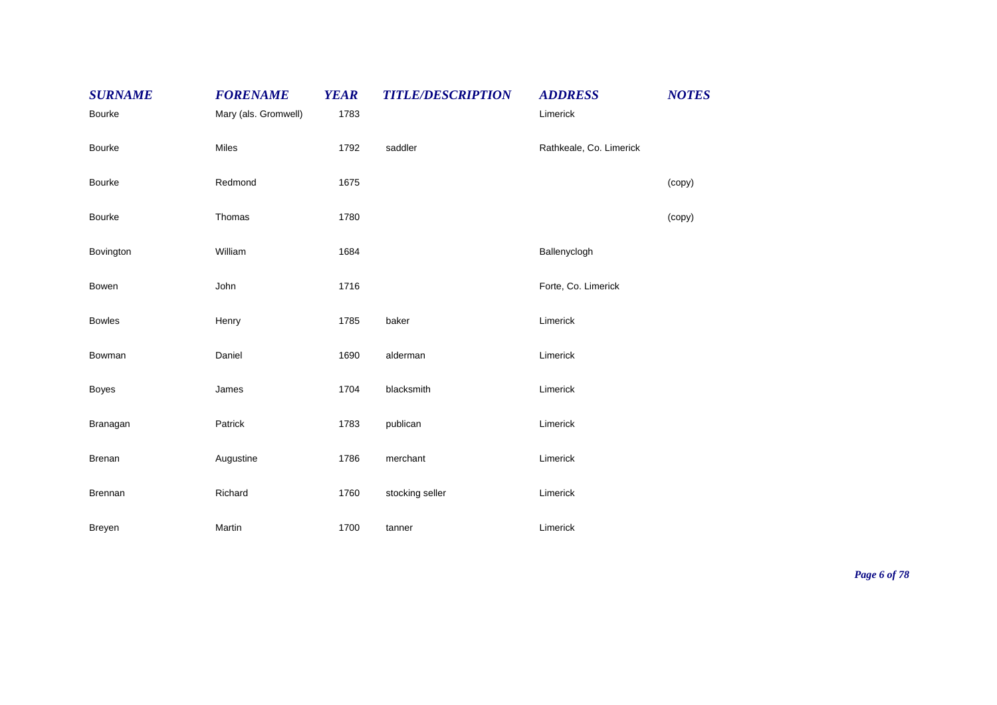| <b>SURNAME</b> | <b>FORENAME</b>      | <b>YEAR</b> | <b>TITLE/DESCRIPTION</b> | <b>ADDRESS</b>          | <b>NOTES</b> |
|----------------|----------------------|-------------|--------------------------|-------------------------|--------------|
| <b>Bourke</b>  | Mary (als. Gromwell) | 1783        |                          | Limerick                |              |
| <b>Bourke</b>  | Miles                | 1792        | saddler                  | Rathkeale, Co. Limerick |              |
| <b>Bourke</b>  | Redmond              | 1675        |                          |                         | (copy)       |
| Bourke         | Thomas               | 1780        |                          |                         | (copy)       |
| Bovington      | William              | 1684        |                          | Ballenyclogh            |              |
| Bowen          | John                 | 1716        |                          | Forte, Co. Limerick     |              |
| <b>Bowles</b>  | Henry                | 1785        | baker                    | Limerick                |              |
| Bowman         | Daniel               | 1690        | alderman                 | Limerick                |              |
| <b>Boyes</b>   | James                | 1704        | blacksmith               | Limerick                |              |
| Branagan       | Patrick              | 1783        | publican                 | Limerick                |              |
| Brenan         | Augustine            | 1786        | merchant                 | Limerick                |              |
| Brennan        | Richard              | 1760        | stocking seller          | Limerick                |              |
| Breyen         | Martin               | 1700        | tanner                   | Limerick                |              |

*Page 6 of 78*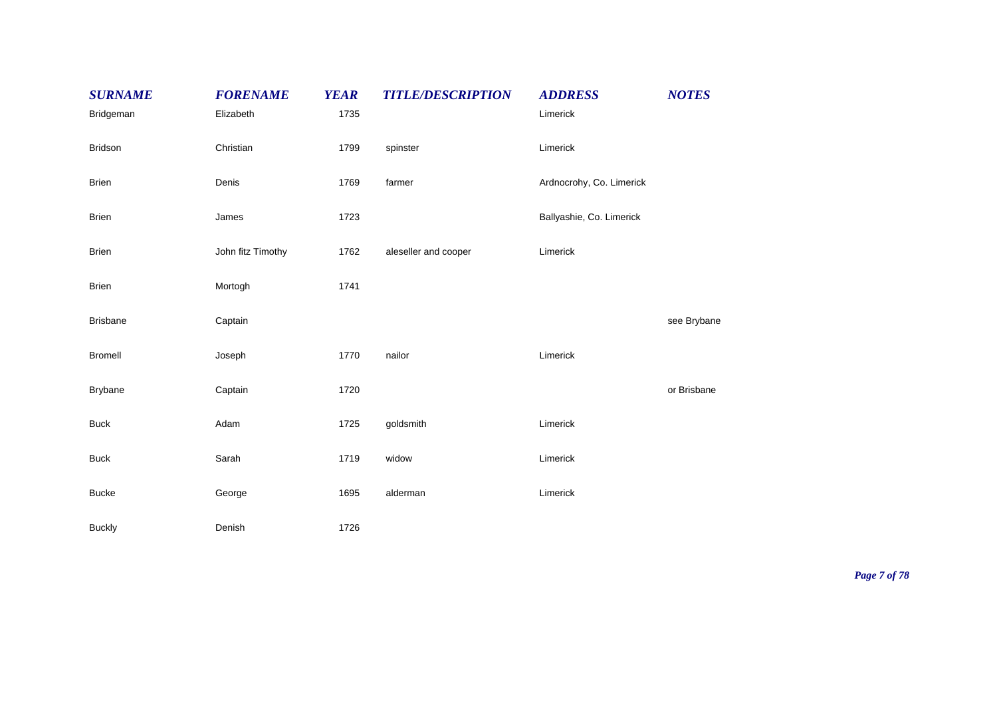| <b>SURNAME</b>  | <b>FORENAME</b>   | <b>YEAR</b> | <b>TITLE/DESCRIPTION</b> | <b>ADDRESS</b>           | <b>NOTES</b> |
|-----------------|-------------------|-------------|--------------------------|--------------------------|--------------|
| Bridgeman       | Elizabeth         | 1735        |                          | Limerick                 |              |
| Bridson         | Christian         | 1799        | spinster                 | Limerick                 |              |
| <b>Brien</b>    | Denis             | 1769        | farmer                   | Ardnocrohy, Co. Limerick |              |
| <b>Brien</b>    | James             | 1723        |                          | Ballyashie, Co. Limerick |              |
| <b>Brien</b>    | John fitz Timothy | 1762        | aleseller and cooper     | Limerick                 |              |
| <b>Brien</b>    | Mortogh           | 1741        |                          |                          |              |
| <b>Brisbane</b> | Captain           |             |                          |                          | see Brybane  |
| <b>Bromell</b>  | Joseph            | 1770        | nailor                   | Limerick                 |              |
| <b>Brybane</b>  | Captain           | 1720        |                          |                          | or Brisbane  |
| <b>Buck</b>     | Adam              | 1725        | goldsmith                | Limerick                 |              |
| <b>Buck</b>     | Sarah             | 1719        | widow                    | Limerick                 |              |
| <b>Bucke</b>    | George            | 1695        | alderman                 | Limerick                 |              |
| <b>Buckly</b>   | Denish            | 1726        |                          |                          |              |

*Page 7 of 78*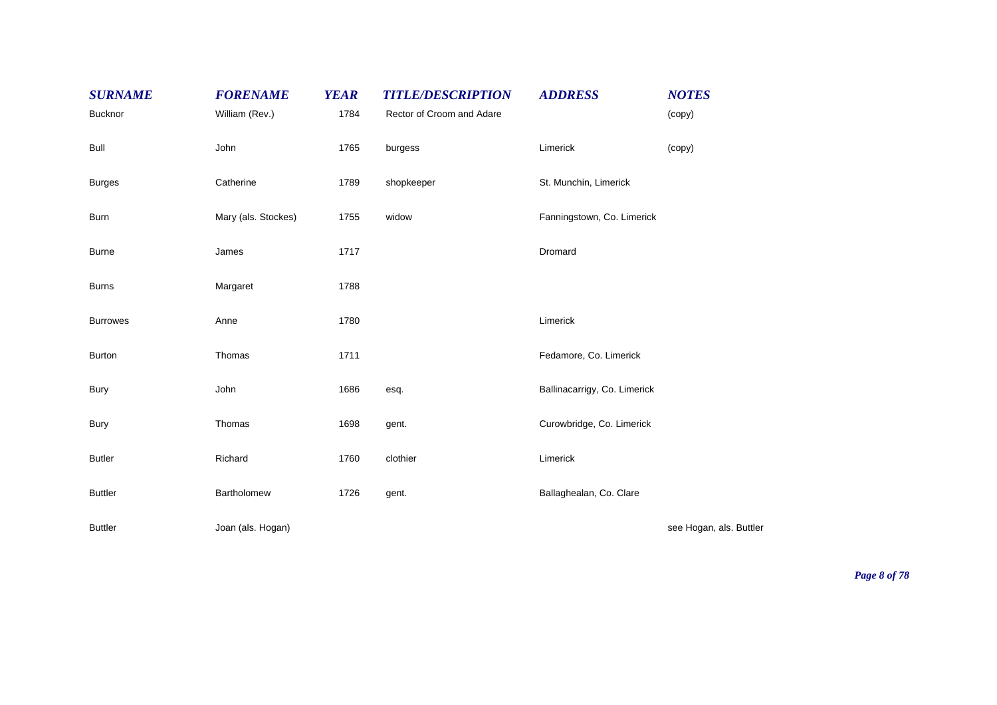| <b>SURNAME</b><br><b>Bucknor</b> | <b>FORENAME</b><br>William (Rev.) | <b>YEAR</b><br>1784 | <b>TITLE/DESCRIPTION</b><br>Rector of Croom and Adare | <b>ADDRESS</b>               | <b>NOTES</b><br>(copy)  |
|----------------------------------|-----------------------------------|---------------------|-------------------------------------------------------|------------------------------|-------------------------|
|                                  |                                   |                     |                                                       |                              |                         |
| <b>Bull</b>                      | John                              | 1765                | burgess                                               | Limerick                     | (copy)                  |
| <b>Burges</b>                    | Catherine                         | 1789                | shopkeeper                                            | St. Munchin, Limerick        |                         |
| <b>Burn</b>                      | Mary (als. Stockes)               | 1755                | widow                                                 | Fanningstown, Co. Limerick   |                         |
| <b>Burne</b>                     | James                             | 1717                |                                                       | Dromard                      |                         |
| <b>Burns</b>                     | Margaret                          | 1788                |                                                       |                              |                         |
| <b>Burrowes</b>                  | Anne                              | 1780                |                                                       | Limerick                     |                         |
| <b>Burton</b>                    | Thomas                            | 1711                |                                                       | Fedamore, Co. Limerick       |                         |
| <b>Bury</b>                      | John                              | 1686                | esq.                                                  | Ballinacarrigy, Co. Limerick |                         |
| Bury                             | Thomas                            | 1698                | gent.                                                 | Curowbridge, Co. Limerick    |                         |
| <b>Butler</b>                    | Richard                           | 1760                | clothier                                              | Limerick                     |                         |
| <b>Buttler</b>                   | Bartholomew                       | 1726                | gent.                                                 | Ballaghealan, Co. Clare      |                         |
| <b>Buttler</b>                   | Joan (als. Hogan)                 |                     |                                                       |                              | see Hogan, als. Buttler |

*Page 8 of 78*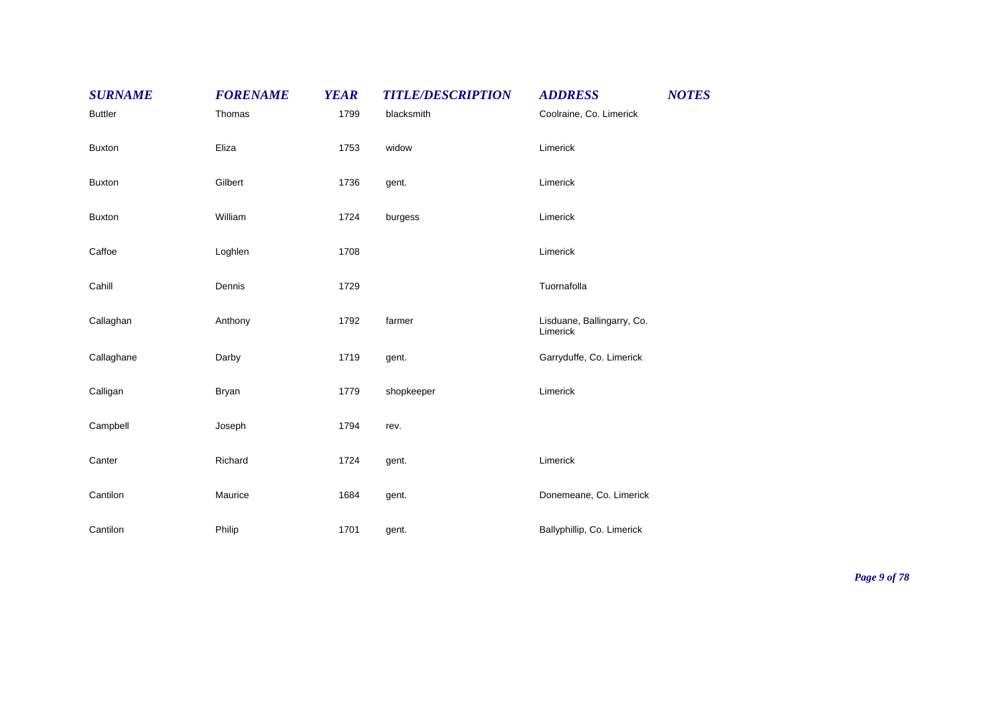| <b>SURNAME</b> | <b>FORENAME</b> | <b>YEAR</b> | <b>TITLE/DESCRIPTION</b> | <b>ADDRESS</b>                         | <b>NOTES</b> |
|----------------|-----------------|-------------|--------------------------|----------------------------------------|--------------|
| <b>Buttler</b> | Thomas          | 1799        | blacksmith               | Coolraine, Co. Limerick                |              |
| <b>Buxton</b>  | Eliza           | 1753        | widow                    | Limerick                               |              |
| <b>Buxton</b>  | Gilbert         | 1736        | gent.                    | Limerick                               |              |
| <b>Buxton</b>  | William         | 1724        | burgess                  | Limerick                               |              |
| Caffoe         | Loghlen         | 1708        |                          | Limerick                               |              |
| Cahill         | Dennis          | 1729        |                          | Tuornafolla                            |              |
| Callaghan      | Anthony         | 1792        | farmer                   | Lisduane, Ballingarry, Co.<br>Limerick |              |
| Callaghane     | Darby           | 1719        | gent.                    | Garryduffe, Co. Limerick               |              |
| Calligan       | <b>Bryan</b>    | 1779        | shopkeeper               | Limerick                               |              |
| Campbell       | Joseph          | 1794        | rev.                     |                                        |              |
| Canter         | Richard         | 1724        | gent.                    | Limerick                               |              |
| Cantilon       | Maurice         | 1684        | gent.                    | Donemeane, Co. Limerick                |              |
| Cantilon       | Philip          | 1701        | gent.                    | Ballyphillip, Co. Limerick             |              |

*Page 9 of 78*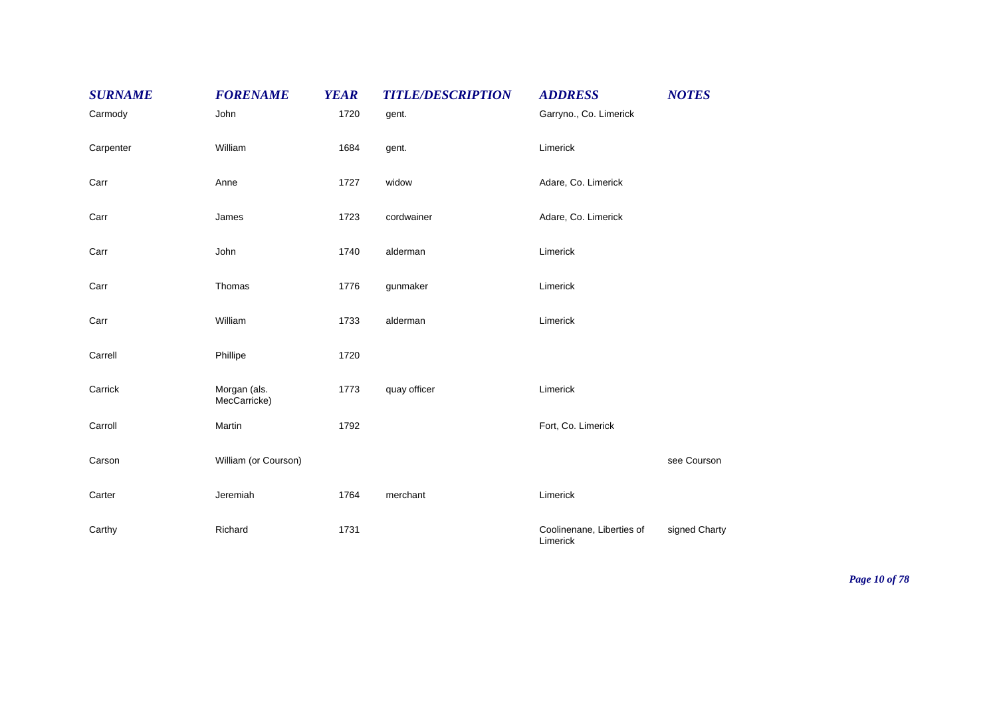| <b>SURNAME</b> | <b>FORENAME</b>              | <b>YEAR</b> | <b>TITLE/DESCRIPTION</b> | <b>ADDRESS</b>                        | <b>NOTES</b>  |
|----------------|------------------------------|-------------|--------------------------|---------------------------------------|---------------|
| Carmody        | John                         | 1720        | gent.                    | Garryno., Co. Limerick                |               |
| Carpenter      | William                      | 1684        | gent.                    | Limerick                              |               |
| Carr           | Anne                         | 1727        | widow                    | Adare, Co. Limerick                   |               |
| Carr           | James                        | 1723        | cordwainer               | Adare, Co. Limerick                   |               |
| Carr           | John                         | 1740        | alderman                 | Limerick                              |               |
| Carr           | Thomas                       | 1776        | gunmaker                 | Limerick                              |               |
| Carr           | William                      | 1733        | alderman                 | Limerick                              |               |
| Carrell        | Phillipe                     | 1720        |                          |                                       |               |
| Carrick        | Morgan (als.<br>MecCarricke) | 1773        | quay officer             | Limerick                              |               |
| Carroll        | Martin                       | 1792        |                          | Fort, Co. Limerick                    |               |
| Carson         | William (or Courson)         |             |                          |                                       | see Courson   |
| Carter         | Jeremiah                     | 1764        | merchant                 | Limerick                              |               |
| Carthy         | Richard                      | 1731        |                          | Coolinenane, Liberties of<br>Limerick | signed Charty |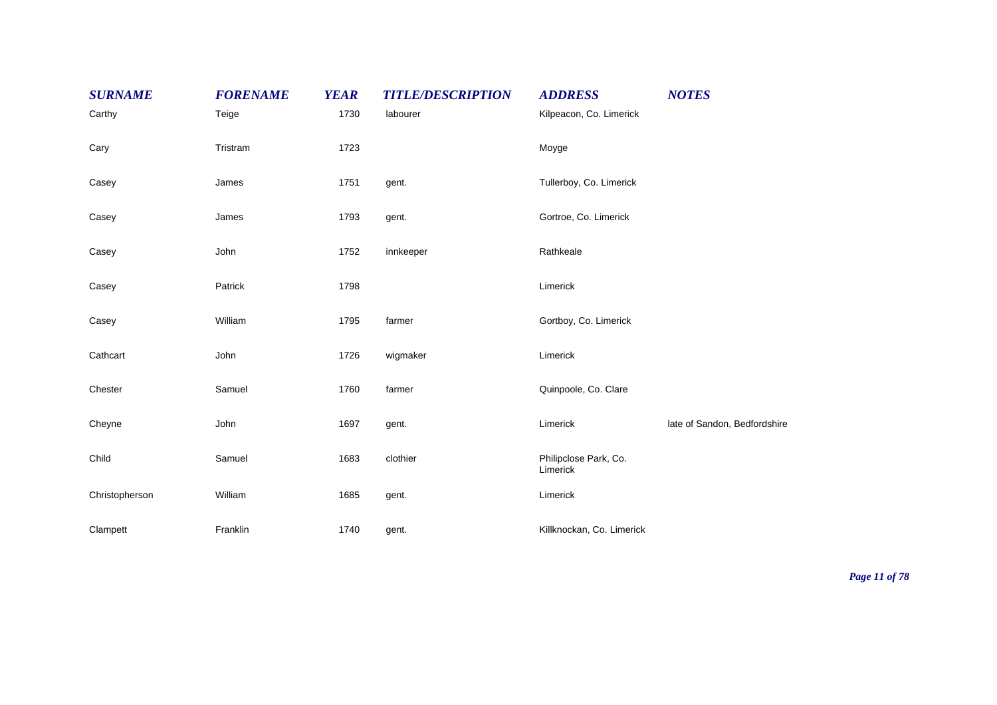| <b>SURNAME</b> | <b>FORENAME</b> | <b>YEAR</b> | <b>TITLE/DESCRIPTION</b> | <b>ADDRESS</b>                    | <b>NOTES</b>                 |
|----------------|-----------------|-------------|--------------------------|-----------------------------------|------------------------------|
| Carthy         | Teige           | 1730        | labourer                 | Kilpeacon, Co. Limerick           |                              |
| Cary           | Tristram        | 1723        |                          | Moyge                             |                              |
| Casey          | James           | 1751        | gent.                    | Tullerboy, Co. Limerick           |                              |
| Casey          | James           | 1793        | gent.                    | Gortroe, Co. Limerick             |                              |
| Casey          | John            | 1752        | innkeeper                | Rathkeale                         |                              |
| Casey          | Patrick         | 1798        |                          | Limerick                          |                              |
| Casey          | William         | 1795        | farmer                   | Gortboy, Co. Limerick             |                              |
| Cathcart       | John            | 1726        | wigmaker                 | Limerick                          |                              |
| Chester        | Samuel          | 1760        | farmer                   | Quinpoole, Co. Clare              |                              |
| Cheyne         | John            | 1697        | gent.                    | Limerick                          | late of Sandon, Bedfordshire |
| Child          | Samuel          | 1683        | clothier                 | Philipclose Park, Co.<br>Limerick |                              |
| Christopherson | William         | 1685        | gent.                    | Limerick                          |                              |
| Clampett       | Franklin        | 1740        | gent.                    | Killknockan, Co. Limerick         |                              |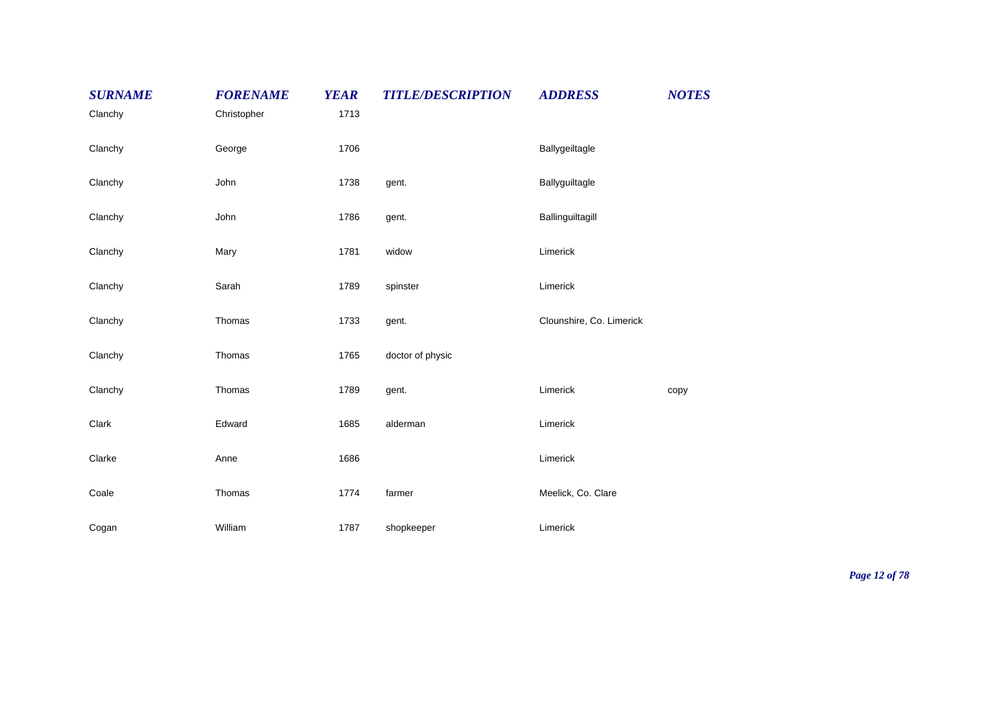| <b>SURNAME</b><br>Clanchy | <b>FORENAME</b><br>Christopher | <b>YEAR</b><br>1713 | <b>TITLE/DESCRIPTION</b> | <b>ADDRESS</b>           | <b>NOTES</b> |
|---------------------------|--------------------------------|---------------------|--------------------------|--------------------------|--------------|
| Clanchy                   | George                         | 1706                |                          | Ballygeiltagle           |              |
| Clanchy                   | John                           | 1738                | gent.                    | Ballyguiltagle           |              |
| Clanchy                   | John                           | 1786                | gent.                    | Ballinguiltagill         |              |
| Clanchy                   | Mary                           | 1781                | widow                    | Limerick                 |              |
| Clanchy                   | Sarah                          | 1789                | spinster                 | Limerick                 |              |
| Clanchy                   | Thomas                         | 1733                | gent.                    | Clounshire, Co. Limerick |              |
| Clanchy                   | Thomas                         | 1765                | doctor of physic         |                          |              |
| Clanchy                   | Thomas                         | 1789                | gent.                    | Limerick                 | copy         |
| Clark                     | Edward                         | 1685                | alderman                 | Limerick                 |              |
| Clarke                    | Anne                           | 1686                |                          | Limerick                 |              |
| Coale                     | Thomas                         | 1774                | farmer                   | Meelick, Co. Clare       |              |
| Cogan                     | William                        | 1787                | shopkeeper               | Limerick                 |              |

*Page 12 of 78*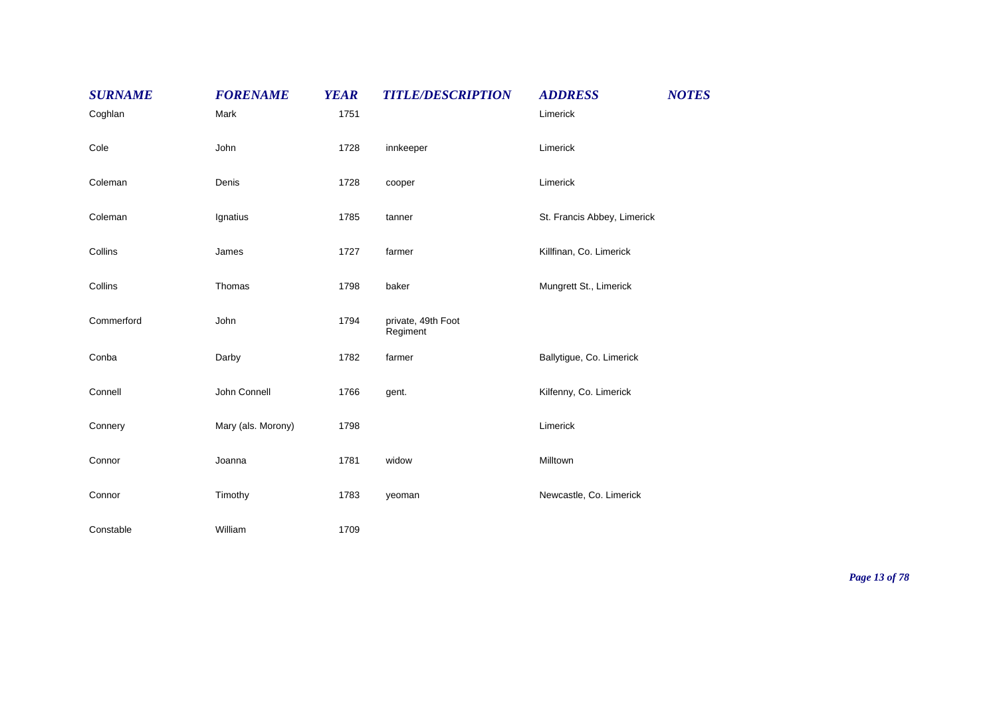| <b>SURNAME</b> | <b>FORENAME</b>    | <b>YEAR</b> | <b>TITLE/DESCRIPTION</b>       | <b>ADDRESS</b>              | <b>NOTES</b> |
|----------------|--------------------|-------------|--------------------------------|-----------------------------|--------------|
| Coghlan        | Mark               | 1751        |                                | Limerick                    |              |
| Cole           | John               | 1728        | innkeeper                      | Limerick                    |              |
| Coleman        | Denis              | 1728        | cooper                         | Limerick                    |              |
| Coleman        | Ignatius           | 1785        | tanner                         | St. Francis Abbey, Limerick |              |
| Collins        | James              | 1727        | farmer                         | Killfinan, Co. Limerick     |              |
| Collins        | Thomas             | 1798        | baker                          | Mungrett St., Limerick      |              |
| Commerford     | John               | 1794        | private, 49th Foot<br>Regiment |                             |              |
| Conba          | Darby              | 1782        | farmer                         | Ballytigue, Co. Limerick    |              |
| Connell        | John Connell       | 1766        | gent.                          | Kilfenny, Co. Limerick      |              |
| Connery        | Mary (als. Morony) | 1798        |                                | Limerick                    |              |
| Connor         | Joanna             | 1781        | widow                          | Milltown                    |              |
| Connor         | Timothy            | 1783        | yeoman                         | Newcastle, Co. Limerick     |              |
| Constable      | William            | 1709        |                                |                             |              |

*Page 13 of 78*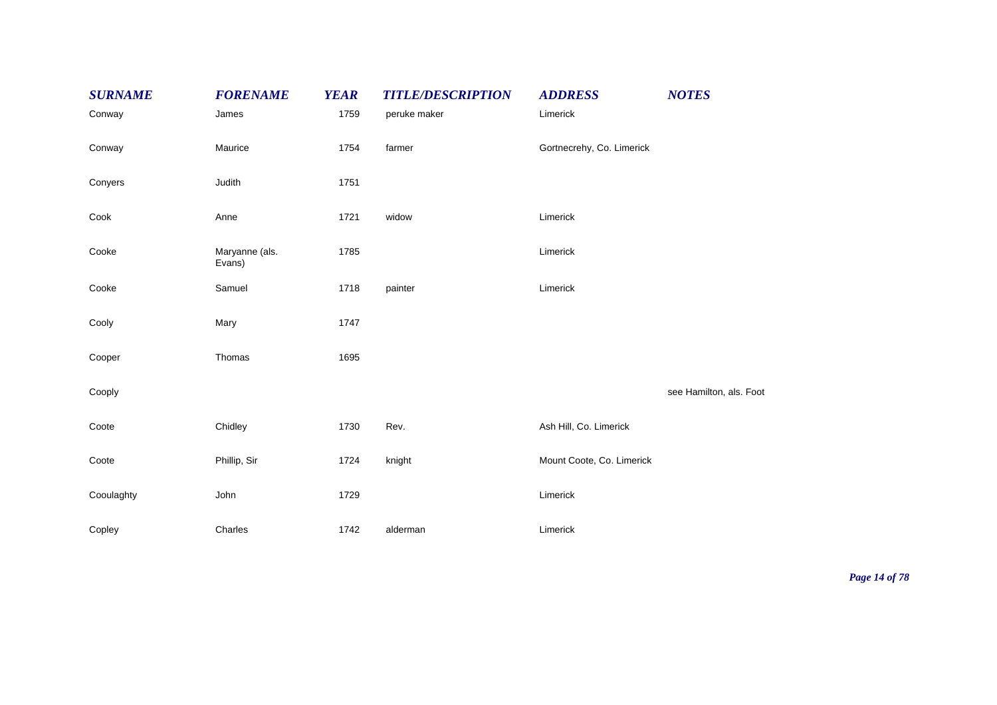| <b>SURNAME</b> | <b>FORENAME</b>          | <b>YEAR</b> | <b>TITLE/DESCRIPTION</b> | <b>ADDRESS</b>            | <b>NOTES</b>            |
|----------------|--------------------------|-------------|--------------------------|---------------------------|-------------------------|
| Conway         | James                    | 1759        | peruke maker             | Limerick                  |                         |
| Conway         | Maurice                  | 1754        | farmer                   | Gortnecrehy, Co. Limerick |                         |
| Conyers        | Judith                   | 1751        |                          |                           |                         |
| Cook           | Anne                     | 1721        | widow                    | Limerick                  |                         |
| Cooke          | Maryanne (als.<br>Evans) | 1785        |                          | Limerick                  |                         |
| Cooke          | Samuel                   | 1718        | painter                  | Limerick                  |                         |
| Cooly          | Mary                     | 1747        |                          |                           |                         |
| Cooper         | Thomas                   | 1695        |                          |                           |                         |
| Cooply         |                          |             |                          |                           | see Hamilton, als. Foot |
| Coote          | Chidley                  | 1730        | Rev.                     | Ash Hill, Co. Limerick    |                         |
| Coote          | Phillip, Sir             | 1724        | knight                   | Mount Coote, Co. Limerick |                         |
| Cooulaghty     | John                     | 1729        |                          | Limerick                  |                         |
| Copley         | Charles                  | 1742        | alderman                 | Limerick                  |                         |

*Page 14 of 78*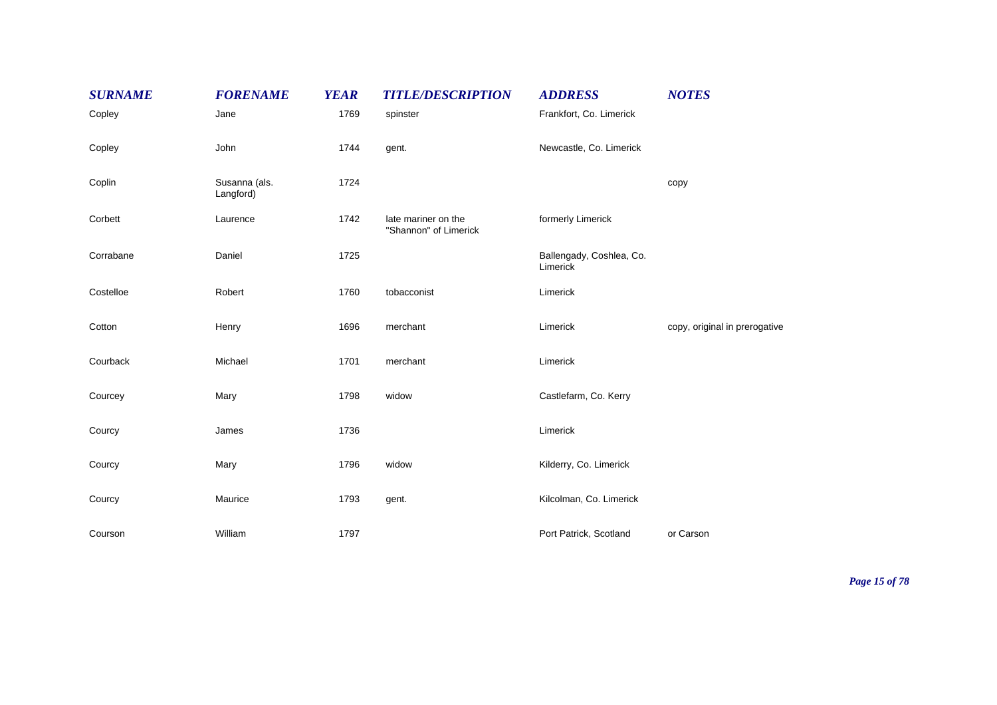| <b>SURNAME</b> | <b>FORENAME</b>            | <b>YEAR</b> | <b>TITLE/DESCRIPTION</b>                     | <b>ADDRESS</b>                       | <b>NOTES</b>                  |
|----------------|----------------------------|-------------|----------------------------------------------|--------------------------------------|-------------------------------|
| Copley         | Jane                       | 1769        | spinster                                     | Frankfort, Co. Limerick              |                               |
| Copley         | John                       | 1744        | gent.                                        | Newcastle, Co. Limerick              |                               |
| Coplin         | Susanna (als.<br>Langford) | 1724        |                                              |                                      | copy                          |
| Corbett        | Laurence                   | 1742        | late mariner on the<br>"Shannon" of Limerick | formerly Limerick                    |                               |
| Corrabane      | Daniel                     | 1725        |                                              | Ballengady, Coshlea, Co.<br>Limerick |                               |
| Costelloe      | Robert                     | 1760        | tobacconist                                  | Limerick                             |                               |
| Cotton         | Henry                      | 1696        | merchant                                     | Limerick                             | copy, original in prerogative |
| Courback       | Michael                    | 1701        | merchant                                     | Limerick                             |                               |
| Courcey        | Mary                       | 1798        | widow                                        | Castlefarm, Co. Kerry                |                               |
| Courcy         | James                      | 1736        |                                              | Limerick                             |                               |
| Courcy         | Mary                       | 1796        | widow                                        | Kilderry, Co. Limerick               |                               |
| Courcy         | Maurice                    | 1793        | gent.                                        | Kilcolman, Co. Limerick              |                               |
| Courson        | William                    | 1797        |                                              | Port Patrick, Scotland               | or Carson                     |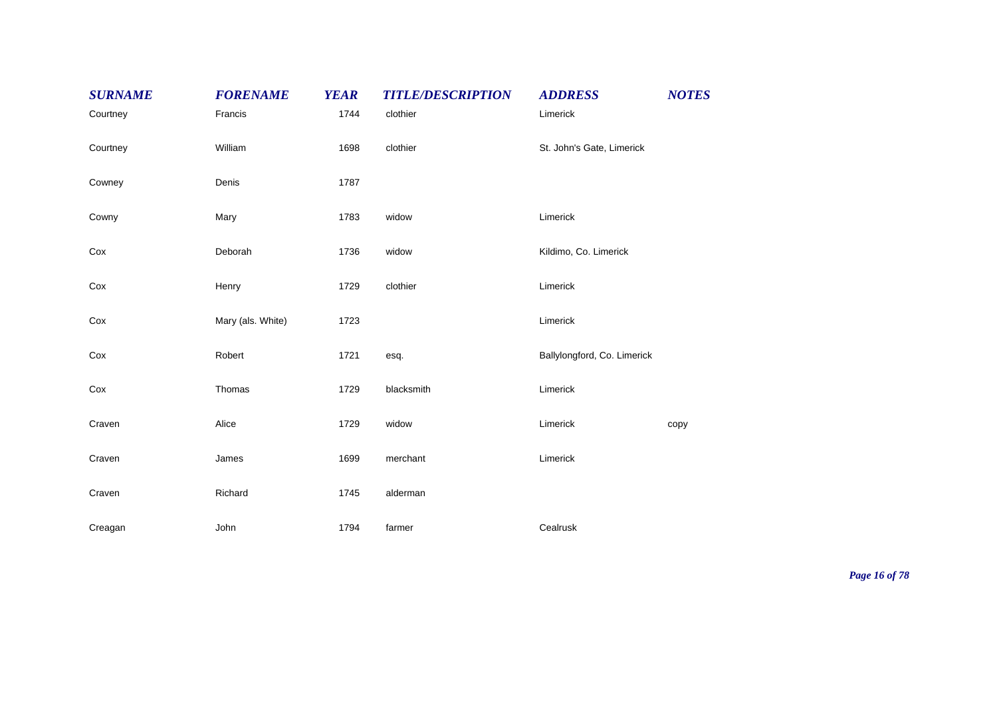| <b>SURNAME</b> | <b>FORENAME</b>   | <b>YEAR</b> | <b>TITLE/DESCRIPTION</b> | <b>ADDRESS</b>              | <b>NOTES</b> |
|----------------|-------------------|-------------|--------------------------|-----------------------------|--------------|
| Courtney       | Francis           | 1744        | clothier                 | Limerick                    |              |
| Courtney       | William           | 1698        | clothier                 | St. John's Gate, Limerick   |              |
| Cowney         | Denis             | 1787        |                          |                             |              |
| Cowny          | Mary              | 1783        | widow                    | Limerick                    |              |
| Cox            | Deborah           | 1736        | widow                    | Kildimo, Co. Limerick       |              |
| Cox            | Henry             | 1729        | clothier                 | Limerick                    |              |
| Cox            | Mary (als. White) | 1723        |                          | Limerick                    |              |
| Cox            | Robert            | 1721        | esq.                     | Ballylongford, Co. Limerick |              |
| Cox            | Thomas            | 1729        | blacksmith               | Limerick                    |              |
| Craven         | Alice             | 1729        | widow                    | Limerick                    | copy         |
| Craven         | James             | 1699        | merchant                 | Limerick                    |              |
| Craven         | Richard           | 1745        | alderman                 |                             |              |
| Creagan        | John              | 1794        | farmer                   | Cealrusk                    |              |

*Page 16 of 78*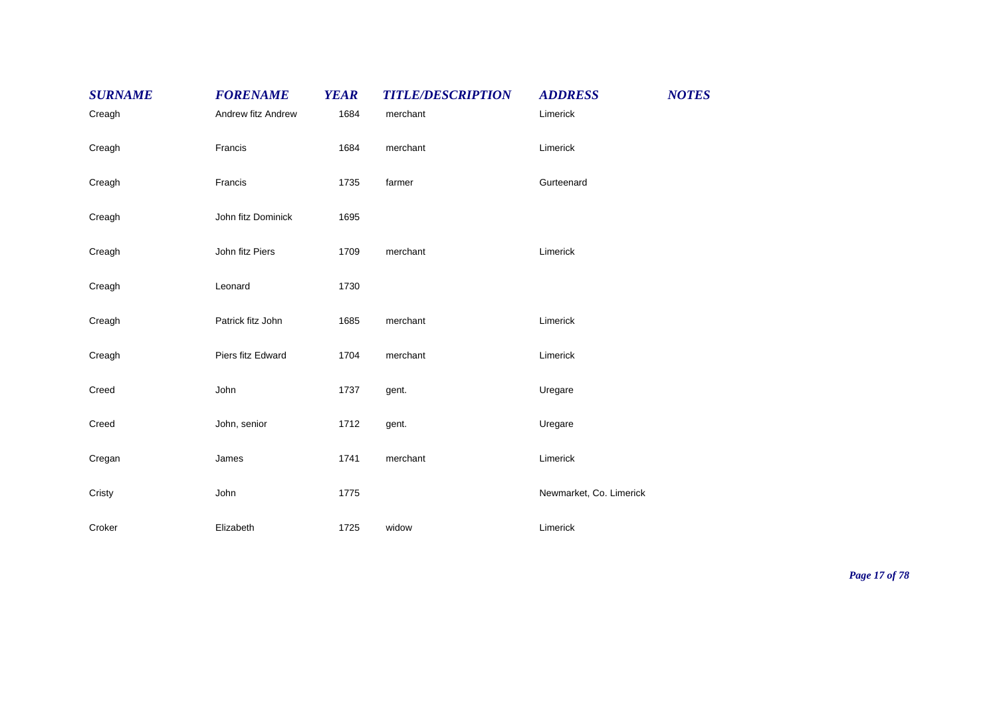| <b>SURNAME</b> | <b>FORENAME</b>    | <b>YEAR</b> | <b>TITLE/DESCRIPTION</b> | <b>ADDRESS</b>          | <b>NOTES</b> |
|----------------|--------------------|-------------|--------------------------|-------------------------|--------------|
| Creagh         | Andrew fitz Andrew | 1684        | merchant                 | Limerick                |              |
| Creagh         | Francis            | 1684        | merchant                 | Limerick                |              |
| Creagh         | Francis            | 1735        | farmer                   | Gurteenard              |              |
| Creagh         | John fitz Dominick | 1695        |                          |                         |              |
| Creagh         | John fitz Piers    | 1709        | merchant                 | Limerick                |              |
| Creagh         | Leonard            | 1730        |                          |                         |              |
| Creagh         | Patrick fitz John  | 1685        | merchant                 | Limerick                |              |
| Creagh         | Piers fitz Edward  | 1704        | merchant                 | Limerick                |              |
| Creed          | John               | 1737        | gent.                    | Uregare                 |              |
| Creed          | John, senior       | 1712        | gent.                    | Uregare                 |              |
| Cregan         | James              | 1741        | merchant                 | Limerick                |              |
| Cristy         | John               | 1775        |                          | Newmarket, Co. Limerick |              |
| Croker         | Elizabeth          | 1725        | widow                    | Limerick                |              |

*Page 17 of 78*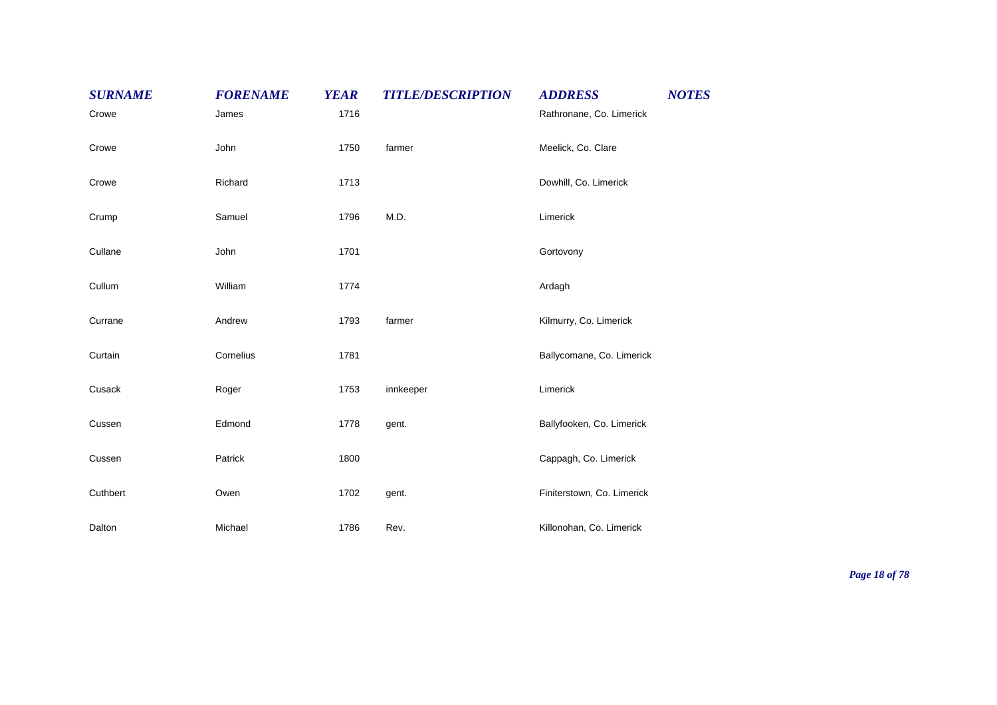| <b>SURNAME</b> | <b>FORENAME</b> | <b>YEAR</b> | <b>TITLE/DESCRIPTION</b> | <b>ADDRESS</b>             | <b>NOTES</b> |
|----------------|-----------------|-------------|--------------------------|----------------------------|--------------|
| Crowe          | James           | 1716        |                          | Rathronane, Co. Limerick   |              |
| Crowe          | John            | 1750        | farmer                   | Meelick, Co. Clare         |              |
| Crowe          | Richard         | 1713        |                          | Dowhill, Co. Limerick      |              |
| Crump          | Samuel          | 1796        | M.D.                     | Limerick                   |              |
| Cullane        | John            | 1701        |                          | Gortovony                  |              |
| Cullum         | William         | 1774        |                          | Ardagh                     |              |
| Currane        | Andrew          | 1793        | farmer                   | Kilmurry, Co. Limerick     |              |
| Curtain        | Cornelius       | 1781        |                          | Ballycomane, Co. Limerick  |              |
| Cusack         | Roger           | 1753        | innkeeper                | Limerick                   |              |
| Cussen         | Edmond          | 1778        | gent.                    | Ballyfooken, Co. Limerick  |              |
| Cussen         | Patrick         | 1800        |                          | Cappagh, Co. Limerick      |              |
| Cuthbert       | Owen            | 1702        | gent.                    | Finiterstown, Co. Limerick |              |
| Dalton         | Michael         | 1786        | Rev.                     | Killonohan, Co. Limerick   |              |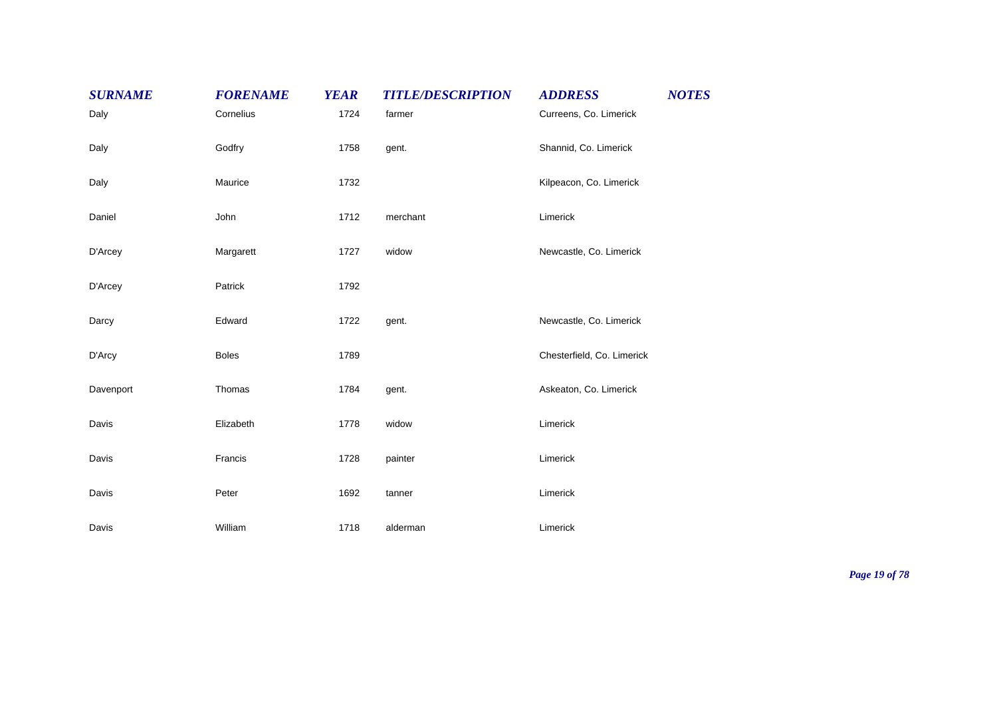| <b>SURNAME</b> | <b>FORENAME</b> | <b>YEAR</b> | <b>TITLE/DESCRIPTION</b> | <b>NOTES</b><br><b>ADDRESS</b> |
|----------------|-----------------|-------------|--------------------------|--------------------------------|
| Daly           | Cornelius       | 1724        | farmer                   | Curreens, Co. Limerick         |
| Daly           | Godfry          | 1758        | gent.                    | Shannid, Co. Limerick          |
| Daly           | Maurice         | 1732        |                          | Kilpeacon, Co. Limerick        |
| Daniel         | John            | 1712        | merchant                 | Limerick                       |
| D'Arcey        | Margarett       | 1727        | widow                    | Newcastle, Co. Limerick        |
| D'Arcey        | Patrick         | 1792        |                          |                                |
| Darcy          | Edward          | 1722        | gent.                    | Newcastle, Co. Limerick        |
| D'Arcy         | <b>Boles</b>    | 1789        |                          | Chesterfield, Co. Limerick     |
| Davenport      | Thomas          | 1784        | gent.                    | Askeaton, Co. Limerick         |
| Davis          | Elizabeth       | 1778        | widow                    | Limerick                       |
| Davis          | Francis         | 1728        | painter                  | Limerick                       |
| Davis          | Peter           | 1692        | tanner                   | Limerick                       |
| Davis          | William         | 1718        | alderman                 | Limerick                       |

*Page 19 of 78*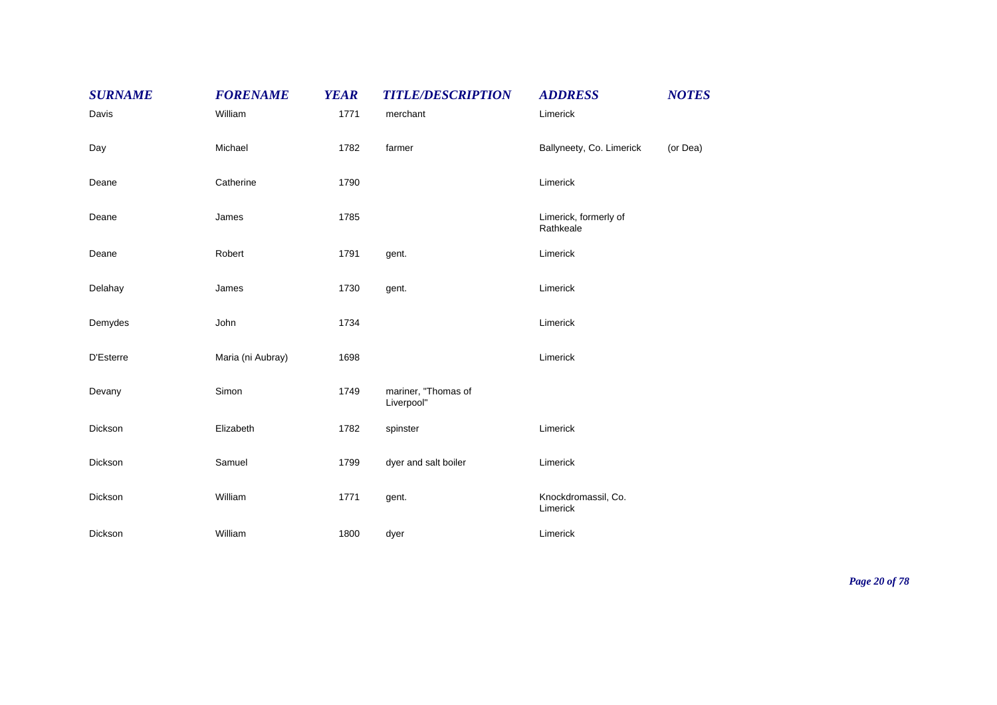| <b>SURNAME</b> | <b>FORENAME</b>   | <b>YEAR</b> | <b>TITLE/DESCRIPTION</b>          | <b>ADDRESS</b>                     | <b>NOTES</b> |
|----------------|-------------------|-------------|-----------------------------------|------------------------------------|--------------|
| Davis          | William           | 1771        | merchant                          | Limerick                           |              |
| Day            | Michael           | 1782        | farmer                            | Ballyneety, Co. Limerick           | (or Dea)     |
| Deane          | Catherine         | 1790        |                                   | Limerick                           |              |
| Deane          | James             | 1785        |                                   | Limerick, formerly of<br>Rathkeale |              |
| Deane          | Robert            | 1791        | gent.                             | Limerick                           |              |
| Delahay        | James             | 1730        | gent.                             | Limerick                           |              |
| Demydes        | John              | 1734        |                                   | Limerick                           |              |
| D'Esterre      | Maria (ni Aubray) | 1698        |                                   | Limerick                           |              |
| Devany         | Simon             | 1749        | mariner, "Thomas of<br>Liverpool" |                                    |              |
| Dickson        | Elizabeth         | 1782        | spinster                          | Limerick                           |              |
| Dickson        | Samuel            | 1799        | dyer and salt boiler              | Limerick                           |              |
| Dickson        | William           | 1771        | gent.                             | Knockdromassil, Co.<br>Limerick    |              |
| Dickson        | William           | 1800        | dyer                              | Limerick                           |              |

*Page 20 of 78*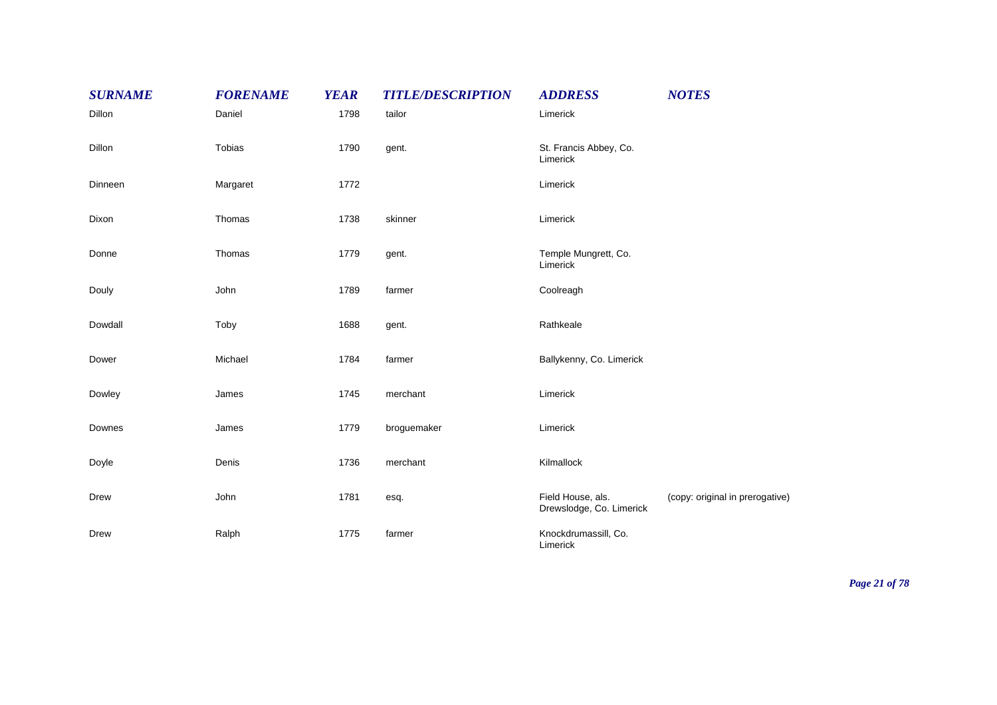| <b>SURNAME</b> | <b>FORENAME</b> | <b>YEAR</b> | <b>TITLE/DESCRIPTION</b> | <b>ADDRESS</b>                                | <b>NOTES</b>                    |
|----------------|-----------------|-------------|--------------------------|-----------------------------------------------|---------------------------------|
| Dillon         | Daniel          | 1798        | tailor                   | Limerick                                      |                                 |
| Dillon         | Tobias          | 1790        | gent.                    | St. Francis Abbey, Co.<br>Limerick            |                                 |
| Dinneen        | Margaret        | 1772        |                          | Limerick                                      |                                 |
| Dixon          | Thomas          | 1738        | skinner                  | Limerick                                      |                                 |
| Donne          | Thomas          | 1779        | gent.                    | Temple Mungrett, Co.<br>Limerick              |                                 |
| Douly          | John            | 1789        | farmer                   | Coolreagh                                     |                                 |
| Dowdall        | Toby            | 1688        | gent.                    | Rathkeale                                     |                                 |
| Dower          | Michael         | 1784        | farmer                   | Ballykenny, Co. Limerick                      |                                 |
| Dowley         | James           | 1745        | merchant                 | Limerick                                      |                                 |
| Downes         | James           | 1779        | broguemaker              | Limerick                                      |                                 |
| Doyle          | Denis           | 1736        | merchant                 | Kilmallock                                    |                                 |
| Drew           | John            | 1781        | esq.                     | Field House, als.<br>Drewslodge, Co. Limerick | (copy: original in prerogative) |
| Drew           | Ralph           | 1775        | farmer                   | Knockdrumassill, Co.<br>Limerick              |                                 |

*Page 21 of 78*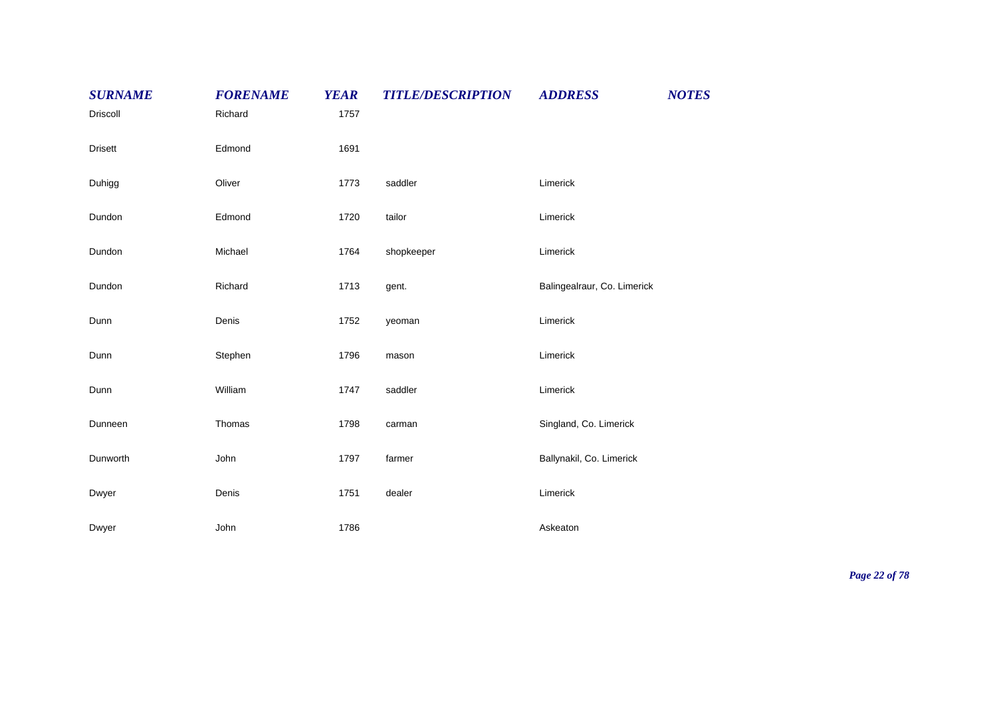| <b>SURNAME</b> | <b>FORENAME</b> | <b>YEAR</b> | <b>TITLE/DESCRIPTION</b> | <b>ADDRESS</b>              | <b>NOTES</b> |
|----------------|-----------------|-------------|--------------------------|-----------------------------|--------------|
| Driscoll       | Richard         | 1757        |                          |                             |              |
| <b>Drisett</b> | Edmond          | 1691        |                          |                             |              |
| Duhigg         | Oliver          | 1773        | saddler                  | Limerick                    |              |
| Dundon         | Edmond          | 1720        | tailor                   | Limerick                    |              |
| Dundon         | Michael         | 1764        | shopkeeper               | Limerick                    |              |
| Dundon         | Richard         | 1713        | gent.                    | Balingealraur, Co. Limerick |              |
| Dunn           | Denis           | 1752        | yeoman                   | Limerick                    |              |
| Dunn           | Stephen         | 1796        | mason                    | Limerick                    |              |
| Dunn           | William         | 1747        | saddler                  | Limerick                    |              |
| Dunneen        | Thomas          | 1798        | carman                   | Singland, Co. Limerick      |              |
| Dunworth       | John            | 1797        | farmer                   | Ballynakil, Co. Limerick    |              |
| Dwyer          | Denis           | 1751        | dealer                   | Limerick                    |              |
| Dwyer          | John            | 1786        |                          | Askeaton                    |              |

*Page 22 of 78*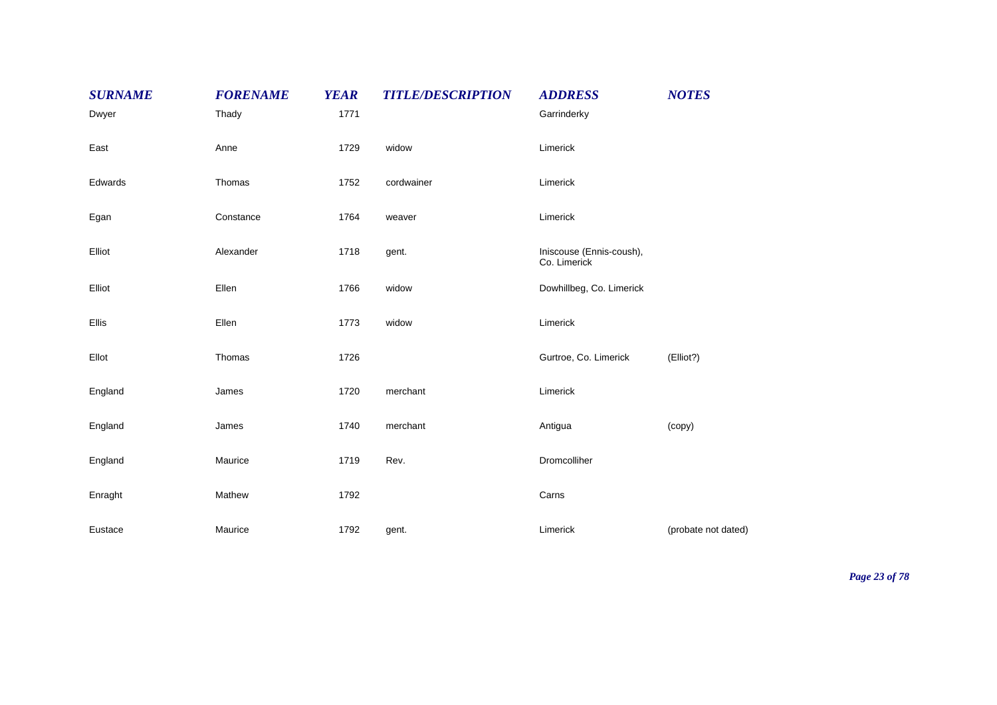| <b>SURNAME</b> | <b>FORENAME</b> | <b>YEAR</b> | <b>TITLE/DESCRIPTION</b> | <b>ADDRESS</b>                           | <b>NOTES</b>        |
|----------------|-----------------|-------------|--------------------------|------------------------------------------|---------------------|
| Dwyer          | Thady           | 1771        |                          | Garrinderky                              |                     |
| East           | Anne            | 1729        | widow                    | Limerick                                 |                     |
| Edwards        | Thomas          | 1752        | cordwainer               | Limerick                                 |                     |
| Egan           | Constance       | 1764        | weaver                   | Limerick                                 |                     |
| Elliot         | Alexander       | 1718        | gent.                    | Iniscouse (Ennis-coush),<br>Co. Limerick |                     |
| Elliot         | Ellen           | 1766        | widow                    | Dowhillbeg, Co. Limerick                 |                     |
| Ellis          | Ellen           | 1773        | widow                    | Limerick                                 |                     |
| Ellot          | Thomas          | 1726        |                          | Gurtroe, Co. Limerick                    | (Elliot?)           |
| England        | James           | 1720        | merchant                 | Limerick                                 |                     |
| England        | James           | 1740        | merchant                 | Antigua                                  | (copy)              |
| England        | Maurice         | 1719        | Rev.                     | Dromcolliher                             |                     |
| Enraght        | Mathew          | 1792        |                          | Carns                                    |                     |
| Eustace        | Maurice         | 1792        | gent.                    | Limerick                                 | (probate not dated) |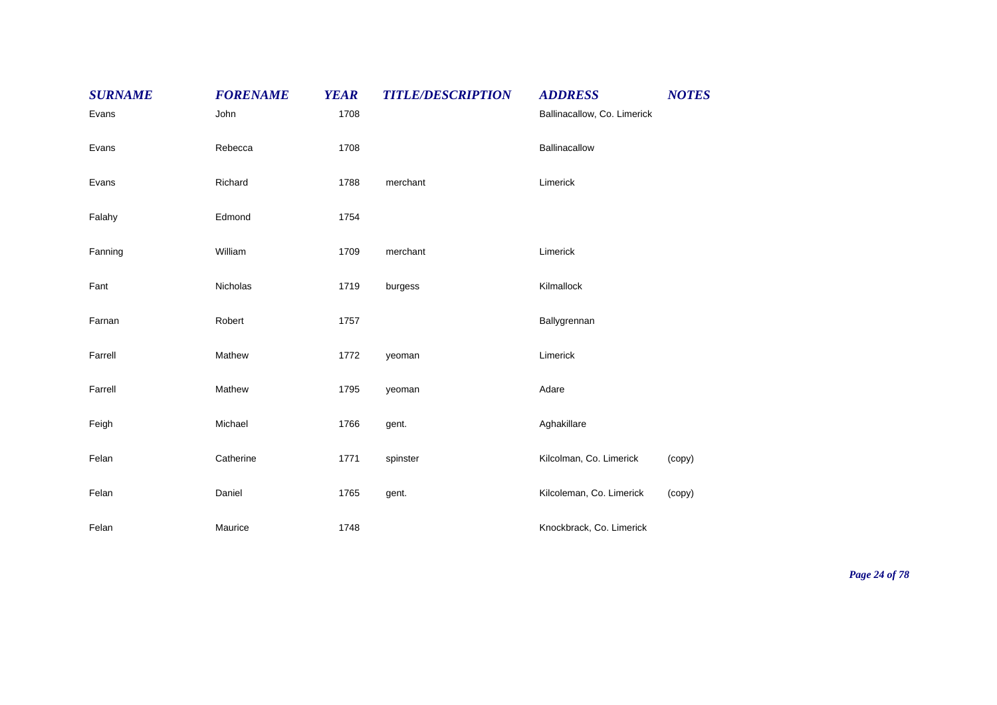| <b>SURNAME</b> | <b>FORENAME</b> | <b>YEAR</b> | <b>TITLE/DESCRIPTION</b> | <b>ADDRESS</b>              | <b>NOTES</b> |
|----------------|-----------------|-------------|--------------------------|-----------------------------|--------------|
| Evans          | John            | 1708        |                          | Ballinacallow, Co. Limerick |              |
| Evans          | Rebecca         | 1708        |                          | Ballinacallow               |              |
| Evans          | Richard         | 1788        | merchant                 | Limerick                    |              |
| Falahy         | Edmond          | 1754        |                          |                             |              |
| Fanning        | William         | 1709        | merchant                 | Limerick                    |              |
| Fant           | Nicholas        | 1719        | burgess                  | Kilmallock                  |              |
| Farnan         | Robert          | 1757        |                          | Ballygrennan                |              |
| Farrell        | Mathew          | 1772        | yeoman                   | Limerick                    |              |
| Farrell        | Mathew          | 1795        | yeoman                   | Adare                       |              |
| Feigh          | Michael         | 1766        | gent.                    | Aghakillare                 |              |
| Felan          | Catherine       | 1771        | spinster                 | Kilcolman, Co. Limerick     | (copy)       |
| Felan          | Daniel          | 1765        | gent.                    | Kilcoleman, Co. Limerick    | (copy)       |
| Felan          | Maurice         | 1748        |                          | Knockbrack, Co. Limerick    |              |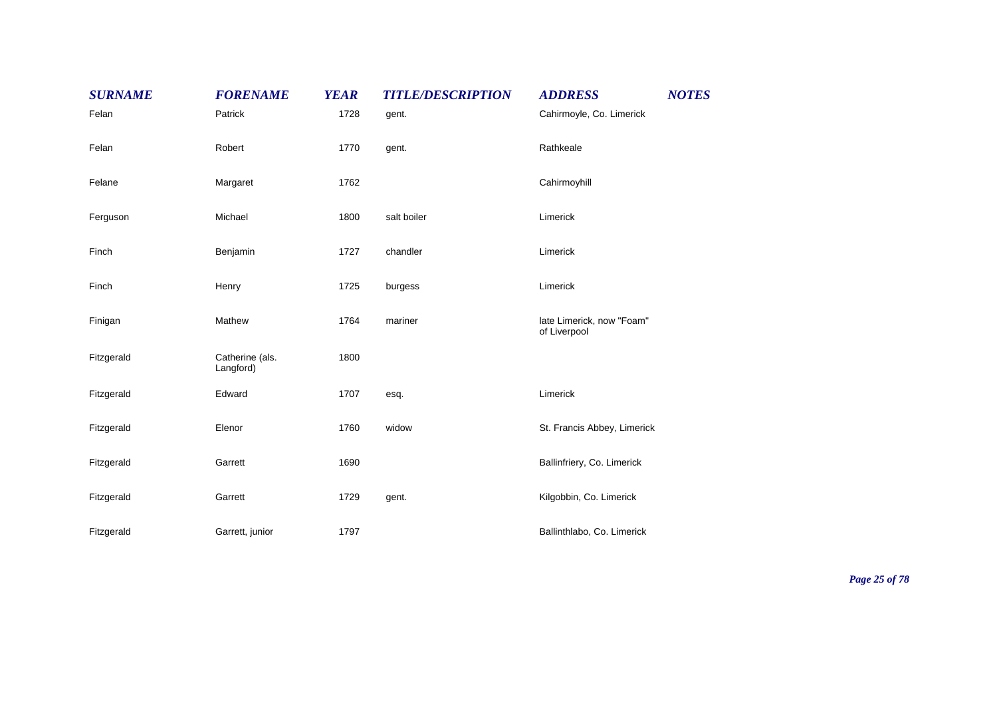| <b>SURNAME</b> | <b>FORENAME</b>              | <b>YEAR</b> | <b>TITLE/DESCRIPTION</b> | <b>ADDRESS</b>                            | <b>NOTES</b> |
|----------------|------------------------------|-------------|--------------------------|-------------------------------------------|--------------|
| Felan          | Patrick                      | 1728        | gent.                    | Cahirmoyle, Co. Limerick                  |              |
| Felan          | Robert                       | 1770        | gent.                    | Rathkeale                                 |              |
| Felane         | Margaret                     | 1762        |                          | Cahirmoyhill                              |              |
| Ferguson       | Michael                      | 1800        | salt boiler              | Limerick                                  |              |
| Finch          | Benjamin                     | 1727        | chandler                 | Limerick                                  |              |
| Finch          | Henry                        | 1725        | burgess                  | Limerick                                  |              |
| Finigan        | Mathew                       | 1764        | mariner                  | late Limerick, now "Foam"<br>of Liverpool |              |
| Fitzgerald     | Catherine (als.<br>Langford) | 1800        |                          |                                           |              |
| Fitzgerald     | Edward                       | 1707        | esq.                     | Limerick                                  |              |
| Fitzgerald     | Elenor                       | 1760        | widow                    | St. Francis Abbey, Limerick               |              |
| Fitzgerald     | Garrett                      | 1690        |                          | Ballinfriery, Co. Limerick                |              |
| Fitzgerald     | Garrett                      | 1729        | gent.                    | Kilgobbin, Co. Limerick                   |              |
| Fitzgerald     | Garrett, junior              | 1797        |                          | Ballinthlabo, Co. Limerick                |              |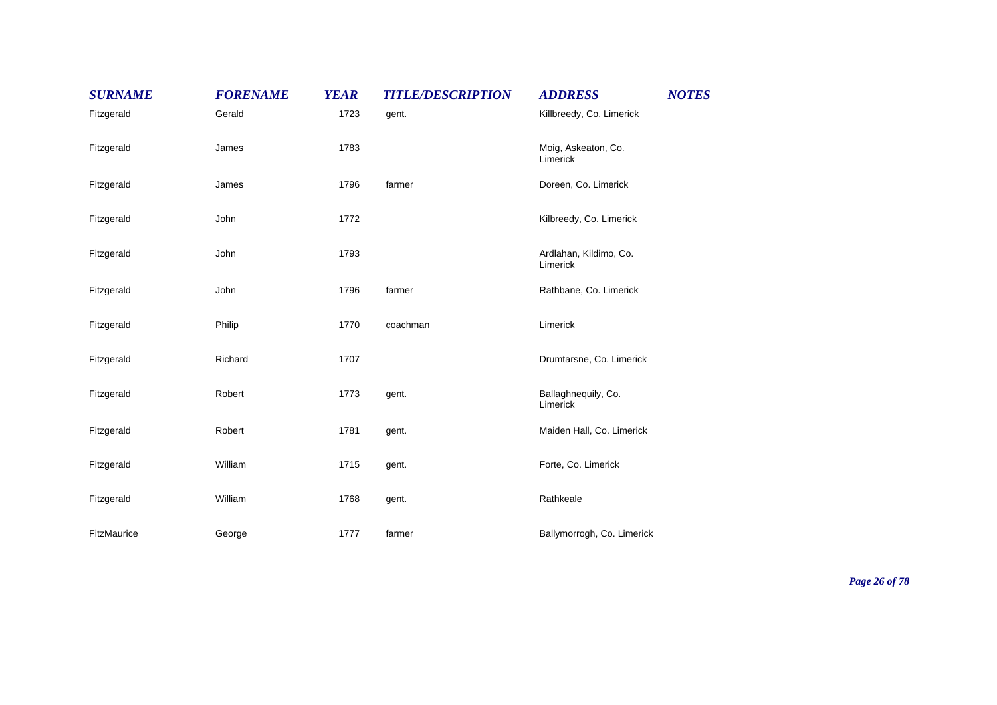| <b>SURNAME</b> | <b>FORENAME</b> | <b>YEAR</b> | <b>TITLE/DESCRIPTION</b> | <b>ADDRESS</b>                     | <b>NOTES</b> |
|----------------|-----------------|-------------|--------------------------|------------------------------------|--------------|
| Fitzgerald     | Gerald          | 1723        | gent.                    | Killbreedy, Co. Limerick           |              |
| Fitzgerald     | James           | 1783        |                          | Moig, Askeaton, Co.<br>Limerick    |              |
| Fitzgerald     | James           | 1796        | farmer                   | Doreen, Co. Limerick               |              |
| Fitzgerald     | John            | 1772        |                          | Kilbreedy, Co. Limerick            |              |
| Fitzgerald     | John            | 1793        |                          | Ardlahan, Kildimo, Co.<br>Limerick |              |
| Fitzgerald     | John            | 1796        | farmer                   | Rathbane, Co. Limerick             |              |
| Fitzgerald     | Philip          | 1770        | coachman                 | Limerick                           |              |
| Fitzgerald     | Richard         | 1707        |                          | Drumtarsne, Co. Limerick           |              |
| Fitzgerald     | Robert          | 1773        | gent.                    | Ballaghnequily, Co.<br>Limerick    |              |
| Fitzgerald     | Robert          | 1781        | gent.                    | Maiden Hall, Co. Limerick          |              |
| Fitzgerald     | William         | 1715        | gent.                    | Forte, Co. Limerick                |              |
| Fitzgerald     | William         | 1768        | gent.                    | Rathkeale                          |              |
| FitzMaurice    | George          | 1777        | farmer                   | Ballymorrogh, Co. Limerick         |              |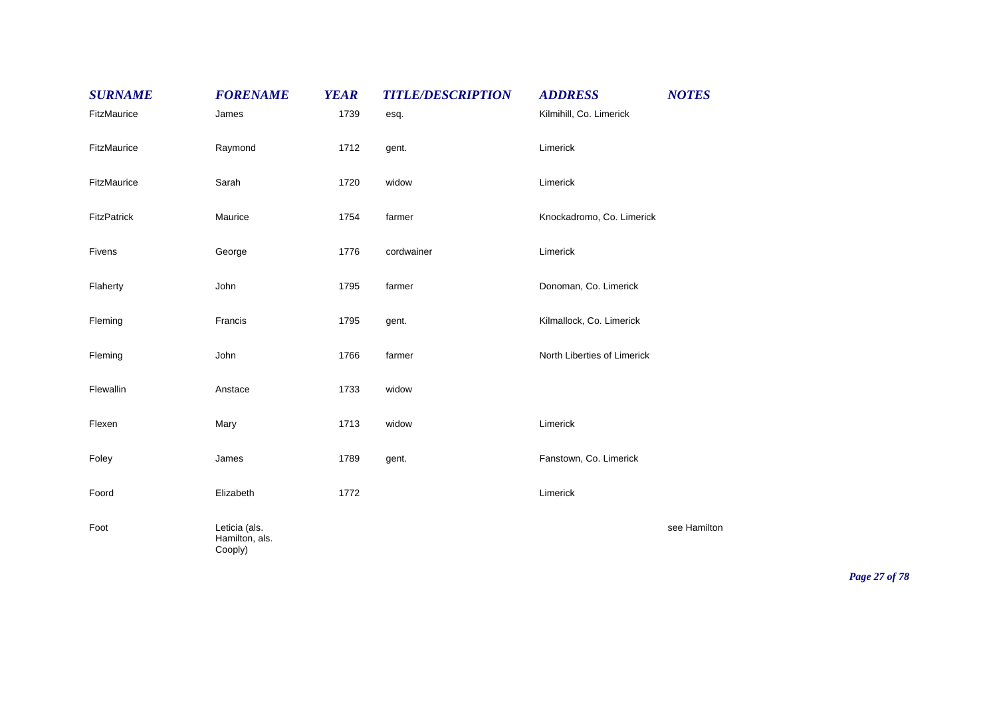| <b>SURNAME</b> | <b>FORENAME</b>                            | <b>YEAR</b> | <b>TITLE/DESCRIPTION</b> | <b>ADDRESS</b>              | <b>NOTES</b> |
|----------------|--------------------------------------------|-------------|--------------------------|-----------------------------|--------------|
| FitzMaurice    | James                                      | 1739        | esq.                     | Kilmihill, Co. Limerick     |              |
| FitzMaurice    | Raymond                                    | 1712        | gent.                    | Limerick                    |              |
| FitzMaurice    | Sarah                                      | 1720        | widow                    | Limerick                    |              |
| FitzPatrick    | Maurice                                    | 1754        | farmer                   | Knockadromo, Co. Limerick   |              |
| Fivens         | George                                     | 1776        | cordwainer               | Limerick                    |              |
| Flaherty       | John                                       | 1795        | farmer                   | Donoman, Co. Limerick       |              |
| Fleming        | Francis                                    | 1795        | gent.                    | Kilmallock, Co. Limerick    |              |
| Fleming        | John                                       | 1766        | farmer                   | North Liberties of Limerick |              |
| Flewallin      | Anstace                                    | 1733        | widow                    |                             |              |
| Flexen         | Mary                                       | 1713        | widow                    | Limerick                    |              |
| Foley          | James                                      | 1789        | gent.                    | Fanstown, Co. Limerick      |              |
| Foord          | Elizabeth                                  | 1772        |                          | Limerick                    |              |
| Foot           | Leticia (als.<br>Hamilton, als.<br>Cooply) |             |                          |                             | see Hamilton |

*Page 27 of 78*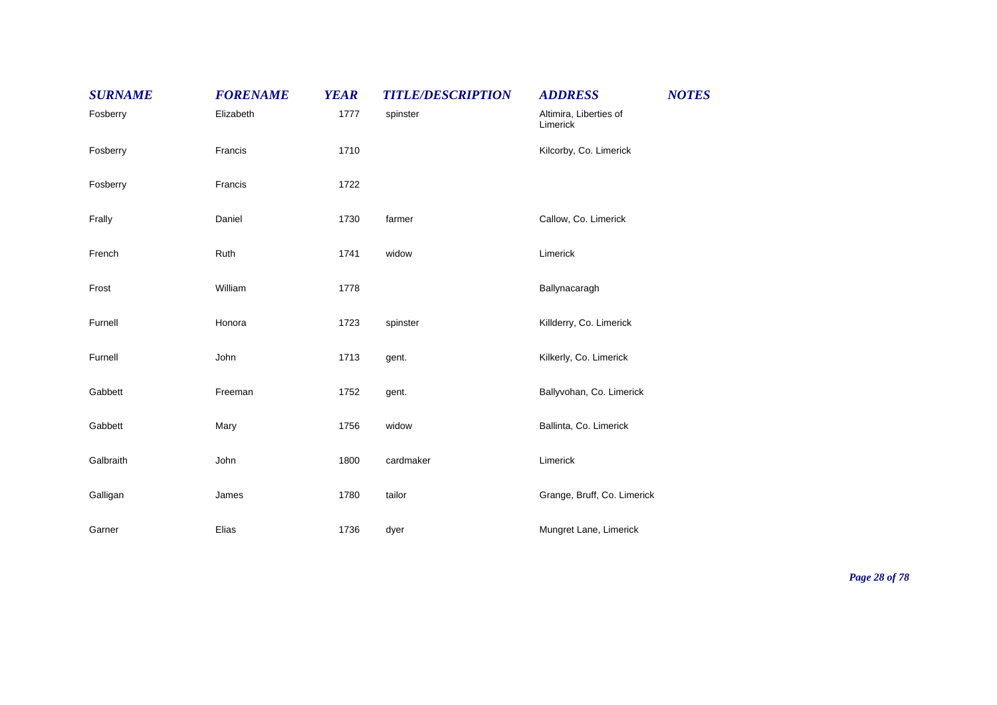| <b>SURNAME</b> | <b>FORENAME</b> | <b>YEAR</b> | <b>TITLE/DESCRIPTION</b> | <b>NOTES</b><br><b>ADDRESS</b>     |  |
|----------------|-----------------|-------------|--------------------------|------------------------------------|--|
| Fosberry       | Elizabeth       | 1777        | spinster                 | Altimira, Liberties of<br>Limerick |  |
| Fosberry       | Francis         | 1710        |                          | Kilcorby, Co. Limerick             |  |
| Fosberry       | Francis         | 1722        |                          |                                    |  |
| Frally         | Daniel          | 1730        | farmer                   | Callow, Co. Limerick               |  |
| French         | Ruth            | 1741        | widow                    | Limerick                           |  |
| Frost          | William         | 1778        |                          | Ballynacaragh                      |  |
| Furnell        | Honora          | 1723        | spinster                 | Killderry, Co. Limerick            |  |
| Furnell        | John            | 1713        | gent.                    | Kilkerly, Co. Limerick             |  |
| Gabbett        | Freeman         | 1752        | gent.                    | Ballyvohan, Co. Limerick           |  |
| Gabbett        | Mary            | 1756        | widow                    | Ballinta, Co. Limerick             |  |
| Galbraith      | John            | 1800        | cardmaker                | Limerick                           |  |
| Galligan       | James           | 1780        | tailor                   | Grange, Bruff, Co. Limerick        |  |
| Garner         | Elias           | 1736        | dyer                     | Mungret Lane, Limerick             |  |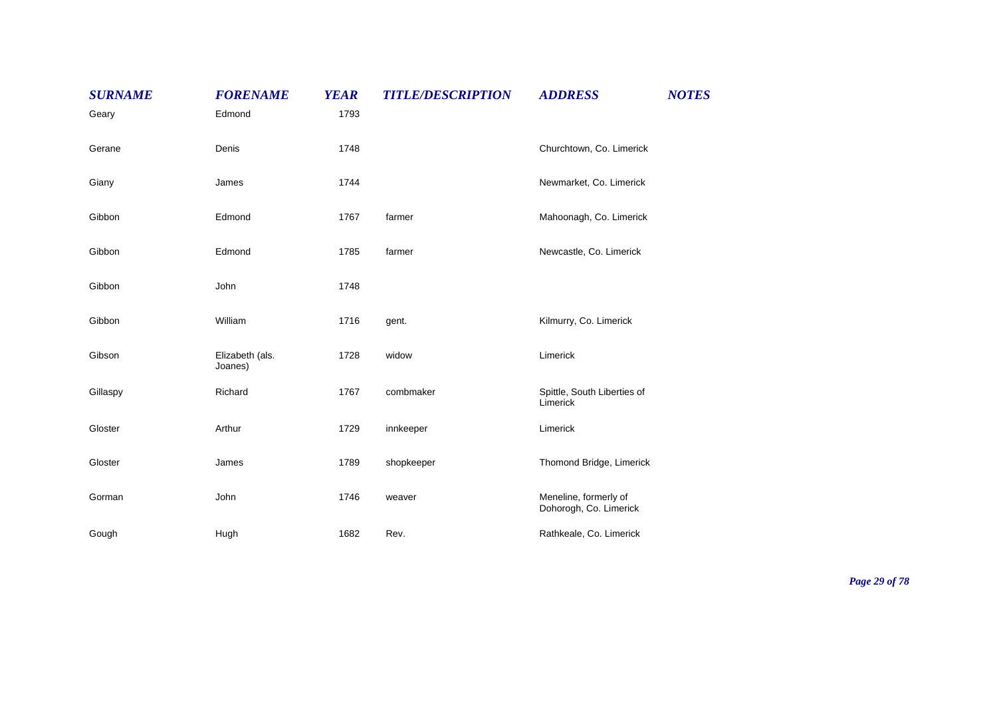| <b>SURNAME</b> | <b>FORENAME</b>            | <b>YEAR</b> | <b>TITLE/DESCRIPTION</b> | <b>ADDRESS</b>                                  | <b>NOTES</b> |
|----------------|----------------------------|-------------|--------------------------|-------------------------------------------------|--------------|
| Geary          | Edmond                     | 1793        |                          |                                                 |              |
| Gerane         | Denis                      | 1748        |                          | Churchtown, Co. Limerick                        |              |
| Giany          | James                      | 1744        |                          | Newmarket, Co. Limerick                         |              |
| Gibbon         | Edmond                     | 1767        | farmer                   | Mahoonagh, Co. Limerick                         |              |
| Gibbon         | Edmond                     | 1785        | farmer                   | Newcastle, Co. Limerick                         |              |
| Gibbon         | John                       | 1748        |                          |                                                 |              |
| Gibbon         | William                    | 1716        | gent.                    | Kilmurry, Co. Limerick                          |              |
| Gibson         | Elizabeth (als.<br>Joanes) | 1728        | widow                    | Limerick                                        |              |
| Gillaspy       | Richard                    | 1767        | combmaker                | Spittle, South Liberties of<br>Limerick         |              |
| Gloster        | Arthur                     | 1729        | innkeeper                | Limerick                                        |              |
| Gloster        | James                      | 1789        | shopkeeper               | Thomond Bridge, Limerick                        |              |
| Gorman         | John                       | 1746        | weaver                   | Meneline, formerly of<br>Dohorogh, Co. Limerick |              |
| Gough          | Hugh                       | 1682        | Rev.                     | Rathkeale, Co. Limerick                         |              |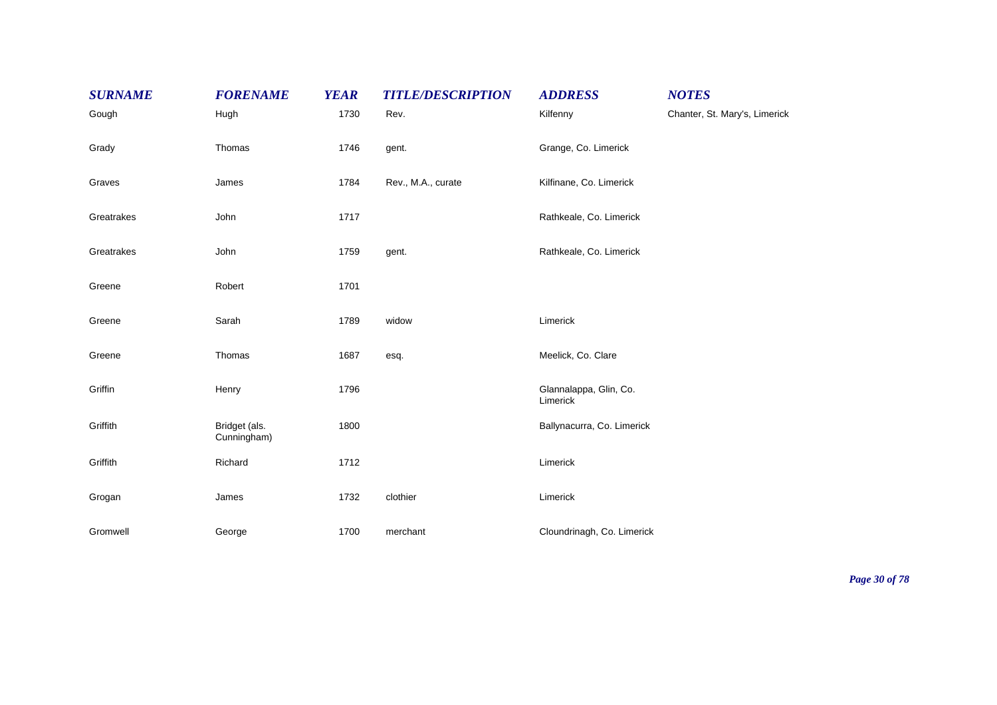| <b>SURNAME</b> | <b>FORENAME</b>              | <b>YEAR</b> | <b>TITLE/DESCRIPTION</b> | <b>ADDRESS</b>                     | <b>NOTES</b>                  |
|----------------|------------------------------|-------------|--------------------------|------------------------------------|-------------------------------|
| Gough          | Hugh                         | 1730        | Rev.                     | Kilfenny                           | Chanter, St. Mary's, Limerick |
| Grady          | Thomas                       | 1746        | gent.                    | Grange, Co. Limerick               |                               |
| Graves         | James                        | 1784        | Rev., M.A., curate       | Kilfinane, Co. Limerick            |                               |
| Greatrakes     | John                         | 1717        |                          | Rathkeale, Co. Limerick            |                               |
| Greatrakes     | John                         | 1759        | gent.                    | Rathkeale, Co. Limerick            |                               |
| Greene         | Robert                       | 1701        |                          |                                    |                               |
| Greene         | Sarah                        | 1789        | widow                    | Limerick                           |                               |
| Greene         | Thomas                       | 1687        | esq.                     | Meelick, Co. Clare                 |                               |
| Griffin        | Henry                        | 1796        |                          | Glannalappa, Glin, Co.<br>Limerick |                               |
| Griffith       | Bridget (als.<br>Cunningham) | 1800        |                          | Ballynacurra, Co. Limerick         |                               |
| Griffith       | Richard                      | 1712        |                          | Limerick                           |                               |
| Grogan         | James                        | 1732        | clothier                 | Limerick                           |                               |
| Gromwell       | George                       | 1700        | merchant                 | Cloundrinagh, Co. Limerick         |                               |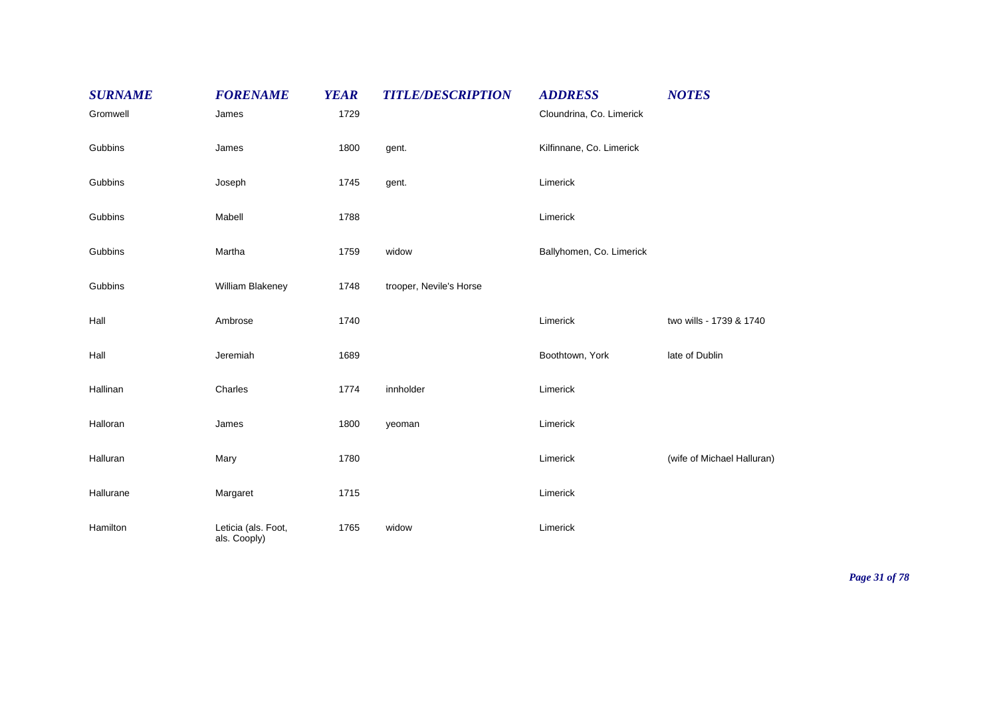| <b>SURNAME</b> | <b>FORENAME</b>                     | <b>YEAR</b> | <b>TITLE/DESCRIPTION</b> | <b>ADDRESS</b>           | <b>NOTES</b>               |
|----------------|-------------------------------------|-------------|--------------------------|--------------------------|----------------------------|
| Gromwell       | James                               | 1729        |                          | Cloundrina, Co. Limerick |                            |
| Gubbins        | James                               | 1800        | gent.                    | Kilfinnane, Co. Limerick |                            |
| Gubbins        | Joseph                              | 1745        | gent.                    | Limerick                 |                            |
| Gubbins        | Mabell                              | 1788        |                          | Limerick                 |                            |
| Gubbins        | Martha                              | 1759        | widow                    | Ballyhomen, Co. Limerick |                            |
| Gubbins        | William Blakeney                    | 1748        | trooper, Nevile's Horse  |                          |                            |
| Hall           | Ambrose                             | 1740        |                          | Limerick                 | two wills - 1739 & 1740    |
| Hall           | Jeremiah                            | 1689        |                          | Boothtown, York          | late of Dublin             |
| Hallinan       | Charles                             | 1774        | innholder                | Limerick                 |                            |
| Halloran       | James                               | 1800        | yeoman                   | Limerick                 |                            |
| Halluran       | Mary                                | 1780        |                          | Limerick                 | (wife of Michael Halluran) |
| Hallurane      | Margaret                            | 1715        |                          | Limerick                 |                            |
| Hamilton       | Leticia (als. Foot,<br>als. Cooply) | 1765        | widow                    | Limerick                 |                            |

*Page 31 of 78*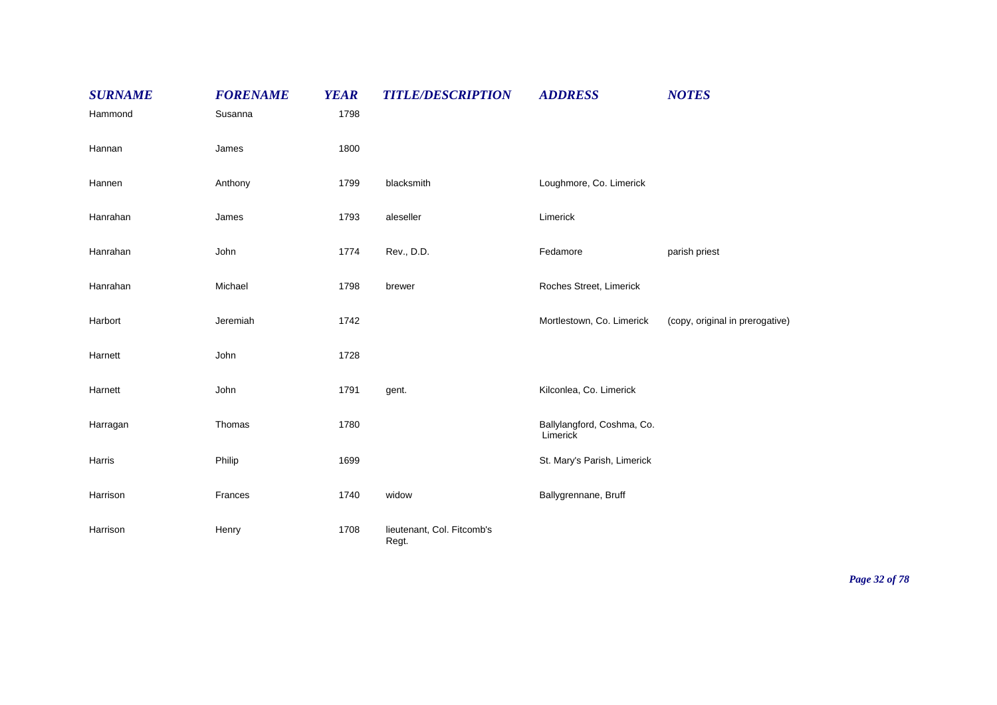| <b>SURNAME</b> | <b>FORENAME</b> | <b>YEAR</b> | <b>TITLE/DESCRIPTION</b>            | <b>ADDRESS</b>                         | <b>NOTES</b>                    |
|----------------|-----------------|-------------|-------------------------------------|----------------------------------------|---------------------------------|
| Hammond        | Susanna         | 1798        |                                     |                                        |                                 |
| Hannan         | James           | 1800        |                                     |                                        |                                 |
| Hannen         | Anthony         | 1799        | blacksmith                          | Loughmore, Co. Limerick                |                                 |
| Hanrahan       | James           | 1793        | aleseller                           | Limerick                               |                                 |
| Hanrahan       | John            | 1774        | Rev., D.D.                          | Fedamore                               | parish priest                   |
| Hanrahan       | Michael         | 1798        | brewer                              | Roches Street, Limerick                |                                 |
| Harbort        | Jeremiah        | 1742        |                                     | Mortlestown, Co. Limerick              | (copy, original in prerogative) |
| Harnett        | John            | 1728        |                                     |                                        |                                 |
| Harnett        | John            | 1791        | gent.                               | Kilconlea, Co. Limerick                |                                 |
| Harragan       | Thomas          | 1780        |                                     | Ballylangford, Coshma, Co.<br>Limerick |                                 |
| Harris         | Philip          | 1699        |                                     | St. Mary's Parish, Limerick            |                                 |
| Harrison       | Frances         | 1740        | widow                               | Ballygrennane, Bruff                   |                                 |
| Harrison       | Henry           | 1708        | lieutenant, Col. Fitcomb's<br>Regt. |                                        |                                 |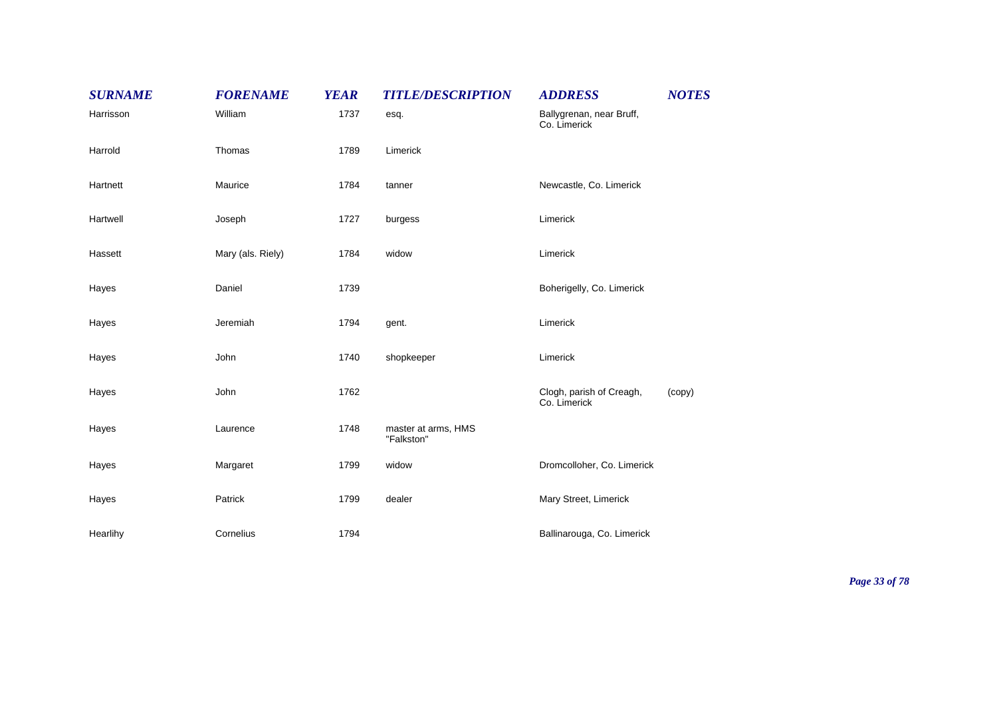| <b>SURNAME</b> | <b>FORENAME</b>   | <b>YEAR</b> | <b>TITLE/DESCRIPTION</b>          | <b>ADDRESS</b>                           | <b>NOTES</b> |
|----------------|-------------------|-------------|-----------------------------------|------------------------------------------|--------------|
| Harrisson      | William           | 1737        | esq.                              | Ballygrenan, near Bruff,<br>Co. Limerick |              |
| Harrold        | Thomas            | 1789        | Limerick                          |                                          |              |
| Hartnett       | Maurice           | 1784        | tanner                            | Newcastle, Co. Limerick                  |              |
| Hartwell       | Joseph            | 1727        | burgess                           | Limerick                                 |              |
| Hassett        | Mary (als. Riely) | 1784        | widow                             | Limerick                                 |              |
| Hayes          | Daniel            | 1739        |                                   | Boherigelly, Co. Limerick                |              |
| Hayes          | Jeremiah          | 1794        | gent.                             | Limerick                                 |              |
| Hayes          | John              | 1740        | shopkeeper                        | Limerick                                 |              |
| Hayes          | John              | 1762        |                                   | Clogh, parish of Creagh,<br>Co. Limerick | (copy)       |
| Hayes          | Laurence          | 1748        | master at arms, HMS<br>"Falkston" |                                          |              |
| Hayes          | Margaret          | 1799        | widow                             | Dromcolloher, Co. Limerick               |              |
| Hayes          | Patrick           | 1799        | dealer                            | Mary Street, Limerick                    |              |
| Hearlihy       | Cornelius         | 1794        |                                   | Ballinarouga, Co. Limerick               |              |

*Page 33 of 78*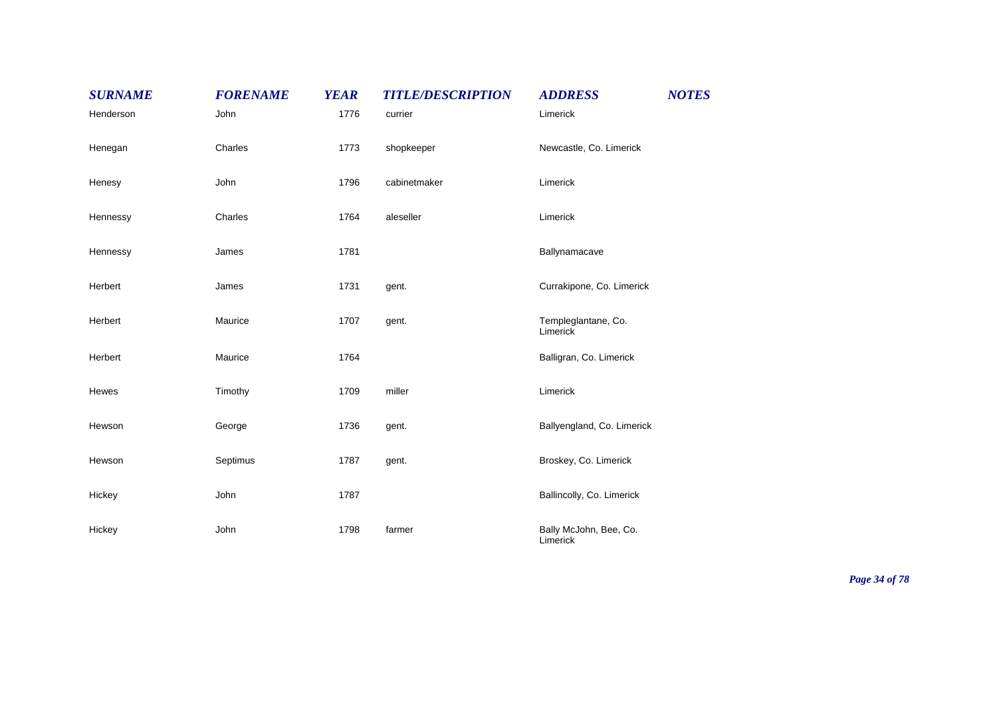| <b>SURNAME</b> | <b>FORENAME</b> | <b>YEAR</b> | <b>TITLE/DESCRIPTION</b> | <b>ADDRESS</b>                     | <b>NOTES</b> |
|----------------|-----------------|-------------|--------------------------|------------------------------------|--------------|
| Henderson      | John            | 1776        | currier                  | Limerick                           |              |
| Henegan        | Charles         | 1773        | shopkeeper               | Newcastle, Co. Limerick            |              |
| Henesy         | John            | 1796        | cabinetmaker             | Limerick                           |              |
| Hennessy       | Charles         | 1764        | aleseller                | Limerick                           |              |
| Hennessy       | James           | 1781        |                          | Ballynamacave                      |              |
| Herbert        | James           | 1731        | gent.                    | Currakipone, Co. Limerick          |              |
| Herbert        | Maurice         | 1707        | gent.                    | Templeglantane, Co.<br>Limerick    |              |
| Herbert        | Maurice         | 1764        |                          | Balligran, Co. Limerick            |              |
| Hewes          | Timothy         | 1709        | miller                   | Limerick                           |              |
| Hewson         | George          | 1736        | gent.                    | Ballyengland, Co. Limerick         |              |
| Hewson         | Septimus        | 1787        | gent.                    | Broskey, Co. Limerick              |              |
| Hickey         | John            | 1787        |                          | Ballincolly, Co. Limerick          |              |
| Hickey         | John            | 1798        | farmer                   | Bally McJohn, Bee, Co.<br>Limerick |              |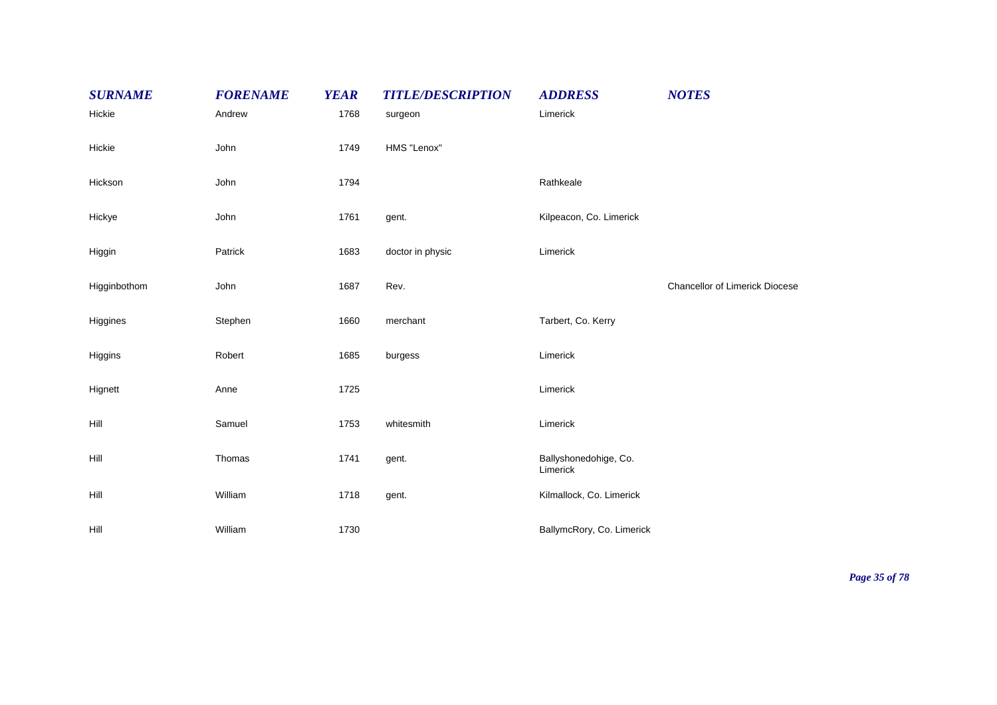| <b>SURNAME</b> | <b>FORENAME</b> | <b>YEAR</b> | <b>TITLE/DESCRIPTION</b> | <b>ADDRESS</b>                    | <b>NOTES</b>                          |
|----------------|-----------------|-------------|--------------------------|-----------------------------------|---------------------------------------|
| Hickie         | Andrew          | 1768        | surgeon                  | Limerick                          |                                       |
| Hickie         | John            | 1749        | HMS "Lenox"              |                                   |                                       |
| Hickson        | John            | 1794        |                          | Rathkeale                         |                                       |
| Hickye         | John            | 1761        | gent.                    | Kilpeacon, Co. Limerick           |                                       |
| Higgin         | Patrick         | 1683        | doctor in physic         | Limerick                          |                                       |
| Higginbothom   | John            | 1687        | Rev.                     |                                   | <b>Chancellor of Limerick Diocese</b> |
| Higgines       | Stephen         | 1660        | merchant                 | Tarbert, Co. Kerry                |                                       |
| Higgins        | Robert          | 1685        | burgess                  | Limerick                          |                                       |
| Hignett        | Anne            | 1725        |                          | Limerick                          |                                       |
| Hill           | Samuel          | 1753        | whitesmith               | Limerick                          |                                       |
| Hill           | Thomas          | 1741        | gent.                    | Ballyshonedohige, Co.<br>Limerick |                                       |
| Hill           | William         | 1718        | gent.                    | Kilmallock, Co. Limerick          |                                       |
| Hill           | William         | 1730        |                          | BallymcRory, Co. Limerick         |                                       |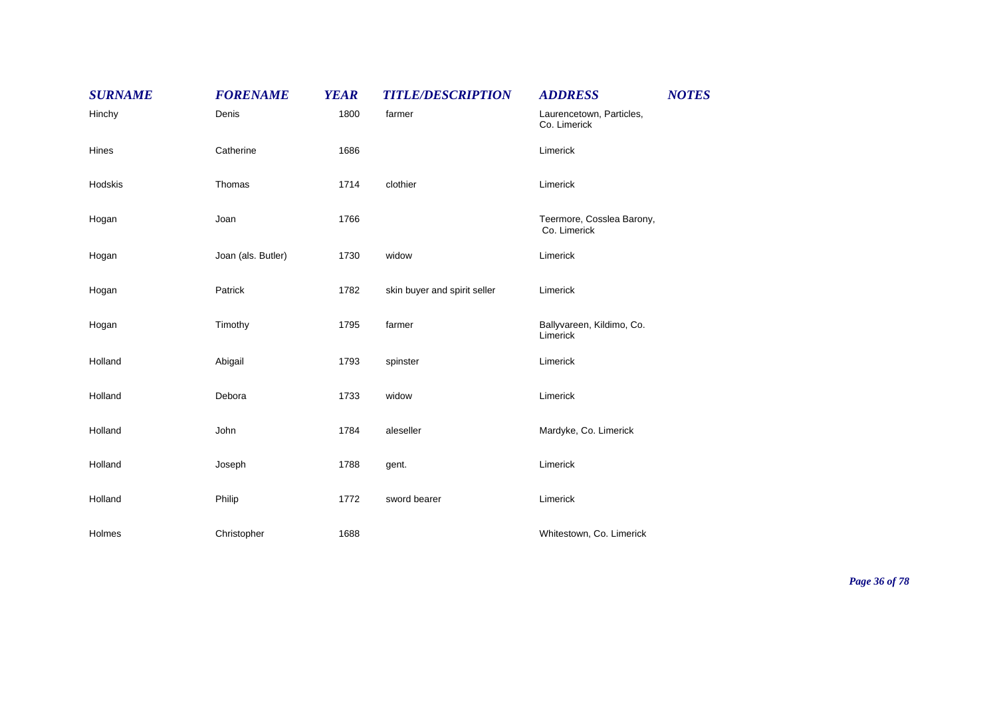| <b>SURNAME</b> | <b>FORENAME</b>    | <b>YEAR</b> | <b>TITLE/DESCRIPTION</b>     | <b>ADDRESS</b>                            | <b>NOTES</b> |
|----------------|--------------------|-------------|------------------------------|-------------------------------------------|--------------|
| Hinchy         | Denis              | 1800        | farmer                       | Laurencetown, Particles,<br>Co. Limerick  |              |
| Hines          | Catherine          | 1686        |                              | Limerick                                  |              |
| Hodskis        | Thomas             | 1714        | clothier                     | Limerick                                  |              |
| Hogan          | Joan               | 1766        |                              | Teermore, Cosslea Barony,<br>Co. Limerick |              |
| Hogan          | Joan (als. Butler) | 1730        | widow                        | Limerick                                  |              |
| Hogan          | Patrick            | 1782        | skin buyer and spirit seller | Limerick                                  |              |
| Hogan          | Timothy            | 1795        | farmer                       | Ballyvareen, Kildimo, Co.<br>Limerick     |              |
| Holland        | Abigail            | 1793        | spinster                     | Limerick                                  |              |
| Holland        | Debora             | 1733        | widow                        | Limerick                                  |              |
| Holland        | John               | 1784        | aleseller                    | Mardyke, Co. Limerick                     |              |
| Holland        | Joseph             | 1788        | gent.                        | Limerick                                  |              |
| Holland        | Philip             | 1772        | sword bearer                 | Limerick                                  |              |
| Holmes         | Christopher        | 1688        |                              | Whitestown, Co. Limerick                  |              |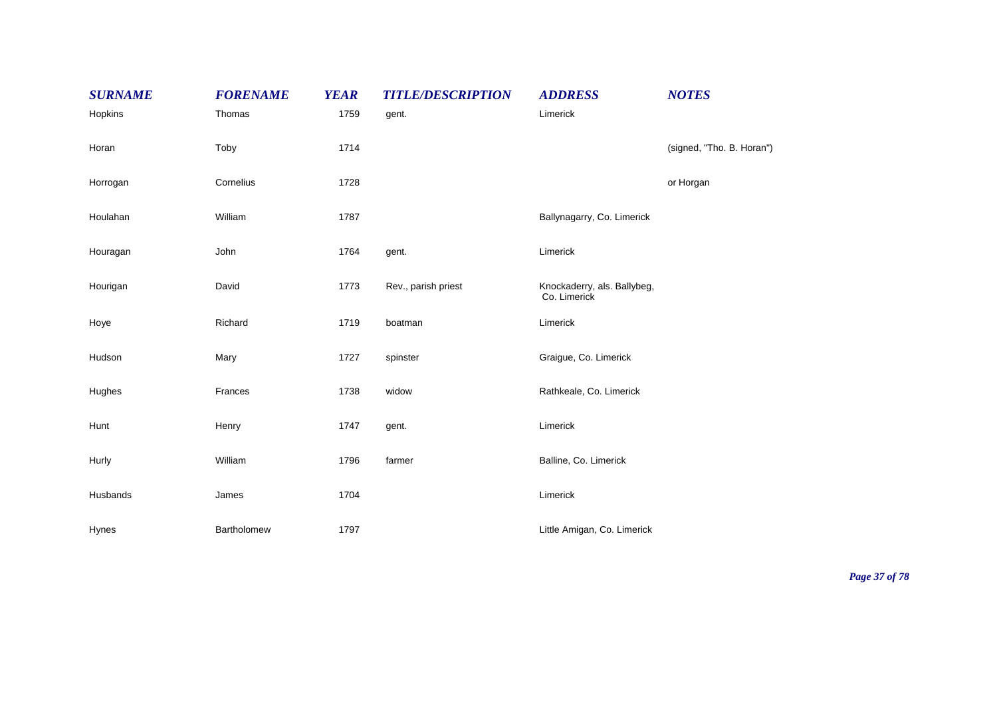| <b>SURNAME</b> | <b>FORENAME</b> | <b>YEAR</b> | <b>TITLE/DESCRIPTION</b> | <b>ADDRESS</b>                              | <b>NOTES</b>              |
|----------------|-----------------|-------------|--------------------------|---------------------------------------------|---------------------------|
| Hopkins        | Thomas          | 1759        | gent.                    | Limerick                                    |                           |
| Horan          | Toby            | 1714        |                          |                                             | (signed, "Tho. B. Horan") |
| Horrogan       | Cornelius       | 1728        |                          |                                             | or Horgan                 |
| Houlahan       | William         | 1787        |                          | Ballynagarry, Co. Limerick                  |                           |
| Houragan       | John            | 1764        | gent.                    | Limerick                                    |                           |
| Hourigan       | David           | 1773        | Rev., parish priest      | Knockaderry, als. Ballybeg,<br>Co. Limerick |                           |
| Hoye           | Richard         | 1719        | boatman                  | Limerick                                    |                           |
| Hudson         | Mary            | 1727        | spinster                 | Graigue, Co. Limerick                       |                           |
| Hughes         | Frances         | 1738        | widow                    | Rathkeale, Co. Limerick                     |                           |
| Hunt           | Henry           | 1747        | gent.                    | Limerick                                    |                           |
| Hurly          | William         | 1796        | farmer                   | Balline, Co. Limerick                       |                           |
| Husbands       | James           | 1704        |                          | Limerick                                    |                           |
| Hynes          | Bartholomew     | 1797        |                          | Little Amigan, Co. Limerick                 |                           |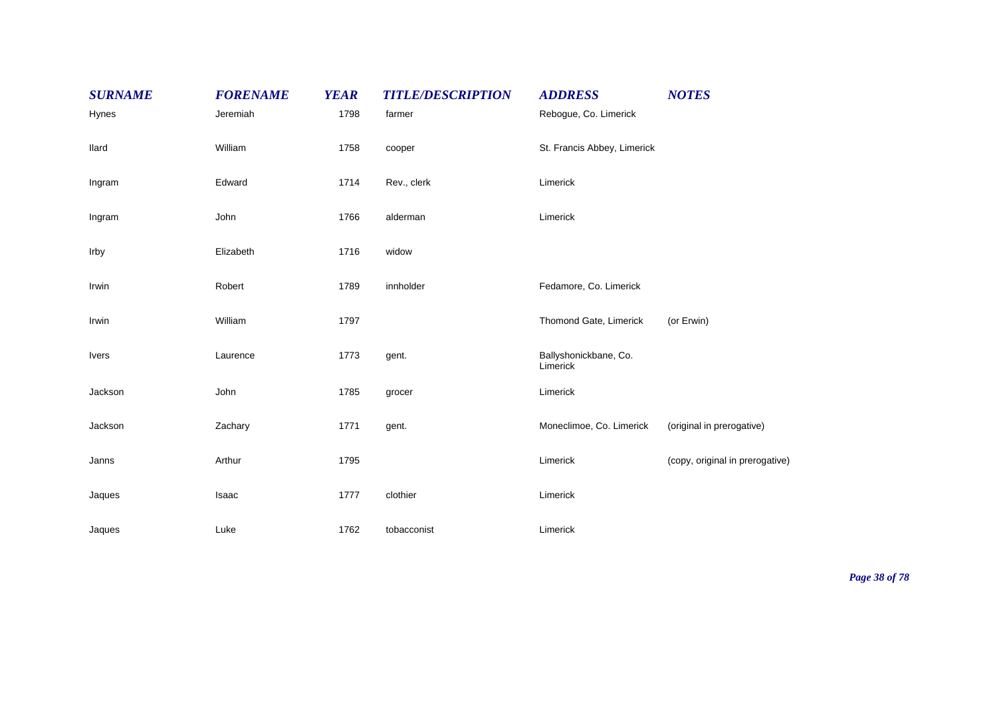| <b>SURNAME</b> | <b>FORENAME</b> | <b>YEAR</b> | <b>TITLE/DESCRIPTION</b> | <b>ADDRESS</b>                    | <b>NOTES</b>                    |
|----------------|-----------------|-------------|--------------------------|-----------------------------------|---------------------------------|
| Hynes          | Jeremiah        | 1798        | farmer                   | Rebogue, Co. Limerick             |                                 |
| llard          | William         | 1758        | cooper                   | St. Francis Abbey, Limerick       |                                 |
| Ingram         | Edward          | 1714        | Rev., clerk              | Limerick                          |                                 |
| Ingram         | John            | 1766        | alderman                 | Limerick                          |                                 |
| Irby           | Elizabeth       | 1716        | widow                    |                                   |                                 |
| Irwin          | Robert          | 1789        | innholder                | Fedamore, Co. Limerick            |                                 |
| Irwin          | William         | 1797        |                          | Thomond Gate, Limerick            | (or Erwin)                      |
| <b>Ivers</b>   | Laurence        | 1773        | gent.                    | Ballyshonickbane, Co.<br>Limerick |                                 |
| Jackson        | John            | 1785        | grocer                   | Limerick                          |                                 |
| Jackson        | Zachary         | 1771        | gent.                    | Moneclimoe, Co. Limerick          | (original in prerogative)       |
| Janns          | Arthur          | 1795        |                          | Limerick                          | (copy, original in prerogative) |
| Jaques         | Isaac           | 1777        | clothier                 | Limerick                          |                                 |
| Jaques         | Luke            | 1762        | tobacconist              | Limerick                          |                                 |

*Page 38 of 78*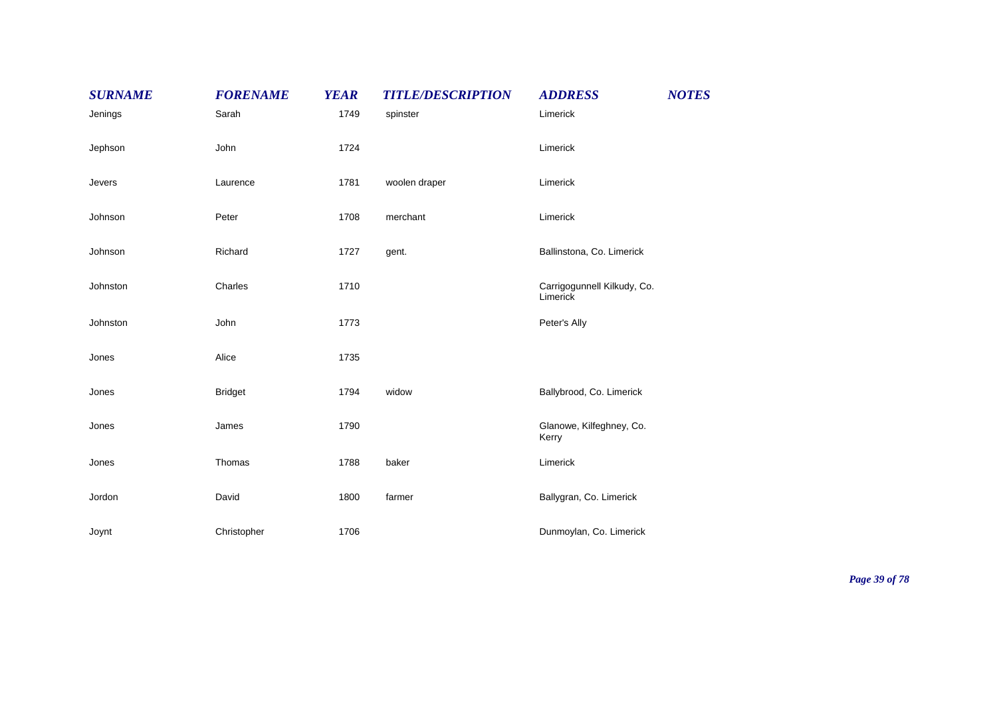| <b>SURNAME</b> | <b>FORENAME</b> | <b>YEAR</b> | <b>TITLE/DESCRIPTION</b> | <b>ADDRESS</b>                          | <b>NOTES</b> |
|----------------|-----------------|-------------|--------------------------|-----------------------------------------|--------------|
| Jenings        | Sarah           | 1749        | spinster                 | Limerick                                |              |
| Jephson        | John            | 1724        |                          | Limerick                                |              |
| Jevers         | Laurence        | 1781        | woolen draper            | Limerick                                |              |
| Johnson        | Peter           | 1708        | merchant                 | Limerick                                |              |
| Johnson        | Richard         | 1727        | gent.                    | Ballinstona, Co. Limerick               |              |
| Johnston       | Charles         | 1710        |                          | Carrigogunnell Kilkudy, Co.<br>Limerick |              |
| Johnston       | John            | 1773        |                          | Peter's Ally                            |              |
| Jones          | Alice           | 1735        |                          |                                         |              |
| Jones          | <b>Bridget</b>  | 1794        | widow                    | Ballybrood, Co. Limerick                |              |
| Jones          | James           | 1790        |                          | Glanowe, Kilfeghney, Co.<br>Kerry       |              |
| Jones          | Thomas          | 1788        | baker                    | Limerick                                |              |
| Jordon         | David           | 1800        | farmer                   | Ballygran, Co. Limerick                 |              |
| Joynt          | Christopher     | 1706        |                          | Dunmoylan, Co. Limerick                 |              |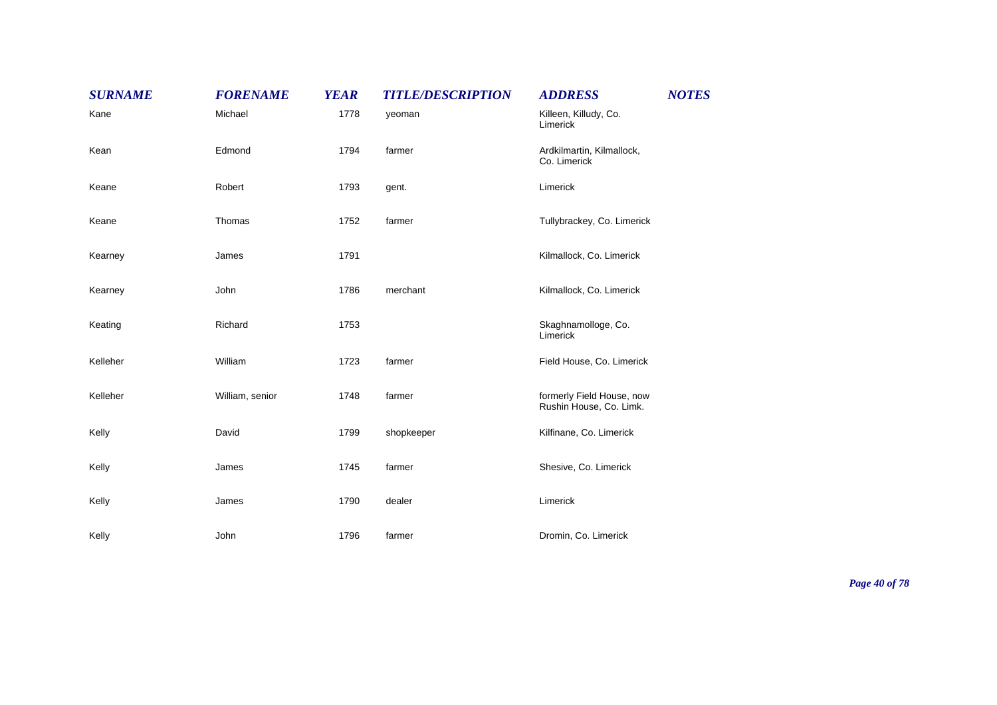| <b>SURNAME</b> | <b>FORENAME</b> | <b>YEAR</b> | <b>TITLE/DESCRIPTION</b> | <b>ADDRESS</b>                                       | <b>NOTES</b> |
|----------------|-----------------|-------------|--------------------------|------------------------------------------------------|--------------|
| Kane           | Michael         | 1778        | yeoman                   | Killeen, Killudy, Co.<br>Limerick                    |              |
| Kean           | Edmond          | 1794        | farmer                   | Ardkilmartin, Kilmallock,<br>Co. Limerick            |              |
| Keane          | Robert          | 1793        | gent.                    | Limerick                                             |              |
| Keane          | Thomas          | 1752        | farmer                   | Tullybrackey, Co. Limerick                           |              |
| Kearney        | James           | 1791        |                          | Kilmallock, Co. Limerick                             |              |
| Kearney        | John            | 1786        | merchant                 | Kilmallock, Co. Limerick                             |              |
| Keating        | Richard         | 1753        |                          | Skaghnamolloge, Co.<br>Limerick                      |              |
| Kelleher       | William         | 1723        | farmer                   | Field House, Co. Limerick                            |              |
| Kelleher       | William, senior | 1748        | farmer                   | formerly Field House, now<br>Rushin House, Co. Limk. |              |
| Kelly          | David           | 1799        | shopkeeper               | Kilfinane, Co. Limerick                              |              |
| Kelly          | James           | 1745        | farmer                   | Shesive, Co. Limerick                                |              |
| Kelly          | James           | 1790        | dealer                   | Limerick                                             |              |
| Kelly          | John            | 1796        | farmer                   | Dromin, Co. Limerick                                 |              |

*Page 40 of 78*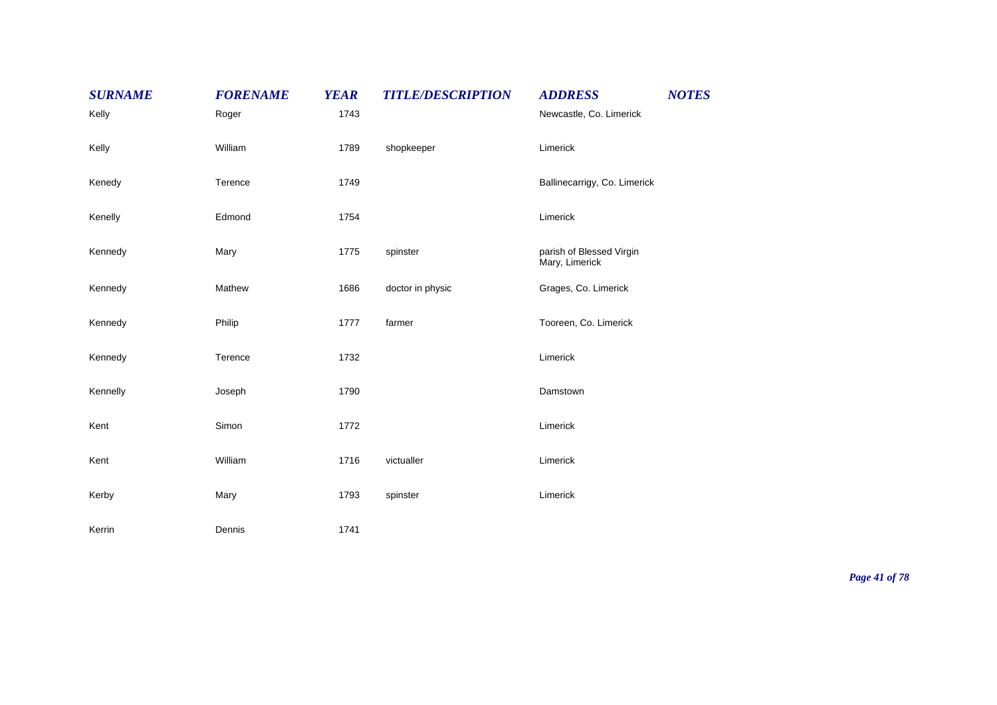| <b>SURNAME</b> | <b>FORENAME</b> | <b>YEAR</b> | <b>TITLE/DESCRIPTION</b> | <b>ADDRESS</b>                             | <b>NOTES</b> |
|----------------|-----------------|-------------|--------------------------|--------------------------------------------|--------------|
| Kelly          | Roger           | 1743        |                          | Newcastle, Co. Limerick                    |              |
| Kelly          | William         | 1789        | shopkeeper               | Limerick                                   |              |
| Kenedy         | Terence         | 1749        |                          | Ballinecarrigy, Co. Limerick               |              |
| Kenelly        | Edmond          | 1754        |                          | Limerick                                   |              |
| Kennedy        | Mary            | 1775        | spinster                 | parish of Blessed Virgin<br>Mary, Limerick |              |
| Kennedy        | Mathew          | 1686        | doctor in physic         | Grages, Co. Limerick                       |              |
| Kennedy        | Philip          | 1777        | farmer                   | Tooreen, Co. Limerick                      |              |
| Kennedy        | Terence         | 1732        |                          | Limerick                                   |              |
| Kennelly       | Joseph          | 1790        |                          | Damstown                                   |              |
| Kent           | Simon           | 1772        |                          | Limerick                                   |              |
| Kent           | William         | 1716        | victualler               | Limerick                                   |              |
| Kerby          | Mary            | 1793        | spinster                 | Limerick                                   |              |
| Kerrin         | Dennis          | 1741        |                          |                                            |              |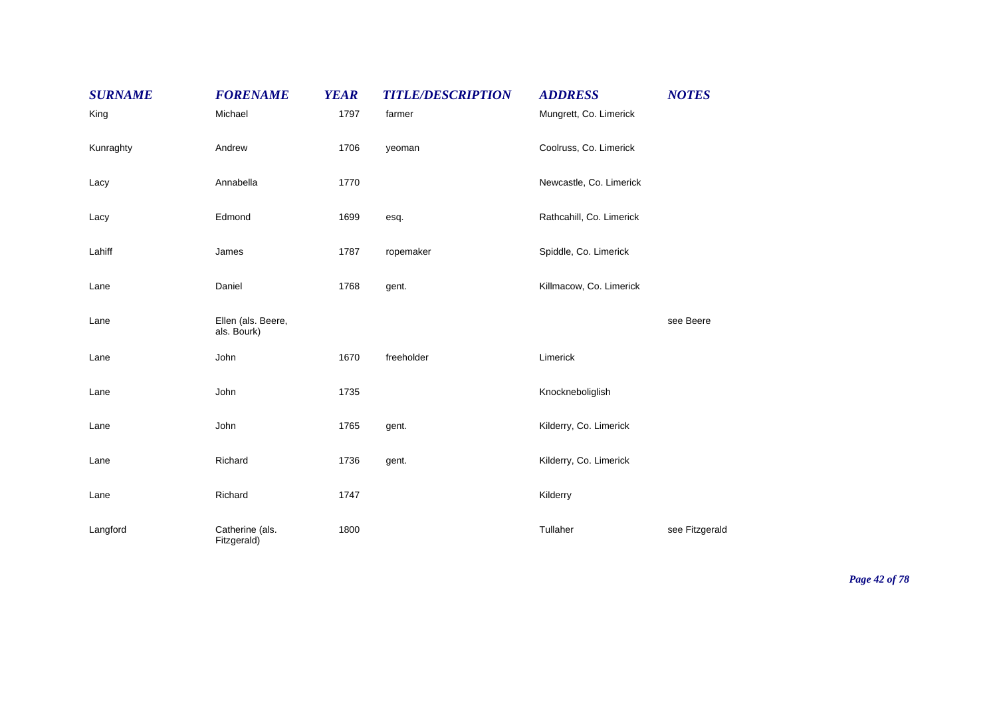| <b>SURNAME</b> | <b>FORENAME</b>                   | <b>YEAR</b> | <b>TITLE/DESCRIPTION</b> | <b>ADDRESS</b>           | <b>NOTES</b>   |
|----------------|-----------------------------------|-------------|--------------------------|--------------------------|----------------|
| King           | Michael                           | 1797        | farmer                   | Mungrett, Co. Limerick   |                |
| Kunraghty      | Andrew                            | 1706        | yeoman                   | Coolruss, Co. Limerick   |                |
| Lacy           | Annabella                         | 1770        |                          | Newcastle, Co. Limerick  |                |
| Lacy           | Edmond                            | 1699        | esq.                     | Rathcahill, Co. Limerick |                |
| Lahiff         | James                             | 1787        | ropemaker                | Spiddle, Co. Limerick    |                |
| Lane           | Daniel                            | 1768        | gent.                    | Killmacow, Co. Limerick  |                |
| Lane           | Ellen (als. Beere,<br>als. Bourk) |             |                          |                          | see Beere      |
| Lane           | John                              | 1670        | freeholder               | Limerick                 |                |
| Lane           | John                              | 1735        |                          | Knockneboliglish         |                |
| Lane           | John                              | 1765        | gent.                    | Kilderry, Co. Limerick   |                |
| Lane           | Richard                           | 1736        | gent.                    | Kilderry, Co. Limerick   |                |
| Lane           | Richard                           | 1747        |                          | Kilderry                 |                |
| Langford       | Catherine (als.<br>Fitzgerald)    | 1800        |                          | Tullaher                 | see Fitzgerald |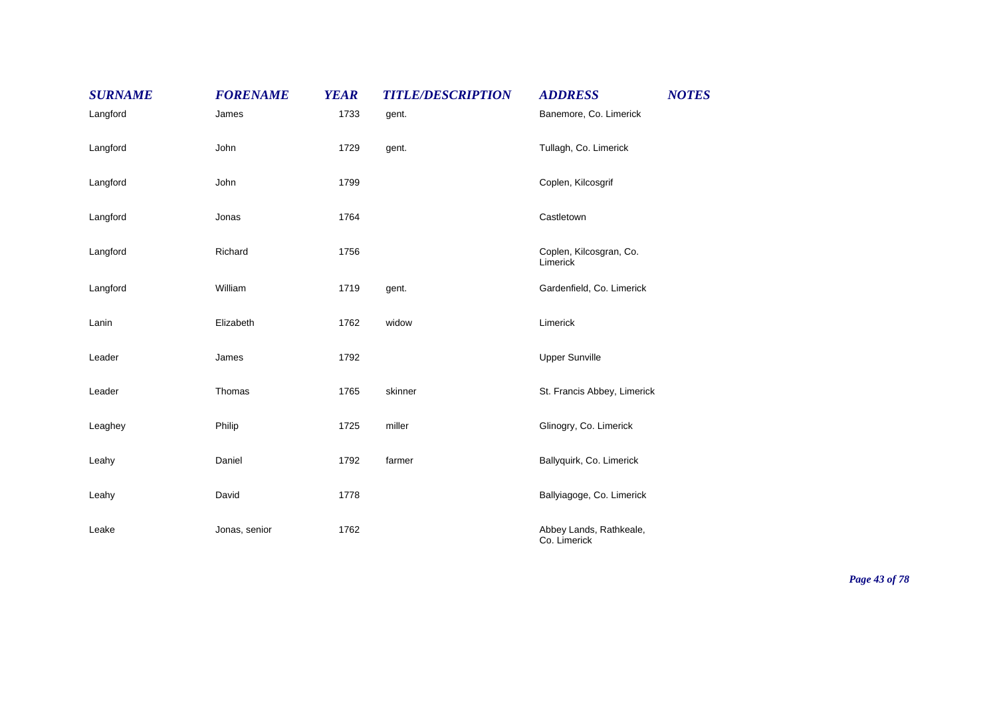| <b>SURNAME</b> | <b>FORENAME</b> | <b>YEAR</b> | <b>TITLE/DESCRIPTION</b> | <b>ADDRESS</b>                          | <b>NOTES</b> |
|----------------|-----------------|-------------|--------------------------|-----------------------------------------|--------------|
| Langford       | James           | 1733        | gent.                    | Banemore, Co. Limerick                  |              |
| Langford       | John            | 1729        | gent.                    | Tullagh, Co. Limerick                   |              |
| Langford       | John            | 1799        |                          | Coplen, Kilcosgrif                      |              |
| Langford       | Jonas           | 1764        |                          | Castletown                              |              |
| Langford       | Richard         | 1756        |                          | Coplen, Kilcosgran, Co.<br>Limerick     |              |
| Langford       | William         | 1719        | gent.                    | Gardenfield, Co. Limerick               |              |
| Lanin          | Elizabeth       | 1762        | widow                    | Limerick                                |              |
| Leader         | James           | 1792        |                          | <b>Upper Sunville</b>                   |              |
| Leader         | Thomas          | 1765        | skinner                  | St. Francis Abbey, Limerick             |              |
| Leaghey        | Philip          | 1725        | miller                   | Glinogry, Co. Limerick                  |              |
| Leahy          | Daniel          | 1792        | farmer                   | Ballyquirk, Co. Limerick                |              |
| Leahy          | David           | 1778        |                          | Ballyiagoge, Co. Limerick               |              |
| Leake          | Jonas, senior   | 1762        |                          | Abbey Lands, Rathkeale,<br>Co. Limerick |              |

*Page 43 of 78*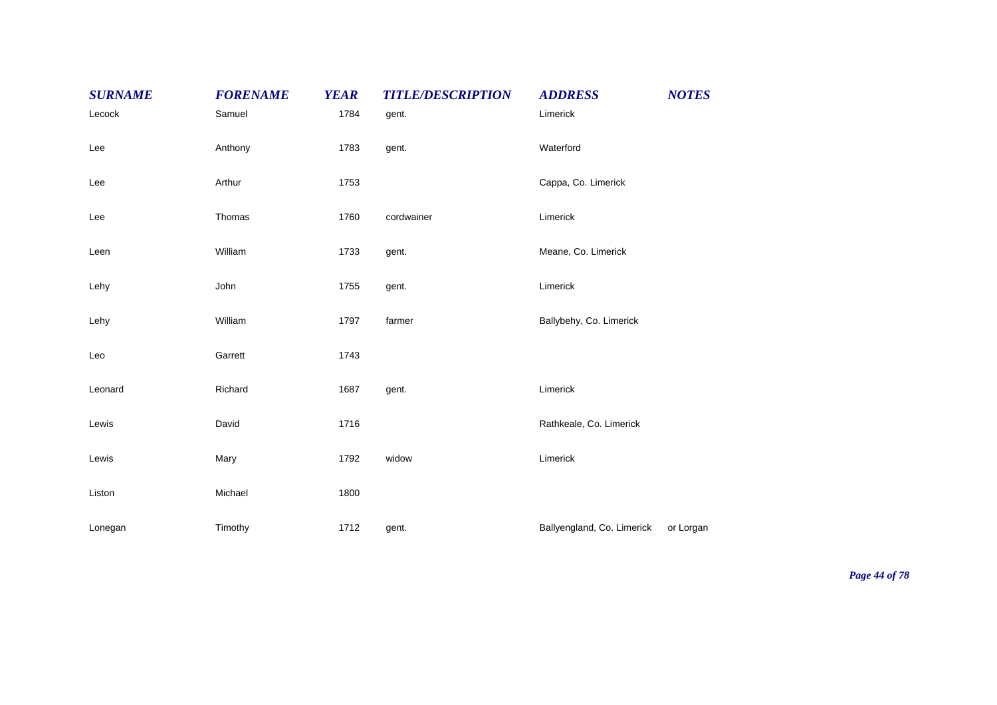| <b>SURNAME</b> | <b>FORENAME</b> | <b>YEAR</b> | <b>TITLE/DESCRIPTION</b> | <b>NOTES</b><br><b>ADDRESS</b>          |  |
|----------------|-----------------|-------------|--------------------------|-----------------------------------------|--|
| Lecock         | Samuel          | 1784        | gent.                    | Limerick                                |  |
| Lee            | Anthony         | 1783        | gent.                    | Waterford                               |  |
| Lee            | Arthur          | 1753        |                          | Cappa, Co. Limerick                     |  |
| Lee            | Thomas          | 1760        | cordwainer               | Limerick                                |  |
| Leen           | William         | 1733        | gent.                    | Meane, Co. Limerick                     |  |
| Lehy           | John            | 1755        | gent.                    | Limerick                                |  |
| Lehy           | William         | 1797        | farmer                   | Ballybehy, Co. Limerick                 |  |
| Leo            | Garrett         | 1743        |                          |                                         |  |
| Leonard        | Richard         | 1687        | gent.                    | Limerick                                |  |
| Lewis          | David           | 1716        |                          | Rathkeale, Co. Limerick                 |  |
| Lewis          | Mary            | 1792        | widow                    | Limerick                                |  |
| Liston         | Michael         | 1800        |                          |                                         |  |
| Lonegan        | Timothy         | 1712        | gent.                    | Ballyengland, Co. Limerick<br>or Lorgan |  |

*Page 44 of 78*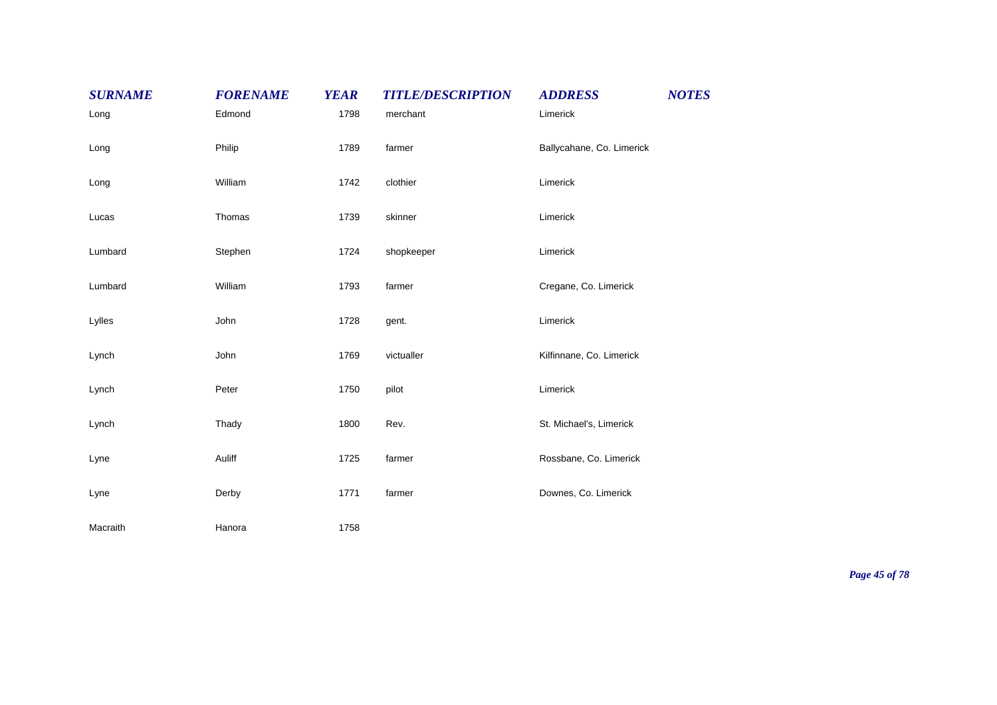| <b>SURNAME</b> | <b>FORENAME</b> | <b>YEAR</b> | <b>TITLE/DESCRIPTION</b> | <b>ADDRESS</b>            | <b>NOTES</b> |
|----------------|-----------------|-------------|--------------------------|---------------------------|--------------|
| Long           | Edmond          | 1798        | merchant                 | Limerick                  |              |
| Long           | Philip          | 1789        | farmer                   | Ballycahane, Co. Limerick |              |
| Long           | William         | 1742        | clothier                 | Limerick                  |              |
| Lucas          | Thomas          | 1739        | skinner                  | Limerick                  |              |
| Lumbard        | Stephen         | 1724        | shopkeeper               | Limerick                  |              |
| Lumbard        | William         | 1793        | farmer                   | Cregane, Co. Limerick     |              |
| Lylles         | John            | 1728        | gent.                    | Limerick                  |              |
| Lynch          | John            | 1769        | victualler               | Kilfinnane, Co. Limerick  |              |
| Lynch          | Peter           | 1750        | pilot                    | Limerick                  |              |
| Lynch          | Thady           | 1800        | Rev.                     | St. Michael's, Limerick   |              |
| Lyne           | Auliff          | 1725        | farmer                   | Rossbane, Co. Limerick    |              |
| Lyne           | Derby           | 1771        | farmer                   | Downes, Co. Limerick      |              |
| Macraith       | Hanora          | 1758        |                          |                           |              |

*Page 45 of 78*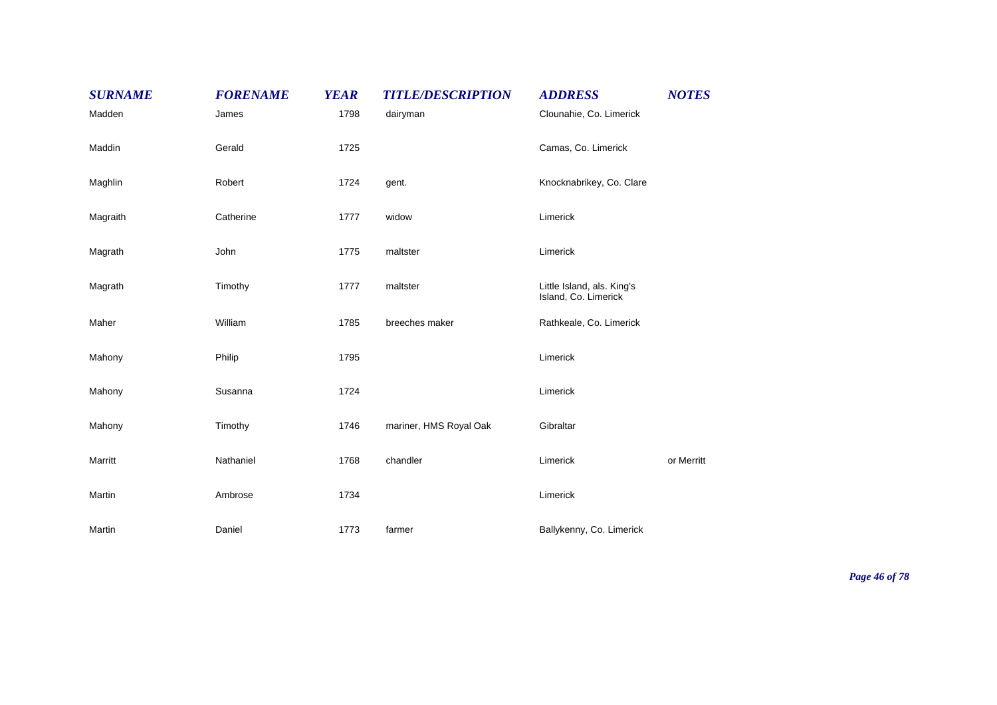| <b>SURNAME</b> | <b>FORENAME</b> | <b>YEAR</b> | <b>TITLE/DESCRIPTION</b> | <b>ADDRESS</b>                                     | <b>NOTES</b> |
|----------------|-----------------|-------------|--------------------------|----------------------------------------------------|--------------|
| Madden         | James           | 1798        | dairyman                 | Clounahie, Co. Limerick                            |              |
| Maddin         | Gerald          | 1725        |                          | Camas, Co. Limerick                                |              |
| Maghlin        | Robert          | 1724        | gent.                    | Knocknabrikey, Co. Clare                           |              |
| Magraith       | Catherine       | 1777        | widow                    | Limerick                                           |              |
| Magrath        | John            | 1775        | maltster                 | Limerick                                           |              |
| Magrath        | Timothy         | 1777        | maltster                 | Little Island, als. King's<br>Island, Co. Limerick |              |
| Maher          | William         | 1785        | breeches maker           | Rathkeale, Co. Limerick                            |              |
| Mahony         | Philip          | 1795        |                          | Limerick                                           |              |
| Mahony         | Susanna         | 1724        |                          | Limerick                                           |              |
| Mahony         | Timothy         | 1746        | mariner, HMS Royal Oak   | Gibraltar                                          |              |
| Marritt        | Nathaniel       | 1768        | chandler                 | Limerick                                           | or Merritt   |
| Martin         | Ambrose         | 1734        |                          | Limerick                                           |              |
| Martin         | Daniel          | 1773        | farmer                   | Ballykenny, Co. Limerick                           |              |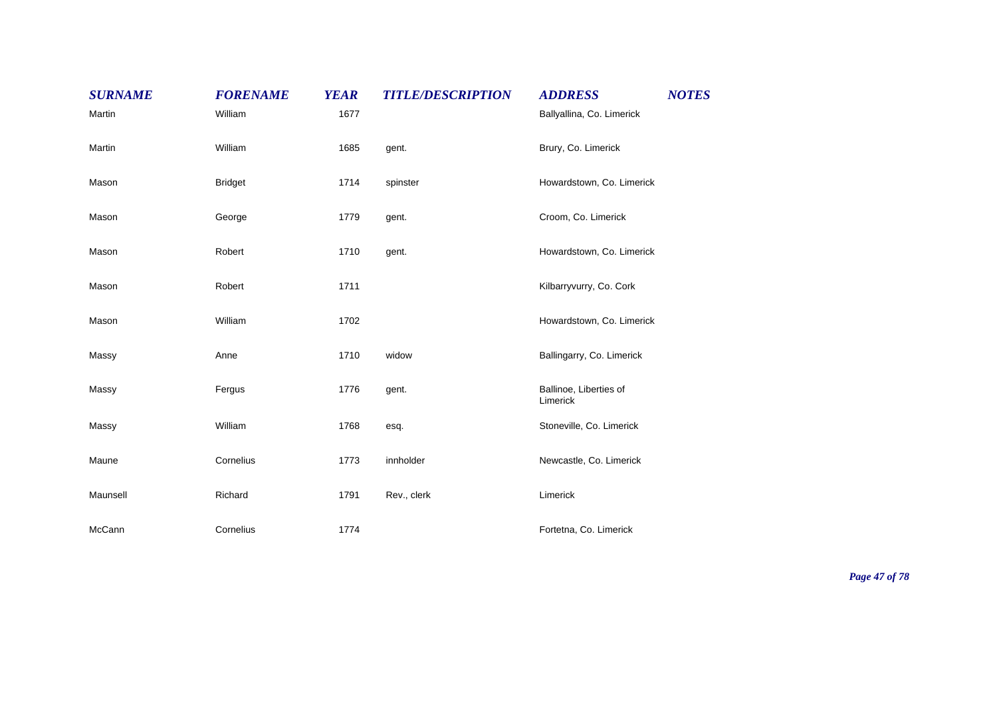| <b>SURNAME</b> | <b>FORENAME</b> | <b>YEAR</b> | <b>TITLE/DESCRIPTION</b> | <b>ADDRESS</b>                     | <b>NOTES</b> |
|----------------|-----------------|-------------|--------------------------|------------------------------------|--------------|
| Martin         | William         | 1677        |                          | Ballyallina, Co. Limerick          |              |
| Martin         | William         | 1685        | gent.                    | Brury, Co. Limerick                |              |
| Mason          | <b>Bridget</b>  | 1714        | spinster                 | Howardstown, Co. Limerick          |              |
| Mason          | George          | 1779        | gent.                    | Croom, Co. Limerick                |              |
| Mason          | Robert          | 1710        | gent.                    | Howardstown, Co. Limerick          |              |
| Mason          | Robert          | 1711        |                          | Kilbarryvurry, Co. Cork            |              |
| Mason          | William         | 1702        |                          | Howardstown, Co. Limerick          |              |
| Massy          | Anne            | 1710        | widow                    | Ballingarry, Co. Limerick          |              |
| Massy          | Fergus          | 1776        | gent.                    | Ballinoe, Liberties of<br>Limerick |              |
| Massy          | William         | 1768        | esq.                     | Stoneville, Co. Limerick           |              |
| Maune          | Cornelius       | 1773        | innholder                | Newcastle, Co. Limerick            |              |
| Maunsell       | Richard         | 1791        | Rev., clerk              | Limerick                           |              |
| McCann         | Cornelius       | 1774        |                          | Fortetna, Co. Limerick             |              |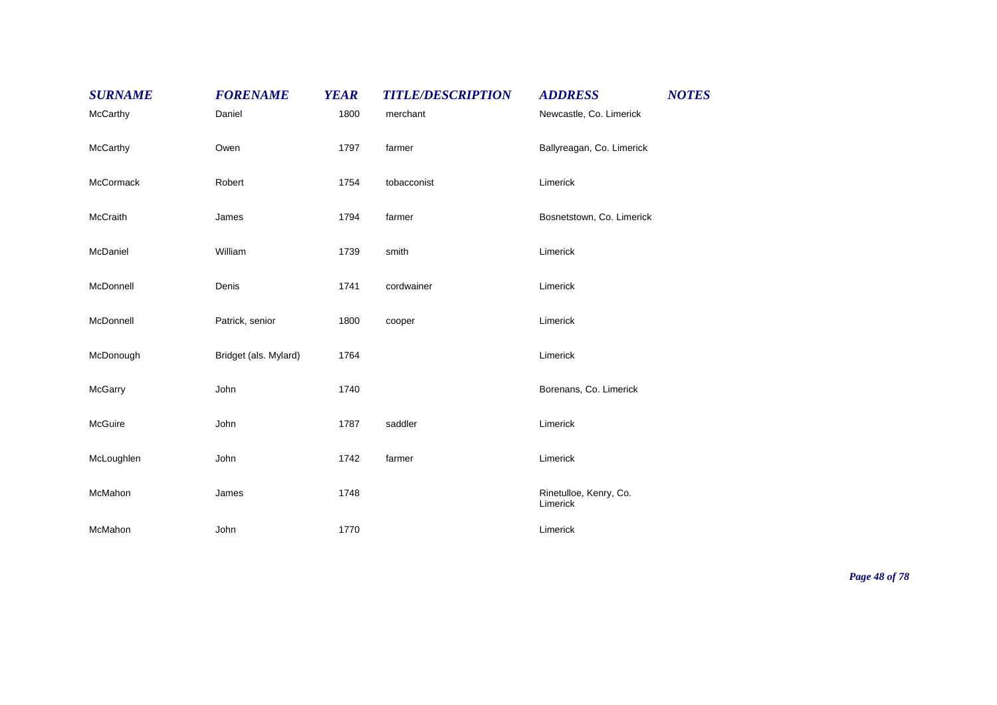| <b>SURNAME</b> | <b>FORENAME</b>       | <b>YEAR</b> | <b>TITLE/DESCRIPTION</b> | <b>ADDRESS</b>                     | <b>NOTES</b> |
|----------------|-----------------------|-------------|--------------------------|------------------------------------|--------------|
| McCarthy       | Daniel                | 1800        | merchant                 | Newcastle, Co. Limerick            |              |
| McCarthy       | Owen                  | 1797        | farmer                   | Ballyreagan, Co. Limerick          |              |
| McCormack      | Robert                | 1754        | tobacconist              | Limerick                           |              |
| McCraith       | James                 | 1794        | farmer                   | Bosnetstown, Co. Limerick          |              |
| McDaniel       | William               | 1739        | smith                    | Limerick                           |              |
| McDonnell      | Denis                 | 1741        | cordwainer               | Limerick                           |              |
| McDonnell      | Patrick, senior       | 1800        | cooper                   | Limerick                           |              |
| McDonough      | Bridget (als. Mylard) | 1764        |                          | Limerick                           |              |
| McGarry        | John                  | 1740        |                          | Borenans, Co. Limerick             |              |
| McGuire        | John                  | 1787        | saddler                  | Limerick                           |              |
| McLoughlen     | John                  | 1742        | farmer                   | Limerick                           |              |
| McMahon        | James                 | 1748        |                          | Rinetulloe, Kenry, Co.<br>Limerick |              |
| McMahon        | John                  | 1770        |                          | Limerick                           |              |

*Page 48 of 78*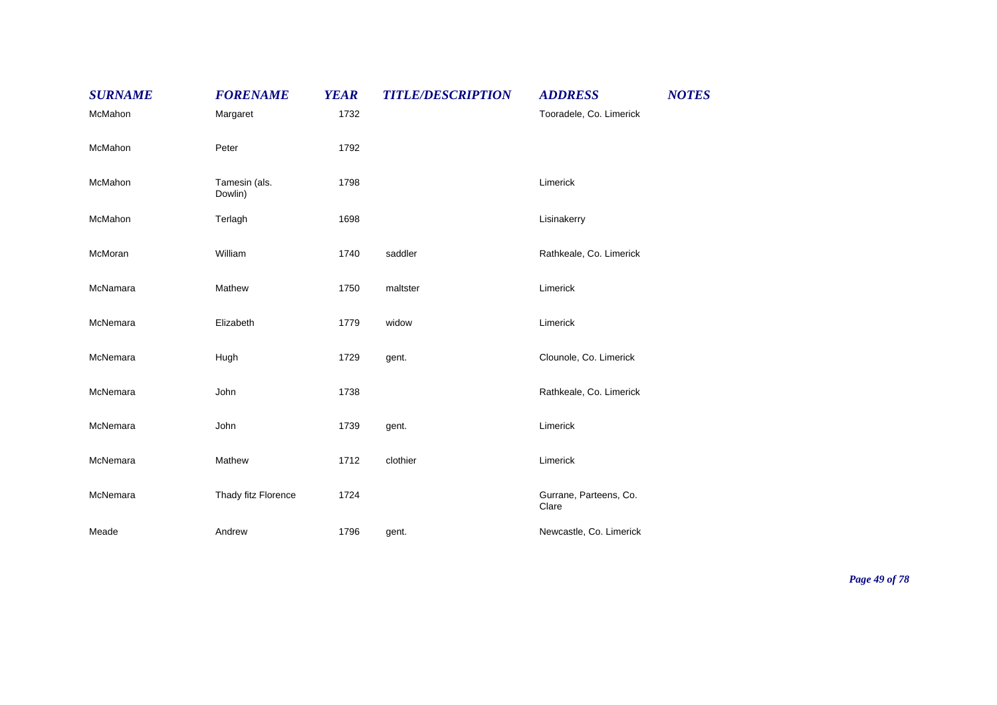| <b>SURNAME</b> | <b>FORENAME</b>          | <b>YEAR</b> | <b>TITLE/DESCRIPTION</b> | <b>ADDRESS</b>                  | <b>NOTES</b> |
|----------------|--------------------------|-------------|--------------------------|---------------------------------|--------------|
| McMahon        | Margaret                 | 1732        |                          | Tooradele, Co. Limerick         |              |
| McMahon        | Peter                    | 1792        |                          |                                 |              |
| McMahon        | Tamesin (als.<br>Dowlin) | 1798        |                          | Limerick                        |              |
| McMahon        | Terlagh                  | 1698        |                          | Lisinakerry                     |              |
| McMoran        | William                  | 1740        | saddler                  | Rathkeale, Co. Limerick         |              |
| McNamara       | Mathew                   | 1750        | maltster                 | Limerick                        |              |
| McNemara       | Elizabeth                | 1779        | widow                    | Limerick                        |              |
| McNemara       | Hugh                     | 1729        | gent.                    | Clounole, Co. Limerick          |              |
| McNemara       | John                     | 1738        |                          | Rathkeale, Co. Limerick         |              |
| McNemara       | John                     | 1739        | gent.                    | Limerick                        |              |
| McNemara       | Mathew                   | 1712        | clothier                 | Limerick                        |              |
| McNemara       | Thady fitz Florence      | 1724        |                          | Gurrane, Parteens, Co.<br>Clare |              |
| Meade          | Andrew                   | 1796        | gent.                    | Newcastle, Co. Limerick         |              |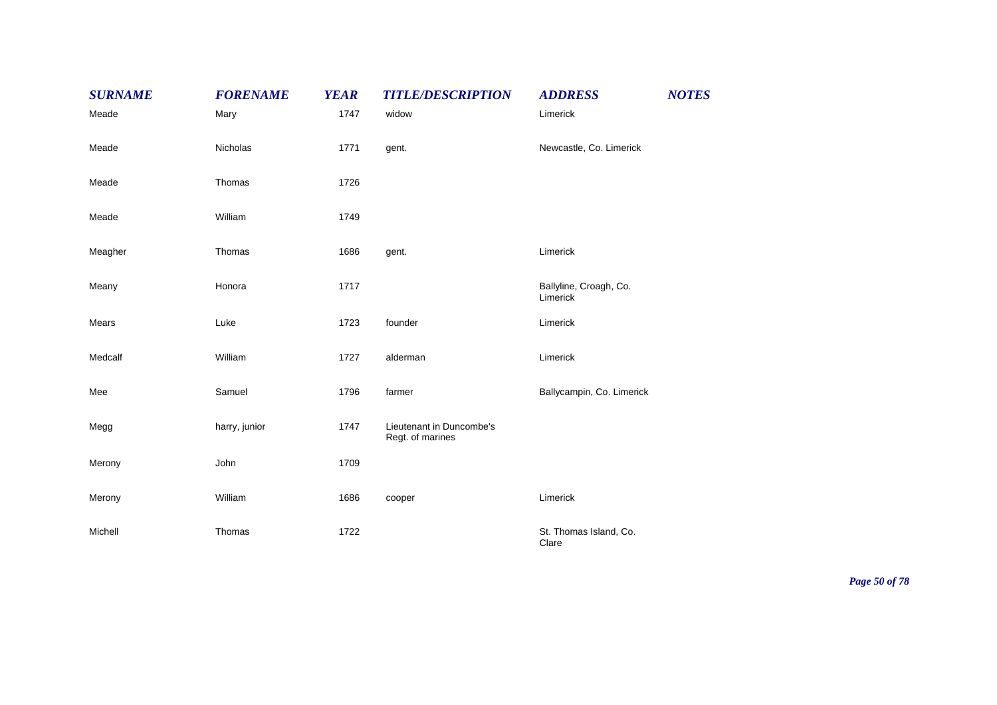| <b>SURNAME</b> | <b>FORENAME</b> | <b>YEAR</b> | <b>TITLE/DESCRIPTION</b>                     | <b>ADDRESS</b>                     | <b>NOTES</b> |
|----------------|-----------------|-------------|----------------------------------------------|------------------------------------|--------------|
| Meade          | Mary            | 1747        | widow                                        | Limerick                           |              |
| Meade          | Nicholas        | 1771        | gent.                                        | Newcastle, Co. Limerick            |              |
| Meade          | Thomas          | 1726        |                                              |                                    |              |
| Meade          | William         | 1749        |                                              |                                    |              |
| Meagher        | Thomas          | 1686        | gent.                                        | Limerick                           |              |
| Meany          | Honora          | 1717        |                                              | Ballyline, Croagh, Co.<br>Limerick |              |
| Mears          | Luke            | 1723        | founder                                      | Limerick                           |              |
| Medcalf        | William         | 1727        | alderman                                     | Limerick                           |              |
| Mee            | Samuel          | 1796        | farmer                                       | Ballycampin, Co. Limerick          |              |
| Megg           | harry, junior   | 1747        | Lieutenant in Duncombe's<br>Regt. of marines |                                    |              |
| Merony         | John            | 1709        |                                              |                                    |              |
| Merony         | William         | 1686        | cooper                                       | Limerick                           |              |
| Michell        | Thomas          | 1722        |                                              | St. Thomas Island, Co.<br>Clare    |              |

*Page 50 of 78*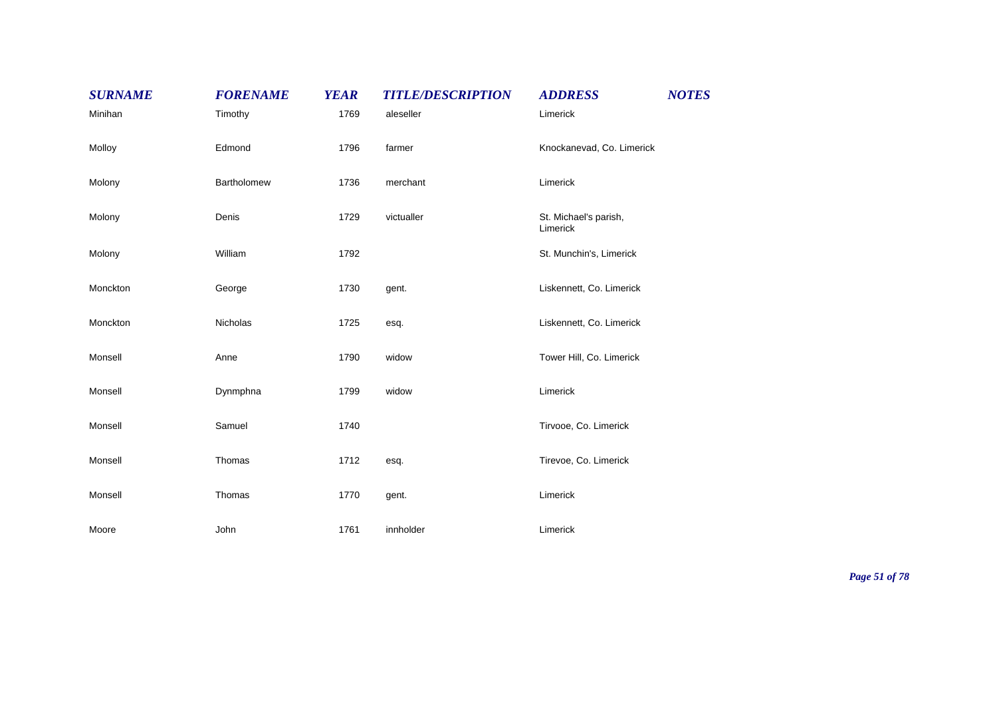| <b>SURNAME</b> | <b>FORENAME</b> | <b>YEAR</b> | <b>TITLE/DESCRIPTION</b> | <b>ADDRESS</b>                    | <b>NOTES</b> |
|----------------|-----------------|-------------|--------------------------|-----------------------------------|--------------|
| Minihan        | Timothy         | 1769        | aleseller                | Limerick                          |              |
| Molloy         | Edmond          | 1796        | farmer                   | Knockanevad, Co. Limerick         |              |
| Molony         | Bartholomew     | 1736        | merchant                 | Limerick                          |              |
| Molony         | Denis           | 1729        | victualler               | St. Michael's parish,<br>Limerick |              |
| Molony         | William         | 1792        |                          | St. Munchin's, Limerick           |              |
| Monckton       | George          | 1730        | gent.                    | Liskennett, Co. Limerick          |              |
| Monckton       | Nicholas        | 1725        | esq.                     | Liskennett, Co. Limerick          |              |
| Monsell        | Anne            | 1790        | widow                    | Tower Hill, Co. Limerick          |              |
| Monsell        | Dynmphna        | 1799        | widow                    | Limerick                          |              |
| Monsell        | Samuel          | 1740        |                          | Tirvooe, Co. Limerick             |              |
| Monsell        | Thomas          | 1712        | esq.                     | Tirevoe, Co. Limerick             |              |
| Monsell        | Thomas          | 1770        | gent.                    | Limerick                          |              |
| Moore          | John            | 1761        | innholder                | Limerick                          |              |

*Page 51 of 78*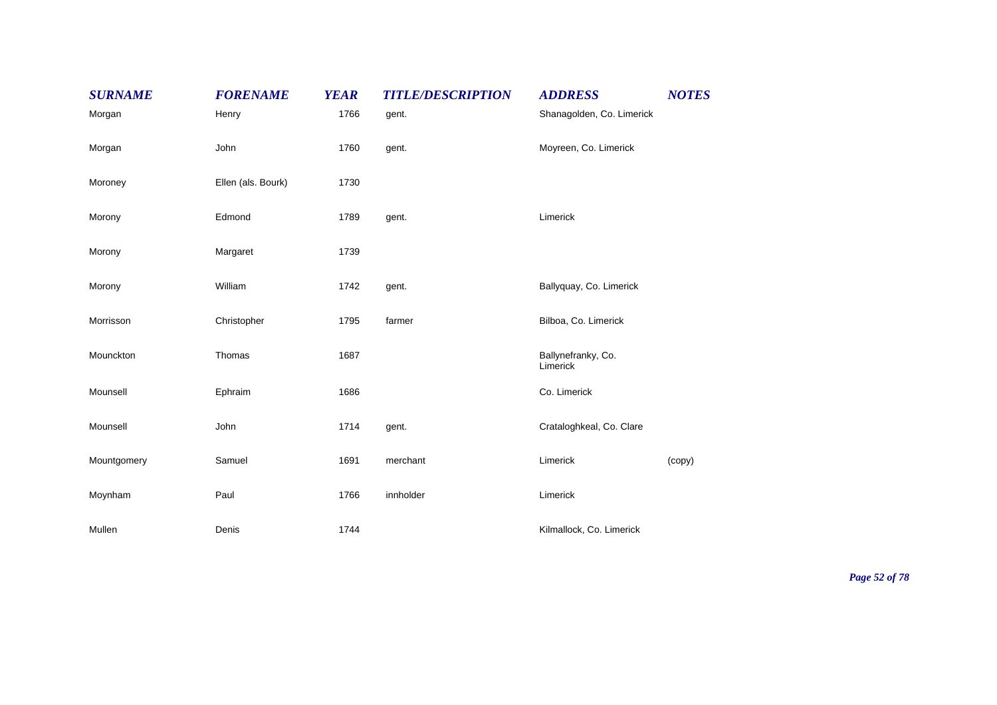| <b>SURNAME</b> | <b>FORENAME</b>    | <b>YEAR</b> | <b>TITLE/DESCRIPTION</b> | <b>ADDRESS</b>                 | <b>NOTES</b> |
|----------------|--------------------|-------------|--------------------------|--------------------------------|--------------|
| Morgan         | Henry              | 1766        | gent.                    | Shanagolden, Co. Limerick      |              |
| Morgan         | John               | 1760        | gent.                    | Moyreen, Co. Limerick          |              |
| Moroney        | Ellen (als. Bourk) | 1730        |                          |                                |              |
| Morony         | Edmond             | 1789        | gent.                    | Limerick                       |              |
| Morony         | Margaret           | 1739        |                          |                                |              |
| Morony         | William            | 1742        | gent.                    | Ballyquay, Co. Limerick        |              |
| Morrisson      | Christopher        | 1795        | farmer                   | Bilboa, Co. Limerick           |              |
| Mounckton      | Thomas             | 1687        |                          | Ballynefranky, Co.<br>Limerick |              |
| Mounsell       | Ephraim            | 1686        |                          | Co. Limerick                   |              |
| Mounsell       | John               | 1714        | gent.                    | Crataloghkeal, Co. Clare       |              |
| Mountgomery    | Samuel             | 1691        | merchant                 | Limerick                       | (copy)       |
| Moynham        | Paul               | 1766        | innholder                | Limerick                       |              |
| Mullen         | Denis              | 1744        |                          | Kilmallock, Co. Limerick       |              |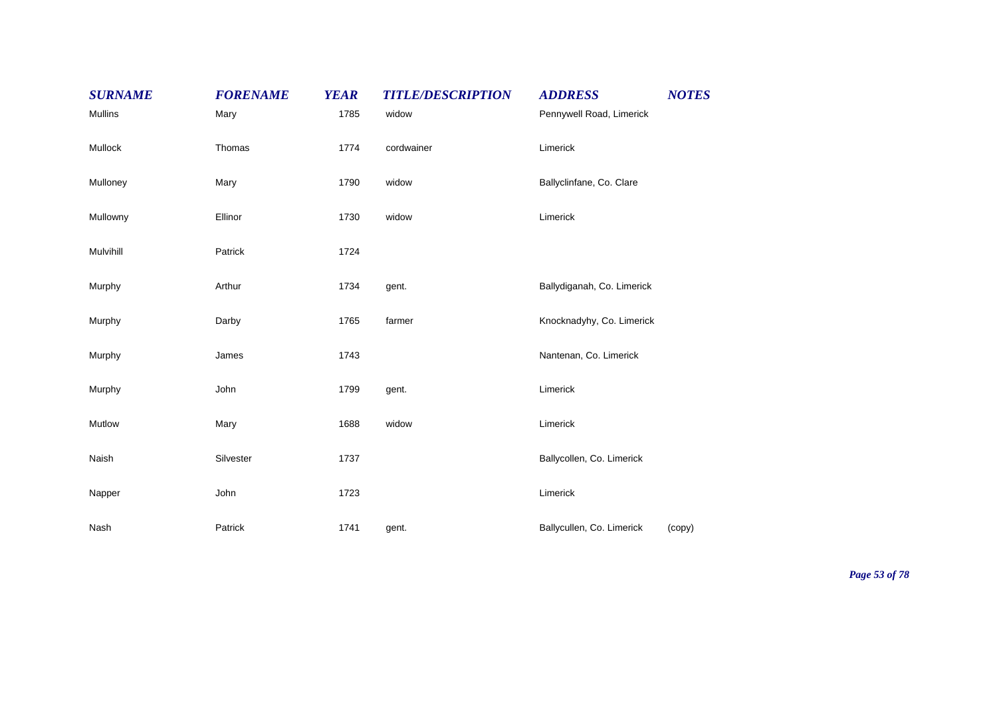| <b>SURNAME</b> | <b>FORENAME</b> | <b>YEAR</b> | <b>TITLE/DESCRIPTION</b> | <b>ADDRESS</b>             | <b>NOTES</b> |
|----------------|-----------------|-------------|--------------------------|----------------------------|--------------|
| Mullins        | Mary            | 1785        | widow                    | Pennywell Road, Limerick   |              |
| Mullock        | Thomas          | 1774        | cordwainer               | Limerick                   |              |
| Mulloney       | Mary            | 1790        | widow                    | Ballyclinfane, Co. Clare   |              |
| Mullowny       | Ellinor         | 1730        | widow                    | Limerick                   |              |
| Mulvihill      | Patrick         | 1724        |                          |                            |              |
| Murphy         | Arthur          | 1734        | gent.                    | Ballydiganah, Co. Limerick |              |
| Murphy         | Darby           | 1765        | farmer                   | Knocknadyhy, Co. Limerick  |              |
| Murphy         | James           | 1743        |                          | Nantenan, Co. Limerick     |              |
| Murphy         | John            | 1799        | gent.                    | Limerick                   |              |
| Mutlow         | Mary            | 1688        | widow                    | Limerick                   |              |
| Naish          | Silvester       | 1737        |                          | Ballycollen, Co. Limerick  |              |
| Napper         | John            | 1723        |                          | Limerick                   |              |
| Nash           | Patrick         | 1741        | gent.                    | Ballycullen, Co. Limerick  | (copy)       |

*Page 53 of 78*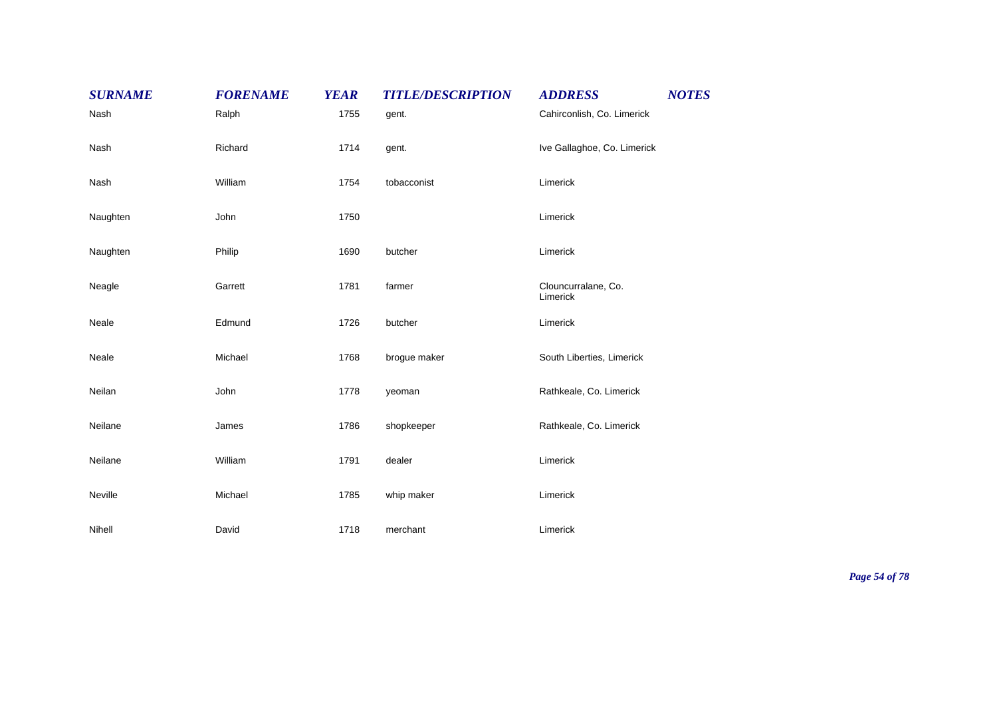| <b>SURNAME</b> | <b>FORENAME</b> | <b>YEAR</b> | <b>TITLE/DESCRIPTION</b> | <b>ADDRESS</b>                  | <b>NOTES</b> |
|----------------|-----------------|-------------|--------------------------|---------------------------------|--------------|
| Nash           | Ralph           | 1755        | gent.                    | Cahirconlish, Co. Limerick      |              |
| Nash           | Richard         | 1714        | gent.                    | Ive Gallaghoe, Co. Limerick     |              |
| Nash           | William         | 1754        | tobacconist              | Limerick                        |              |
| Naughten       | John            | 1750        |                          | Limerick                        |              |
| Naughten       | Philip          | 1690        | butcher                  | Limerick                        |              |
| Neagle         | Garrett         | 1781        | farmer                   | Clouncurralane, Co.<br>Limerick |              |
| Neale          | Edmund          | 1726        | butcher                  | Limerick                        |              |
| Neale          | Michael         | 1768        | brogue maker             | South Liberties, Limerick       |              |
| Neilan         | John            | 1778        | yeoman                   | Rathkeale, Co. Limerick         |              |
| Neilane        | James           | 1786        | shopkeeper               | Rathkeale, Co. Limerick         |              |
| Neilane        | William         | 1791        | dealer                   | Limerick                        |              |
| Neville        | Michael         | 1785        | whip maker               | Limerick                        |              |
| Nihell         | David           | 1718        | merchant                 | Limerick                        |              |

*Page 54 of 78*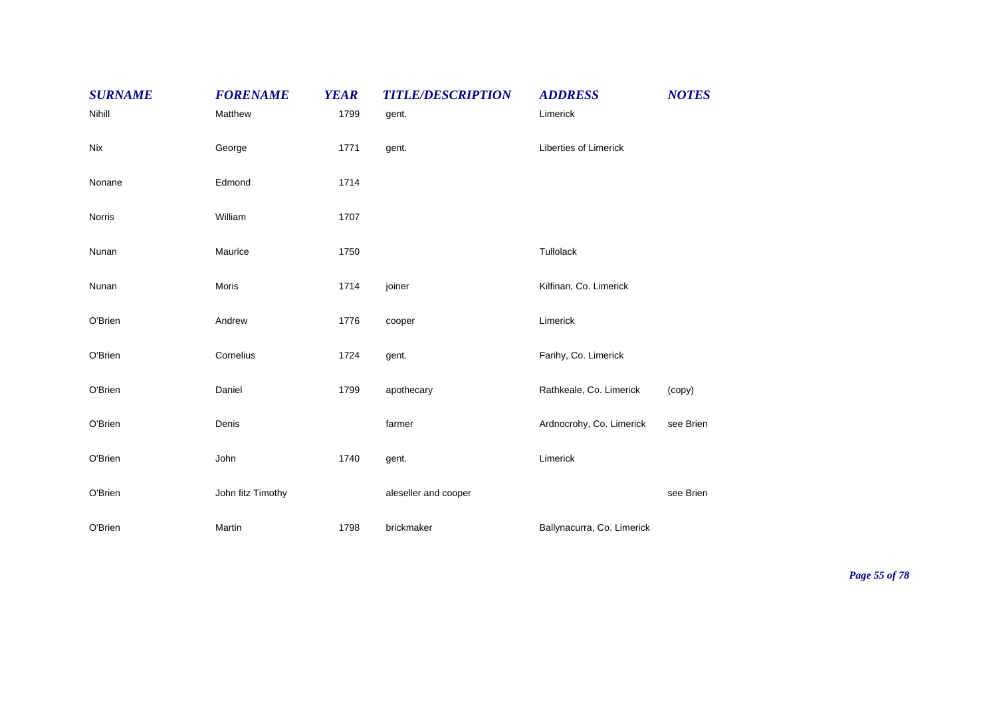| <b>SURNAME</b> | <b>FORENAME</b>   | <b>YEAR</b> | <b>TITLE/DESCRIPTION</b> | <b>ADDRESS</b>               | <b>NOTES</b> |
|----------------|-------------------|-------------|--------------------------|------------------------------|--------------|
| Nihill         | Matthew           | 1799        | gent.                    | Limerick                     |              |
| Nix            | George            | 1771        | gent.                    | <b>Liberties of Limerick</b> |              |
| Nonane         | Edmond            | 1714        |                          |                              |              |
| Norris         | William           | 1707        |                          |                              |              |
| Nunan          | Maurice           | 1750        |                          | Tullolack                    |              |
| Nunan          | Moris             | 1714        | joiner                   | Kilfinan, Co. Limerick       |              |
| O'Brien        | Andrew            | 1776        | cooper                   | Limerick                     |              |
| O'Brien        | Cornelius         | 1724        | gent.                    | Farihy, Co. Limerick         |              |
| O'Brien        | Daniel            | 1799        | apothecary               | Rathkeale, Co. Limerick      | (copy)       |
| O'Brien        | Denis             |             | farmer                   | Ardnocrohy, Co. Limerick     | see Brien    |
| O'Brien        | John              | 1740        | gent.                    | Limerick                     |              |
| O'Brien        | John fitz Timothy |             | aleseller and cooper     |                              | see Brien    |
| O'Brien        | Martin            | 1798        | brickmaker               | Ballynacurra, Co. Limerick   |              |

*Page 55 of 78*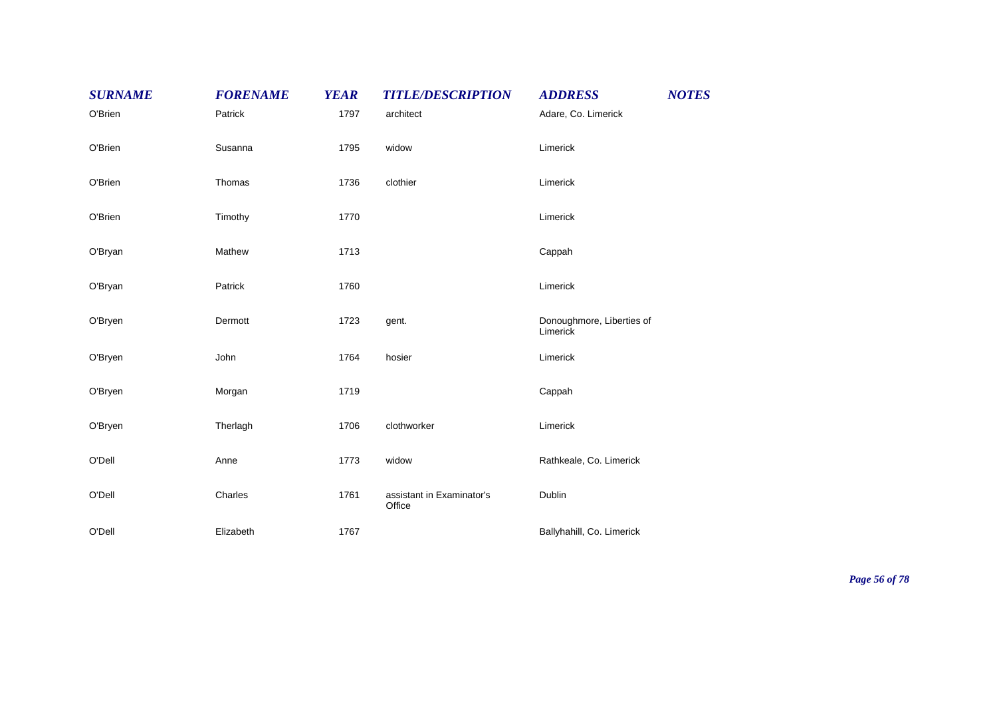| <b>SURNAME</b> | <b>FORENAME</b> | <b>YEAR</b> | <b>TITLE/DESCRIPTION</b>            | <b>ADDRESS</b>                        | <b>NOTES</b> |
|----------------|-----------------|-------------|-------------------------------------|---------------------------------------|--------------|
| O'Brien        | Patrick         | 1797        | architect                           | Adare, Co. Limerick                   |              |
| O'Brien        | Susanna         | 1795        | widow                               | Limerick                              |              |
| O'Brien        | Thomas          | 1736        | clothier                            | Limerick                              |              |
| O'Brien        | Timothy         | 1770        |                                     | Limerick                              |              |
| O'Bryan        | Mathew          | 1713        |                                     | Cappah                                |              |
| O'Bryan        | Patrick         | 1760        |                                     | Limerick                              |              |
| O'Bryen        | Dermott         | 1723        | gent.                               | Donoughmore, Liberties of<br>Limerick |              |
| O'Bryen        | John            | 1764        | hosier                              | Limerick                              |              |
| O'Bryen        | Morgan          | 1719        |                                     | Cappah                                |              |
| O'Bryen        | Therlagh        | 1706        | clothworker                         | Limerick                              |              |
| O'Dell         | Anne            | 1773        | widow                               | Rathkeale, Co. Limerick               |              |
| O'Dell         | Charles         | 1761        | assistant in Examinator's<br>Office | Dublin                                |              |
| O'Dell         | Elizabeth       | 1767        |                                     | Ballyhahill, Co. Limerick             |              |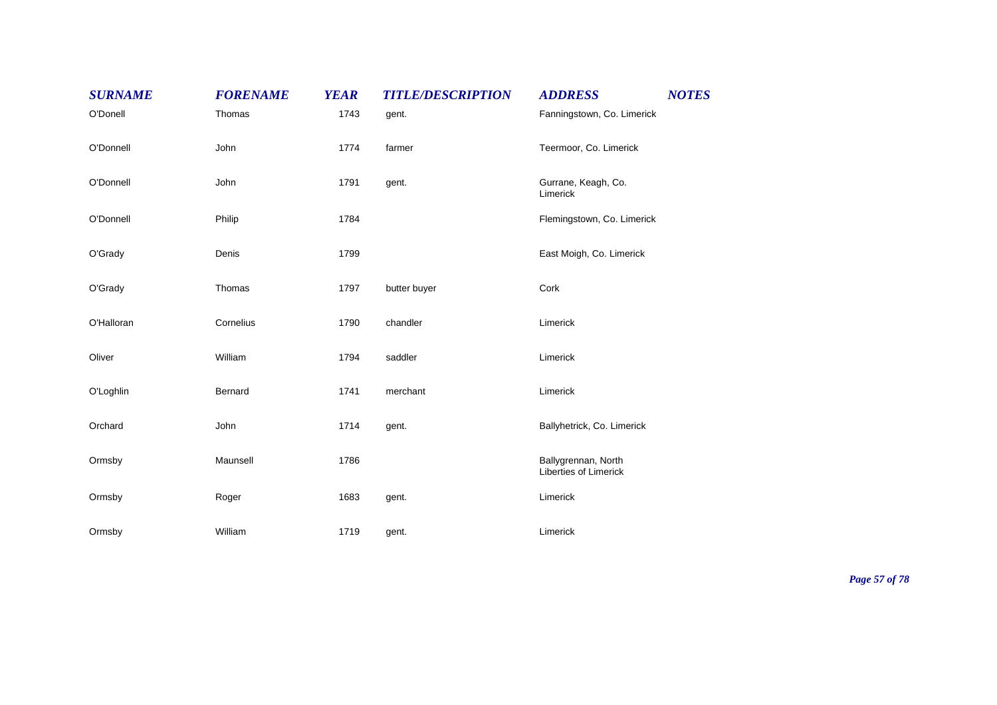| <b>SURNAME</b> | <b>FORENAME</b> | <b>YEAR</b> | <b>TITLE/DESCRIPTION</b> | <b>ADDRESS</b>                               | <b>NOTES</b> |
|----------------|-----------------|-------------|--------------------------|----------------------------------------------|--------------|
| O'Donell       | Thomas          | 1743        | gent.                    | Fanningstown, Co. Limerick                   |              |
| O'Donnell      | John            | 1774        | farmer                   | Teermoor, Co. Limerick                       |              |
| O'Donnell      | John            | 1791        | gent.                    | Gurrane, Keagh, Co.<br>Limerick              |              |
| O'Donnell      | Philip          | 1784        |                          | Flemingstown, Co. Limerick                   |              |
| O'Grady        | Denis           | 1799        |                          | East Moigh, Co. Limerick                     |              |
| O'Grady        | Thomas          | 1797        | butter buyer             | Cork                                         |              |
| O'Halloran     | Cornelius       | 1790        | chandler                 | Limerick                                     |              |
| Oliver         | William         | 1794        | saddler                  | Limerick                                     |              |
| O'Loghlin      | Bernard         | 1741        | merchant                 | Limerick                                     |              |
| Orchard        | John            | 1714        | gent.                    | Ballyhetrick, Co. Limerick                   |              |
| Ormsby         | Maunsell        | 1786        |                          | Ballygrennan, North<br>Liberties of Limerick |              |
| Ormsby         | Roger           | 1683        | gent.                    | Limerick                                     |              |
| Ormsby         | William         | 1719        | gent.                    | Limerick                                     |              |

*Page 57 of 78*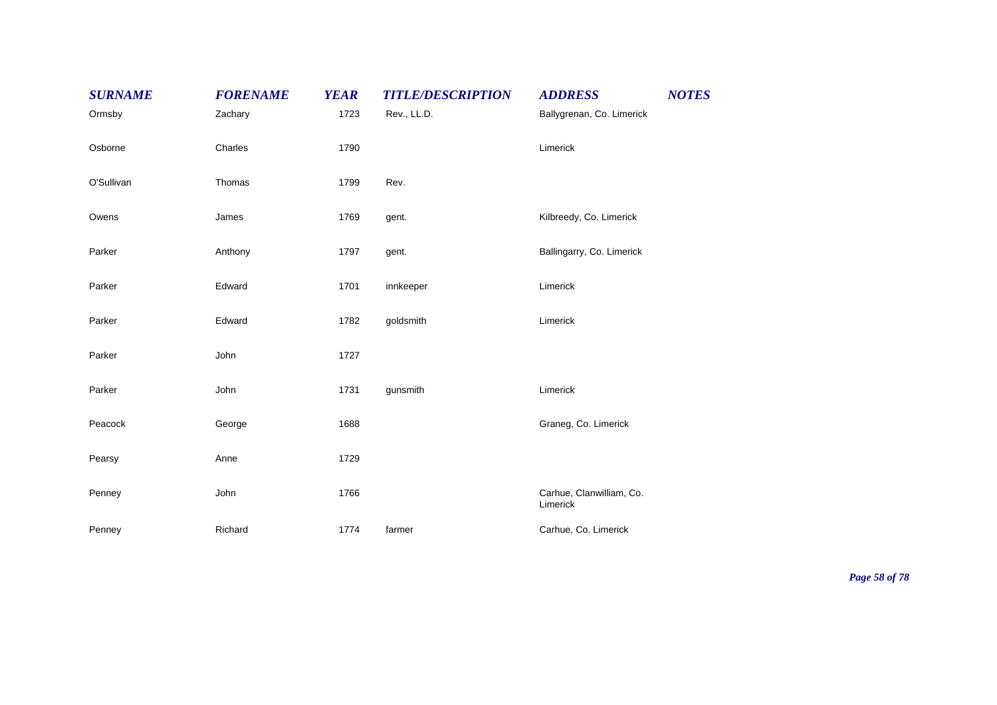| <b>SURNAME</b> | <b>FORENAME</b> | <b>YEAR</b> | <b>TITLE/DESCRIPTION</b> | <b>ADDRESS</b>                       | <b>NOTES</b> |
|----------------|-----------------|-------------|--------------------------|--------------------------------------|--------------|
| Ormsby         | Zachary         | 1723        | Rev., LL.D.              | Ballygrenan, Co. Limerick            |              |
| Osborne        | Charles         | 1790        |                          | Limerick                             |              |
| O'Sullivan     | Thomas          | 1799        | Rev.                     |                                      |              |
| Owens          | James           | 1769        | gent.                    | Kilbreedy, Co. Limerick              |              |
| Parker         | Anthony         | 1797        | gent.                    | Ballingarry, Co. Limerick            |              |
| Parker         | Edward          | 1701        | innkeeper                | Limerick                             |              |
| Parker         | Edward          | 1782        | goldsmith                | Limerick                             |              |
| Parker         | John            | 1727        |                          |                                      |              |
| Parker         | John            | 1731        | gunsmith                 | Limerick                             |              |
| Peacock        | George          | 1688        |                          | Graneg, Co. Limerick                 |              |
| Pearsy         | Anne            | 1729        |                          |                                      |              |
| Penney         | John            | 1766        |                          | Carhue, Clanwilliam, Co.<br>Limerick |              |
| Penney         | Richard         | 1774        | farmer                   | Carhue, Co. Limerick                 |              |

*Page 58 of 78*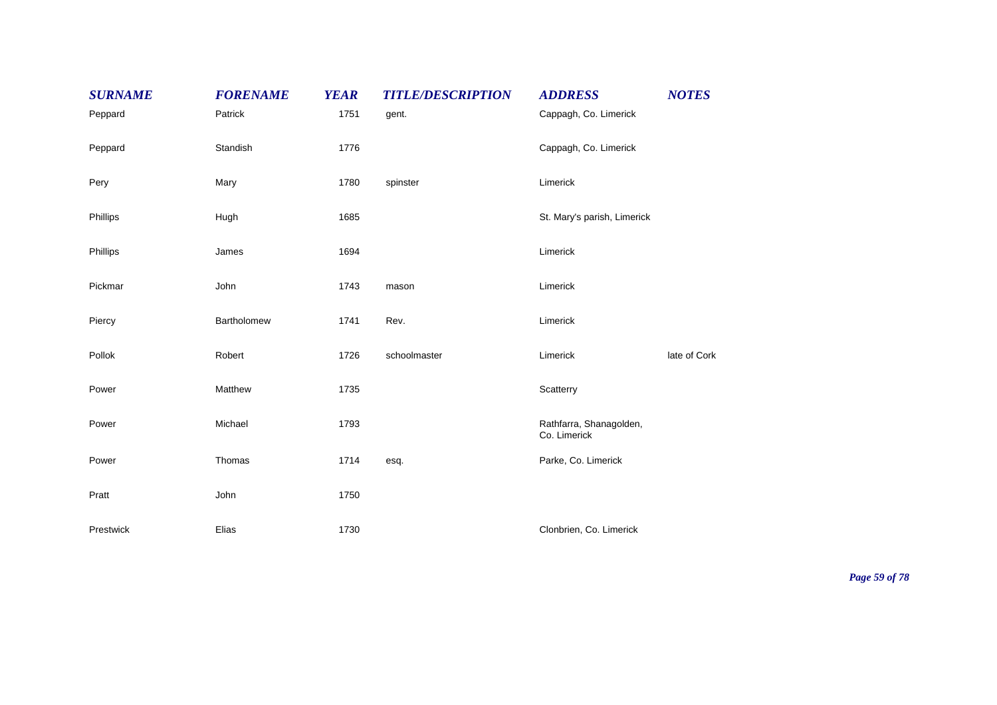| <b>SURNAME</b> | <b>FORENAME</b> | <b>YEAR</b> | <b>TITLE/DESCRIPTION</b> | <b>ADDRESS</b>                          | <b>NOTES</b> |
|----------------|-----------------|-------------|--------------------------|-----------------------------------------|--------------|
| Peppard        | Patrick         | 1751        | gent.                    | Cappagh, Co. Limerick                   |              |
| Peppard        | Standish        | 1776        |                          | Cappagh, Co. Limerick                   |              |
| Pery           | Mary            | 1780        | spinster                 | Limerick                                |              |
| Phillips       | Hugh            | 1685        |                          | St. Mary's parish, Limerick             |              |
| Phillips       | James           | 1694        |                          | Limerick                                |              |
| Pickmar        | John            | 1743        | mason                    | Limerick                                |              |
| Piercy         | Bartholomew     | 1741        | Rev.                     | Limerick                                |              |
| Pollok         | Robert          | 1726        | schoolmaster             | Limerick                                | late of Cork |
| Power          | Matthew         | 1735        |                          | Scatterry                               |              |
| Power          | Michael         | 1793        |                          | Rathfarra, Shanagolden,<br>Co. Limerick |              |
| Power          | Thomas          | 1714        | esq.                     | Parke, Co. Limerick                     |              |
| Pratt          | John            | 1750        |                          |                                         |              |
| Prestwick      | Elias           | 1730        |                          | Clonbrien, Co. Limerick                 |              |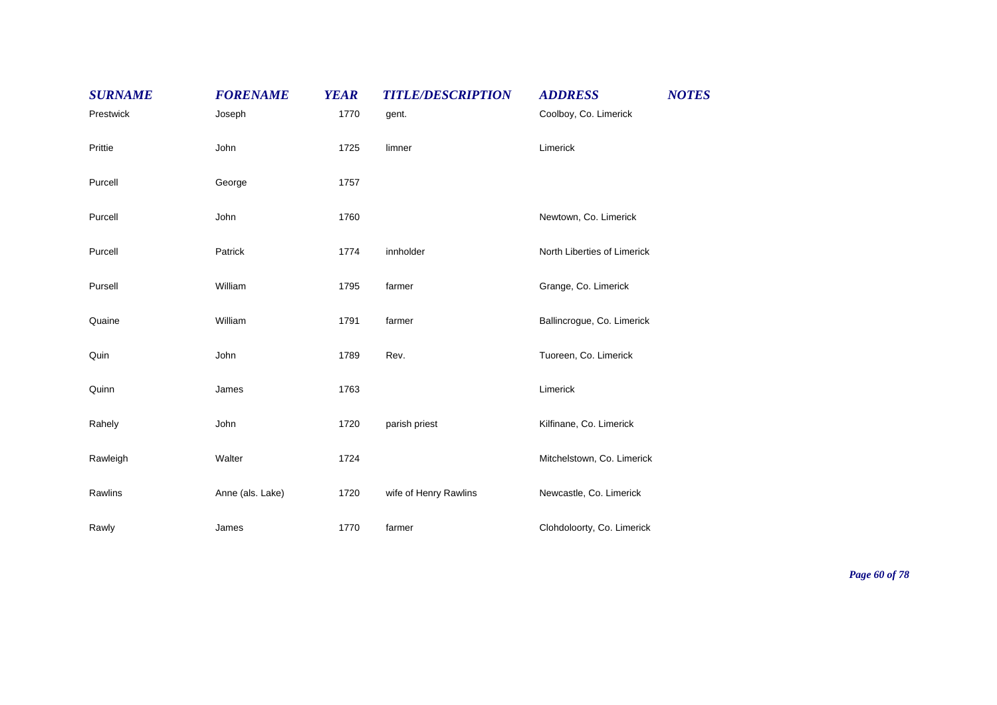| <b>SURNAME</b> | <b>FORENAME</b>  | <b>YEAR</b> | <b>TITLE/DESCRIPTION</b> | <b>ADDRESS</b>              | <b>NOTES</b> |
|----------------|------------------|-------------|--------------------------|-----------------------------|--------------|
| Prestwick      | Joseph           | 1770        | gent.                    | Coolboy, Co. Limerick       |              |
| Prittie        | John             | 1725        | limner                   | Limerick                    |              |
| Purcell        | George           | 1757        |                          |                             |              |
| Purcell        | John             | 1760        |                          | Newtown, Co. Limerick       |              |
| Purcell        | Patrick          | 1774        | innholder                | North Liberties of Limerick |              |
| Pursell        | William          | 1795        | farmer                   | Grange, Co. Limerick        |              |
| Quaine         | William          | 1791        | farmer                   | Ballincrogue, Co. Limerick  |              |
| Quin           | John             | 1789        | Rev.                     | Tuoreen, Co. Limerick       |              |
| Quinn          | James            | 1763        |                          | Limerick                    |              |
| Rahely         | John             | 1720        | parish priest            | Kilfinane, Co. Limerick     |              |
| Rawleigh       | Walter           | 1724        |                          | Mitchelstown, Co. Limerick  |              |
| Rawlins        | Anne (als. Lake) | 1720        | wife of Henry Rawlins    | Newcastle, Co. Limerick     |              |
| Rawly          | James            | 1770        | farmer                   | Clohdoloorty, Co. Limerick  |              |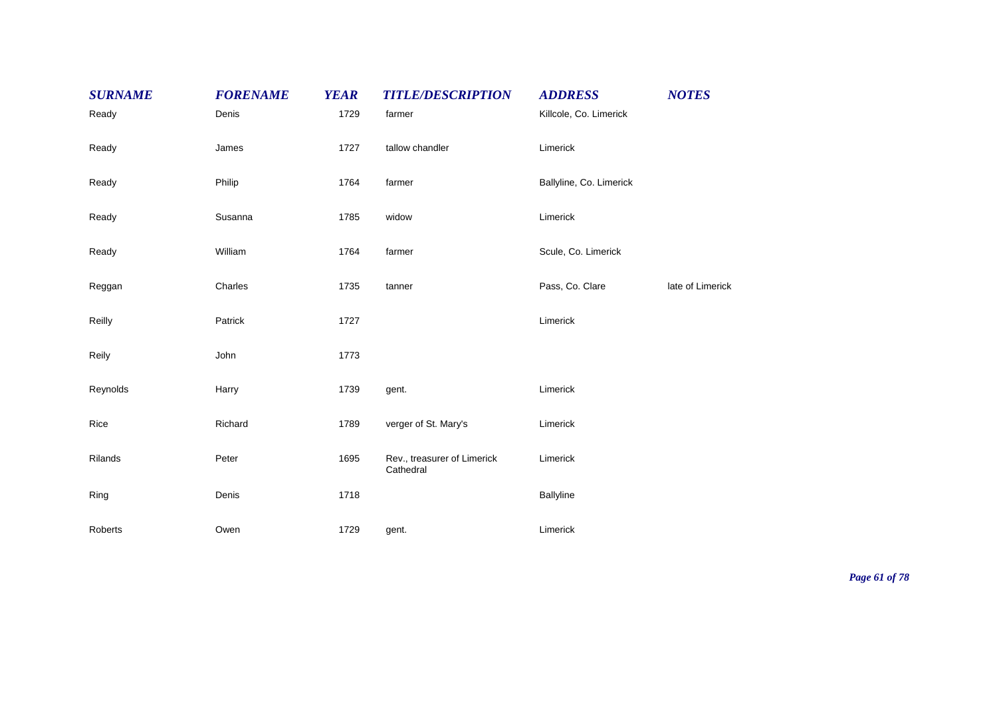| <b>SURNAME</b> | <b>FORENAME</b> | <b>YEAR</b> | <b>TITLE/DESCRIPTION</b>                 | <b>ADDRESS</b>          | <b>NOTES</b>     |
|----------------|-----------------|-------------|------------------------------------------|-------------------------|------------------|
| Ready          | Denis           | 1729        | farmer                                   | Killcole, Co. Limerick  |                  |
| Ready          | James           | 1727        | tallow chandler                          | Limerick                |                  |
| Ready          | Philip          | 1764        | farmer                                   | Ballyline, Co. Limerick |                  |
| Ready          | Susanna         | 1785        | widow                                    | Limerick                |                  |
| Ready          | William         | 1764        | farmer                                   | Scule, Co. Limerick     |                  |
| Reggan         | Charles         | 1735        | tanner                                   | Pass, Co. Clare         | late of Limerick |
| Reilly         | Patrick         | 1727        |                                          | Limerick                |                  |
| Reily          | John            | 1773        |                                          |                         |                  |
| Reynolds       | Harry           | 1739        | gent.                                    | Limerick                |                  |
| Rice           | Richard         | 1789        | verger of St. Mary's                     | Limerick                |                  |
| Rilands        | Peter           | 1695        | Rev., treasurer of Limerick<br>Cathedral | Limerick                |                  |
| Ring           | Denis           | 1718        |                                          | Ballyline               |                  |
| Roberts        | Owen            | 1729        | gent.                                    | Limerick                |                  |

*Page 61 of 78*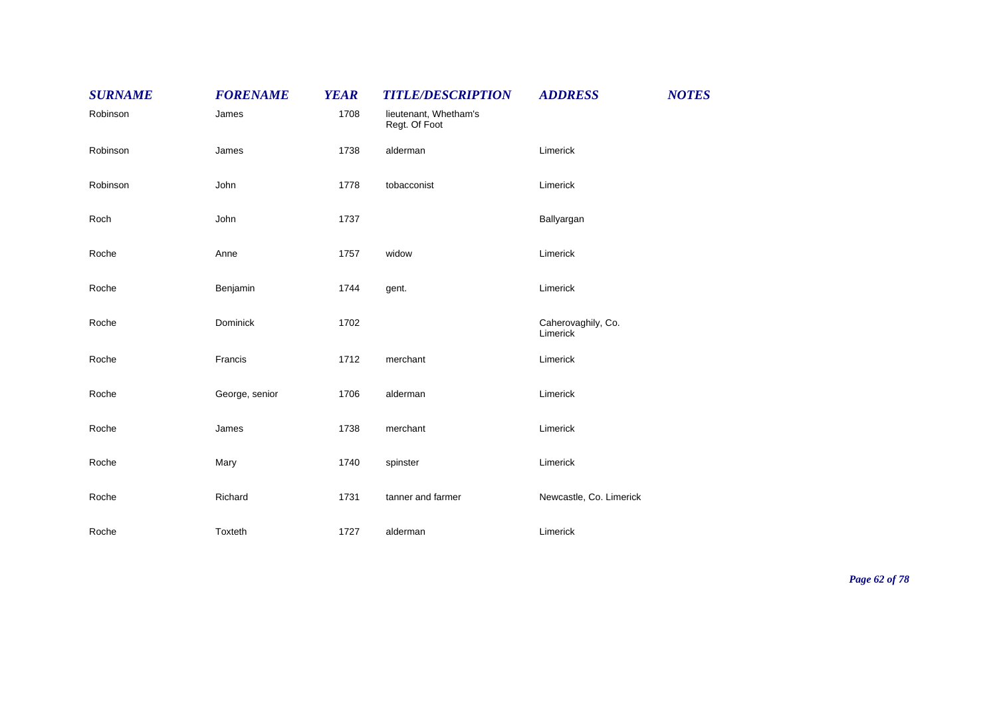| <b>SURNAME</b> | <b>FORENAME</b> | <b>YEAR</b> | <b>TITLE/DESCRIPTION</b>               | <b>ADDRESS</b>                 | <b>NOTES</b> |
|----------------|-----------------|-------------|----------------------------------------|--------------------------------|--------------|
| Robinson       | James           | 1708        | lieutenant, Whetham's<br>Regt. Of Foot |                                |              |
| Robinson       | James           | 1738        | alderman                               | Limerick                       |              |
| Robinson       | John            | 1778        | tobacconist                            | Limerick                       |              |
| Roch           | John            | 1737        |                                        | Ballyargan                     |              |
| Roche          | Anne            | 1757        | widow                                  | Limerick                       |              |
| Roche          | Benjamin        | 1744        | gent.                                  | Limerick                       |              |
| Roche          | Dominick        | 1702        |                                        | Caherovaghily, Co.<br>Limerick |              |
| Roche          | Francis         | 1712        | merchant                               | Limerick                       |              |
| Roche          | George, senior  | 1706        | alderman                               | Limerick                       |              |
| Roche          | James           | 1738        | merchant                               | Limerick                       |              |
| Roche          | Mary            | 1740        | spinster                               | Limerick                       |              |
| Roche          | Richard         | 1731        | tanner and farmer                      | Newcastle, Co. Limerick        |              |
| Roche          | Toxteth         | 1727        | alderman                               | Limerick                       |              |

*Page 62 of 78*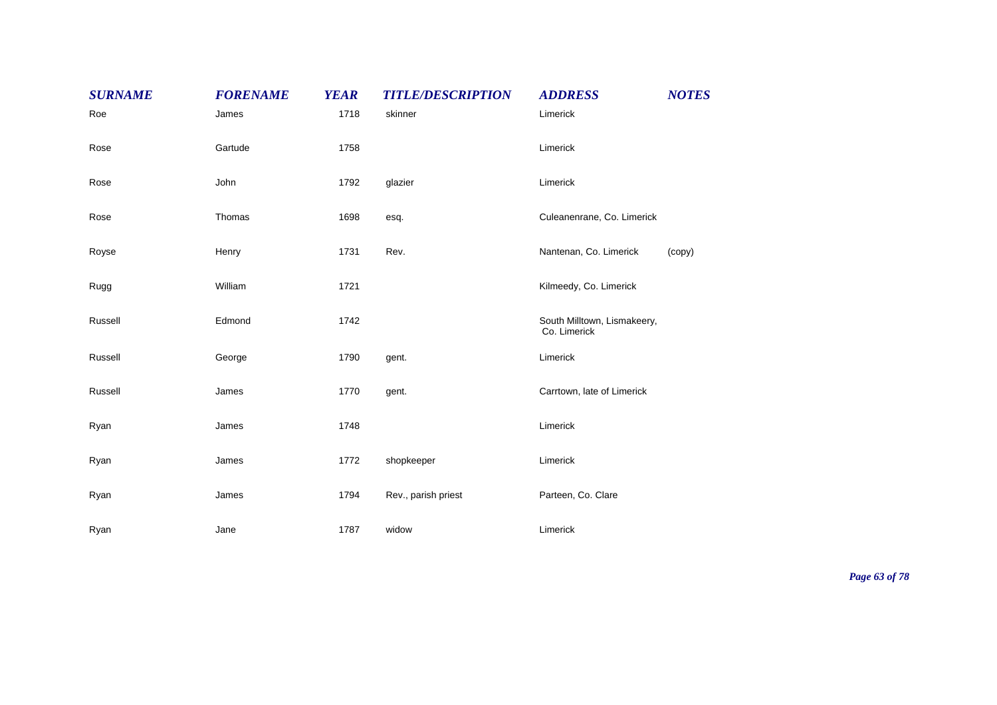| <b>SURNAME</b> | <b>FORENAME</b> | <b>YEAR</b> | <b>TITLE/DESCRIPTION</b> | <b>ADDRESS</b>                              | <b>NOTES</b> |
|----------------|-----------------|-------------|--------------------------|---------------------------------------------|--------------|
| Roe            | James           | 1718        | skinner                  | Limerick                                    |              |
| Rose           | Gartude         | 1758        |                          | Limerick                                    |              |
| Rose           | John            | 1792        | glazier                  | Limerick                                    |              |
| Rose           | Thomas          | 1698        | esq.                     | Culeanenrane, Co. Limerick                  |              |
| Royse          | Henry           | 1731        | Rev.                     | Nantenan, Co. Limerick                      | (copy)       |
| Rugg           | William         | 1721        |                          | Kilmeedy, Co. Limerick                      |              |
| Russell        | Edmond          | 1742        |                          | South Milltown, Lismakeery,<br>Co. Limerick |              |
| Russell        | George          | 1790        | gent.                    | Limerick                                    |              |
| Russell        | James           | 1770        | gent.                    | Carrtown, late of Limerick                  |              |
| Ryan           | James           | 1748        |                          | Limerick                                    |              |
| Ryan           | James           | 1772        | shopkeeper               | Limerick                                    |              |
| Ryan           | James           | 1794        | Rev., parish priest      | Parteen, Co. Clare                          |              |
| Ryan           | Jane            | 1787        | widow                    | Limerick                                    |              |

*Page 63 of 78*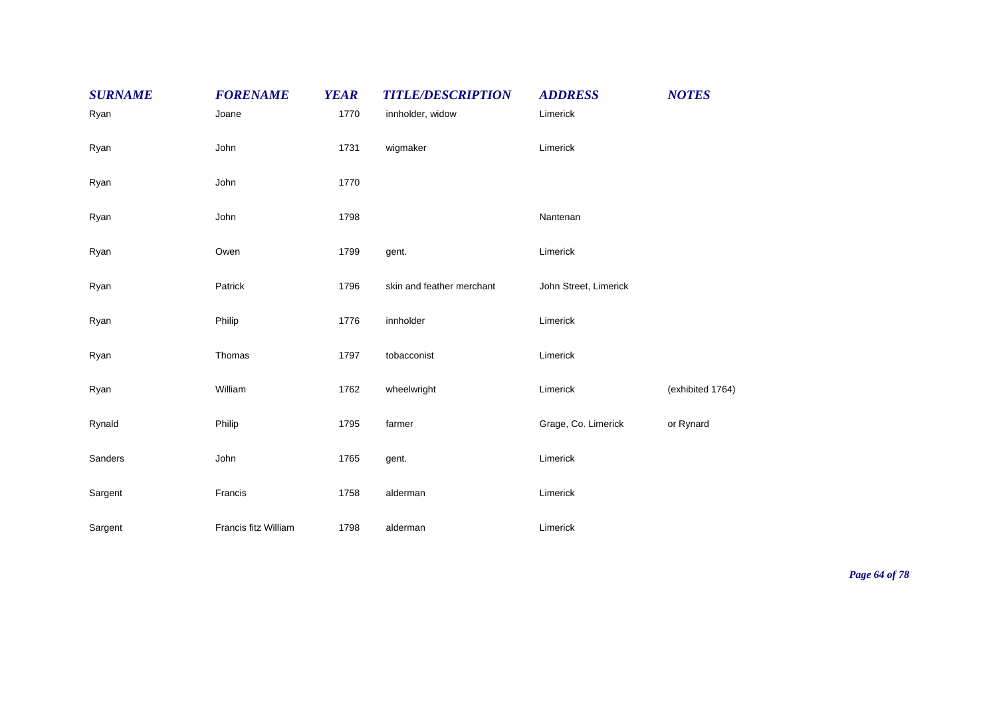| <b>SURNAME</b> | <b>FORENAME</b>      | <b>YEAR</b> | <b>TITLE/DESCRIPTION</b>  | <b>ADDRESS</b>        | <b>NOTES</b>     |
|----------------|----------------------|-------------|---------------------------|-----------------------|------------------|
| Ryan           | Joane                | 1770        | innholder, widow          | Limerick              |                  |
| Ryan           | John                 | 1731        | wigmaker                  | Limerick              |                  |
| Ryan           | John                 | 1770        |                           |                       |                  |
| Ryan           | John                 | 1798        |                           | Nantenan              |                  |
| Ryan           | Owen                 | 1799        | gent.                     | Limerick              |                  |
| Ryan           | Patrick              | 1796        | skin and feather merchant | John Street, Limerick |                  |
| Ryan           | Philip               | 1776        | innholder                 | Limerick              |                  |
| Ryan           | Thomas               | 1797        | tobacconist               | Limerick              |                  |
| Ryan           | William              | 1762        | wheelwright               | Limerick              | (exhibited 1764) |
| Rynald         | Philip               | 1795        | farmer                    | Grage, Co. Limerick   | or Rynard        |
| Sanders        | John                 | 1765        | gent.                     | Limerick              |                  |
| Sargent        | Francis              | 1758        | alderman                  | Limerick              |                  |
| Sargent        | Francis fitz William | 1798        | alderman                  | Limerick              |                  |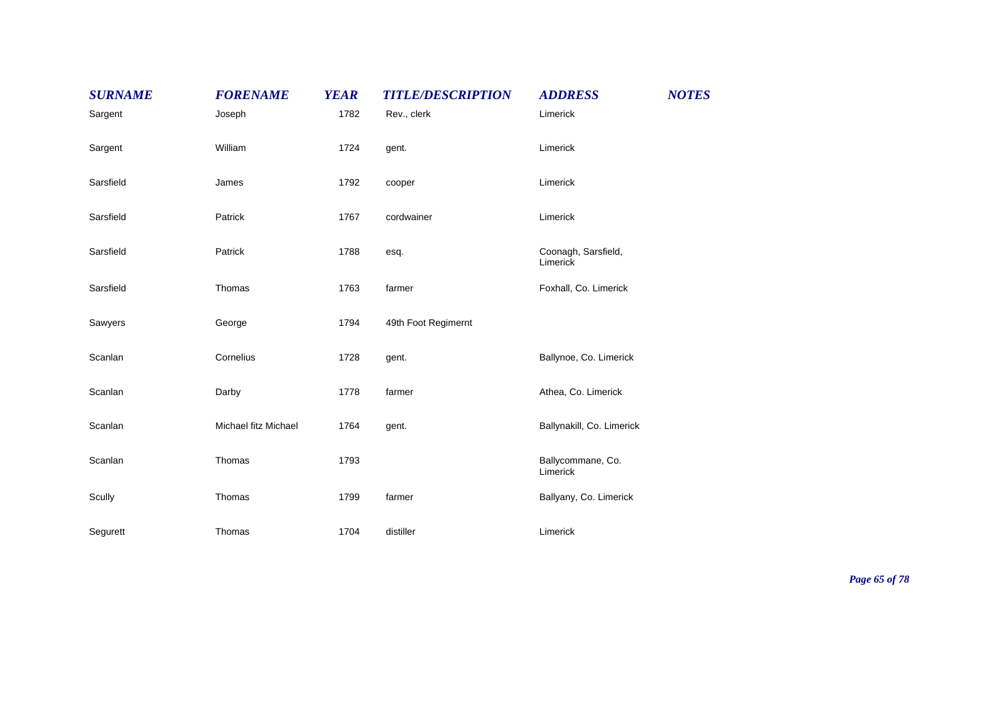| <b>SURNAME</b> | <b>FORENAME</b>      | <b>YEAR</b> | <b>TITLE/DESCRIPTION</b> | <b>ADDRESS</b>                  | <b>NOTES</b> |
|----------------|----------------------|-------------|--------------------------|---------------------------------|--------------|
| Sargent        | Joseph               | 1782        | Rev., clerk              | Limerick                        |              |
| Sargent        | William              | 1724        | gent.                    | Limerick                        |              |
| Sarsfield      | James                | 1792        | cooper                   | Limerick                        |              |
| Sarsfield      | Patrick              | 1767        | cordwainer               | Limerick                        |              |
| Sarsfield      | Patrick              | 1788        | esq.                     | Coonagh, Sarsfield,<br>Limerick |              |
| Sarsfield      | Thomas               | 1763        | farmer                   | Foxhall, Co. Limerick           |              |
| Sawyers        | George               | 1794        | 49th Foot Regimernt      |                                 |              |
| Scanlan        | Cornelius            | 1728        | gent.                    | Ballynoe, Co. Limerick          |              |
| Scanlan        | Darby                | 1778        | farmer                   | Athea, Co. Limerick             |              |
| Scanlan        | Michael fitz Michael | 1764        | gent.                    | Ballynakill, Co. Limerick       |              |
| Scanlan        | Thomas               | 1793        |                          | Ballycommane, Co.<br>Limerick   |              |
| Scully         | Thomas               | 1799        | farmer                   | Ballyany, Co. Limerick          |              |
| Segurett       | Thomas               | 1704        | distiller                | Limerick                        |              |

*Page 65 of 78*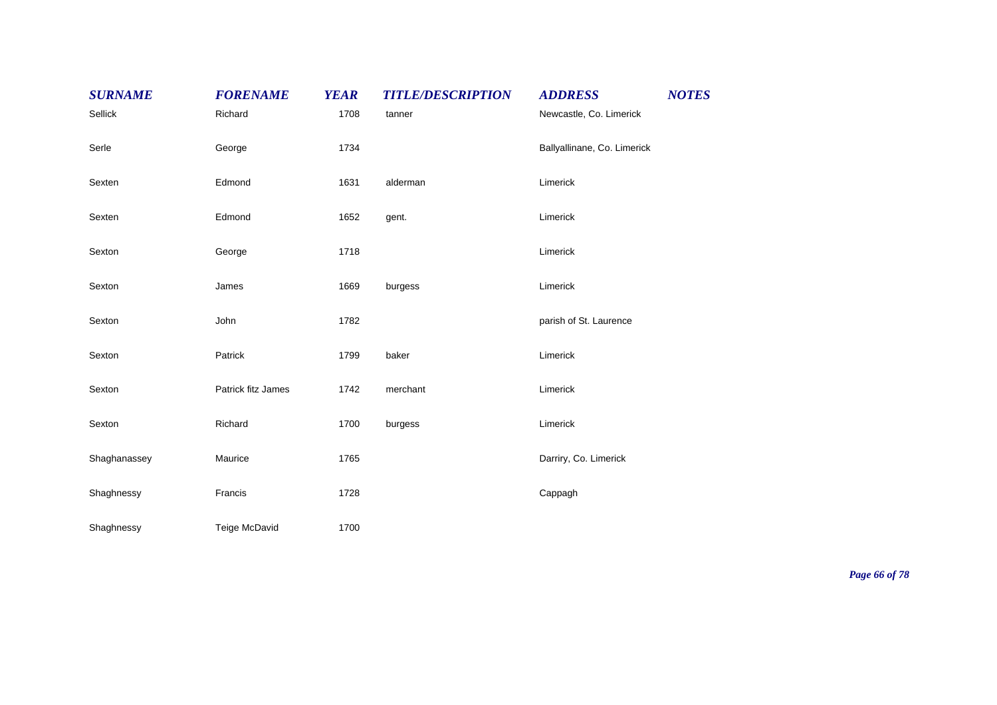| <b>SURNAME</b> | <b>FORENAME</b>    | <b>YEAR</b> | <b>TITLE/DESCRIPTION</b> | <b>ADDRESS</b>              | <b>NOTES</b> |
|----------------|--------------------|-------------|--------------------------|-----------------------------|--------------|
| Sellick        | Richard            | 1708        | tanner                   | Newcastle, Co. Limerick     |              |
| Serle          | George             | 1734        |                          | Ballyallinane, Co. Limerick |              |
| Sexten         | Edmond             | 1631        | alderman                 | Limerick                    |              |
| Sexten         | Edmond             | 1652        | gent.                    | Limerick                    |              |
| Sexton         | George             | 1718        |                          | Limerick                    |              |
| Sexton         | James              | 1669        | burgess                  | Limerick                    |              |
| Sexton         | John               | 1782        |                          | parish of St. Laurence      |              |
| Sexton         | Patrick            | 1799        | baker                    | Limerick                    |              |
| Sexton         | Patrick fitz James | 1742        | merchant                 | Limerick                    |              |
| Sexton         | Richard            | 1700        | burgess                  | Limerick                    |              |
| Shaghanassey   | Maurice            | 1765        |                          | Darriry, Co. Limerick       |              |
| Shaghnessy     | Francis            | 1728        |                          | Cappagh                     |              |
| Shaghnessy     | Teige McDavid      | 1700        |                          |                             |              |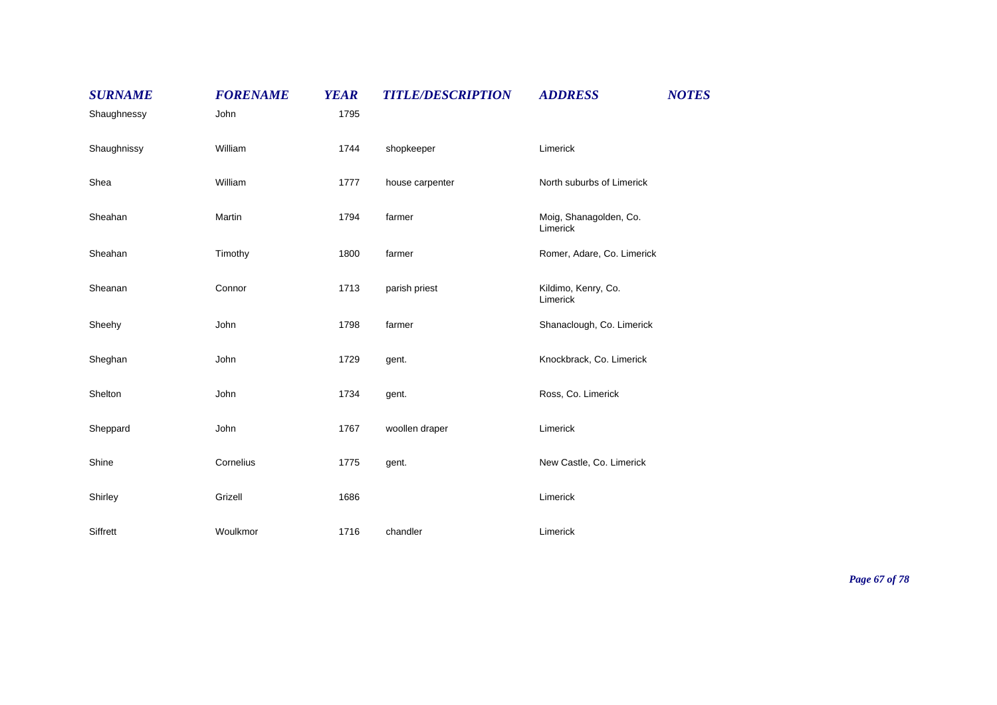| <b>SURNAME</b> | <b>FORENAME</b> | <b>YEAR</b> | <b>TITLE/DESCRIPTION</b> | <b>ADDRESS</b>                     | <b>NOTES</b> |
|----------------|-----------------|-------------|--------------------------|------------------------------------|--------------|
| Shaughnessy    | John            | 1795        |                          |                                    |              |
| Shaughnissy    | William         | 1744        | shopkeeper               | Limerick                           |              |
| Shea           | William         | 1777        | house carpenter          | North suburbs of Limerick          |              |
| Sheahan        | Martin          | 1794        | farmer                   | Moig, Shanagolden, Co.<br>Limerick |              |
| Sheahan        | Timothy         | 1800        | farmer                   | Romer, Adare, Co. Limerick         |              |
| Sheanan        | Connor          | 1713        | parish priest            | Kildimo, Kenry, Co.<br>Limerick    |              |
| Sheehy         | John            | 1798        | farmer                   | Shanaclough, Co. Limerick          |              |
| Sheghan        | John            | 1729        | gent.                    | Knockbrack, Co. Limerick           |              |
| Shelton        | John            | 1734        | gent.                    | Ross, Co. Limerick                 |              |
| Sheppard       | John            | 1767        | woollen draper           | Limerick                           |              |
| Shine          | Cornelius       | 1775        | gent.                    | New Castle, Co. Limerick           |              |
| Shirley        | Grizell         | 1686        |                          | Limerick                           |              |
| Siffrett       | Woulkmor        | 1716        | chandler                 | Limerick                           |              |

*Page 67 of 78*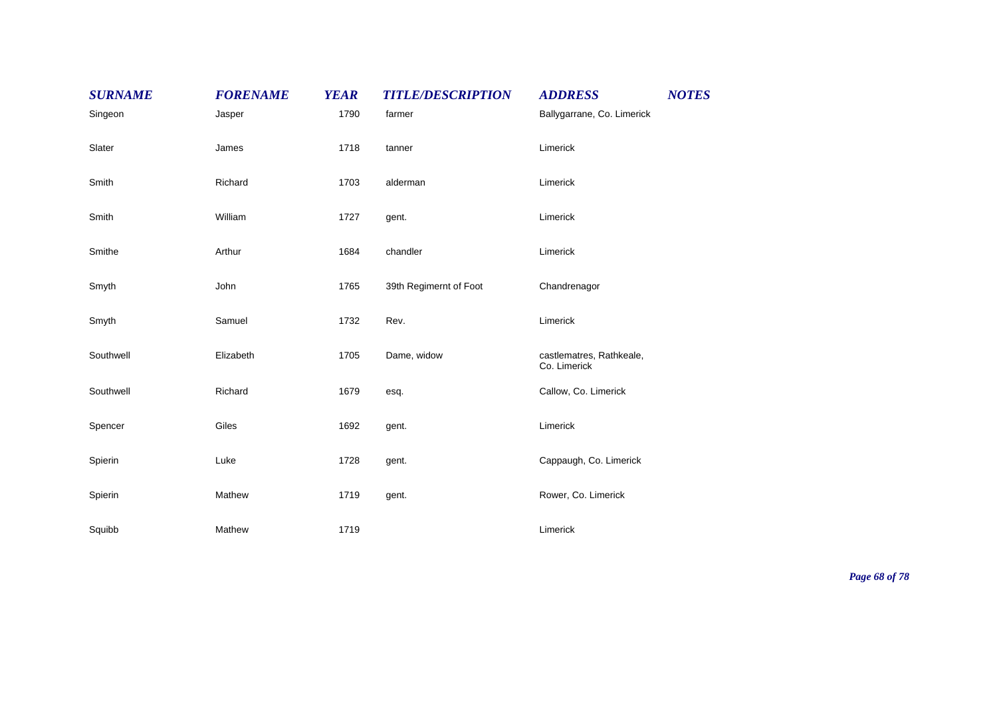| <b>SURNAME</b> | <b>FORENAME</b> | <b>YEAR</b> | <b>TITLE/DESCRIPTION</b> | <b>ADDRESS</b>                           | <b>NOTES</b> |
|----------------|-----------------|-------------|--------------------------|------------------------------------------|--------------|
| Singeon        | Jasper          | 1790        | farmer                   | Ballygarrane, Co. Limerick               |              |
| Slater         | James           | 1718        | tanner                   | Limerick                                 |              |
| Smith          | Richard         | 1703        | alderman                 | Limerick                                 |              |
| Smith          | William         | 1727        | gent.                    | Limerick                                 |              |
| Smithe         | Arthur          | 1684        | chandler                 | Limerick                                 |              |
| Smyth          | John            | 1765        | 39th Regimernt of Foot   | Chandrenagor                             |              |
| Smyth          | Samuel          | 1732        | Rev.                     | Limerick                                 |              |
| Southwell      | Elizabeth       | 1705        | Dame, widow              | castlematres, Rathkeale,<br>Co. Limerick |              |
| Southwell      | Richard         | 1679        | esq.                     | Callow, Co. Limerick                     |              |
| Spencer        | Giles           | 1692        | gent.                    | Limerick                                 |              |
| Spierin        | Luke            | 1728        | gent.                    | Cappaugh, Co. Limerick                   |              |
| Spierin        | Mathew          | 1719        | gent.                    | Rower, Co. Limerick                      |              |
| Squibb         | Mathew          | 1719        |                          | Limerick                                 |              |

*Page 68 of 78*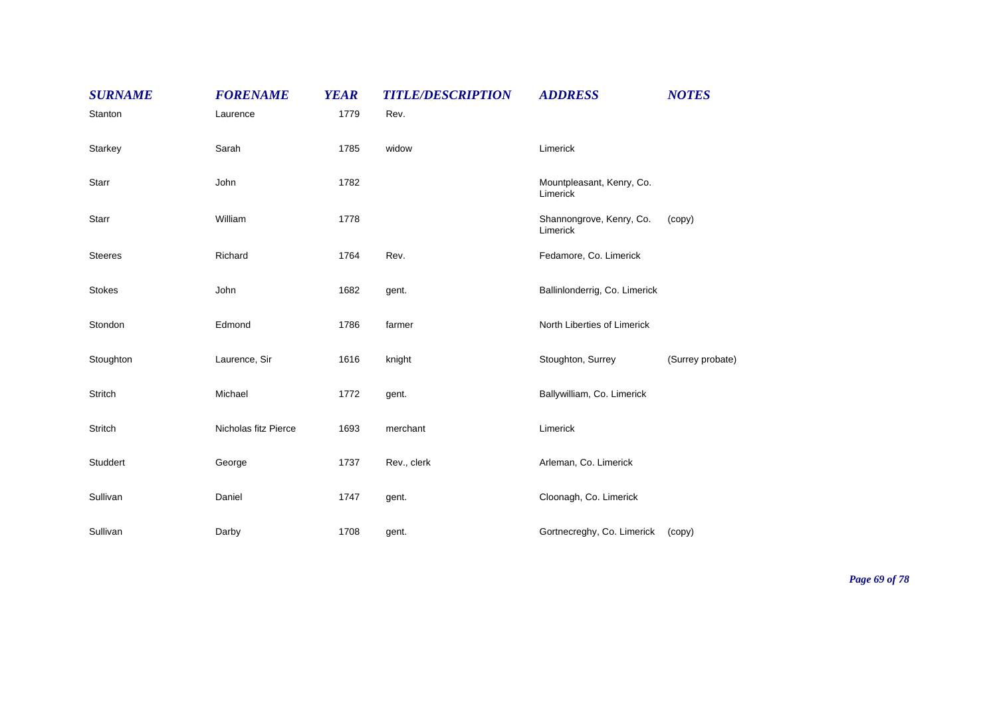| <b>SURNAME</b> | <b>FORENAME</b>      | <b>YEAR</b> | <b>TITLE/DESCRIPTION</b> | <b>ADDRESS</b>                        | <b>NOTES</b>     |
|----------------|----------------------|-------------|--------------------------|---------------------------------------|------------------|
| Stanton        | Laurence             | 1779        | Rev.                     |                                       |                  |
| Starkey        | Sarah                | 1785        | widow                    | Limerick                              |                  |
| Starr          | John                 | 1782        |                          | Mountpleasant, Kenry, Co.<br>Limerick |                  |
| Starr          | William              | 1778        |                          | Shannongrove, Kenry, Co.<br>Limerick  | (copy)           |
| <b>Steeres</b> | Richard              | 1764        | Rev.                     | Fedamore, Co. Limerick                |                  |
| <b>Stokes</b>  | John                 | 1682        | gent.                    | Ballinlonderrig, Co. Limerick         |                  |
| Stondon        | Edmond               | 1786        | farmer                   | North Liberties of Limerick           |                  |
| Stoughton      | Laurence, Sir        | 1616        | knight                   | Stoughton, Surrey                     | (Surrey probate) |
| <b>Stritch</b> | Michael              | 1772        | gent.                    | Ballywilliam, Co. Limerick            |                  |
| Stritch        | Nicholas fitz Pierce | 1693        | merchant                 | Limerick                              |                  |
| Studdert       | George               | 1737        | Rev., clerk              | Arleman, Co. Limerick                 |                  |
| Sullivan       | Daniel               | 1747        | gent.                    | Cloonagh, Co. Limerick                |                  |
| Sullivan       | Darby                | 1708        | gent.                    | Gortnecreghy, Co. Limerick            | (copy)           |

*Page 69 of 78*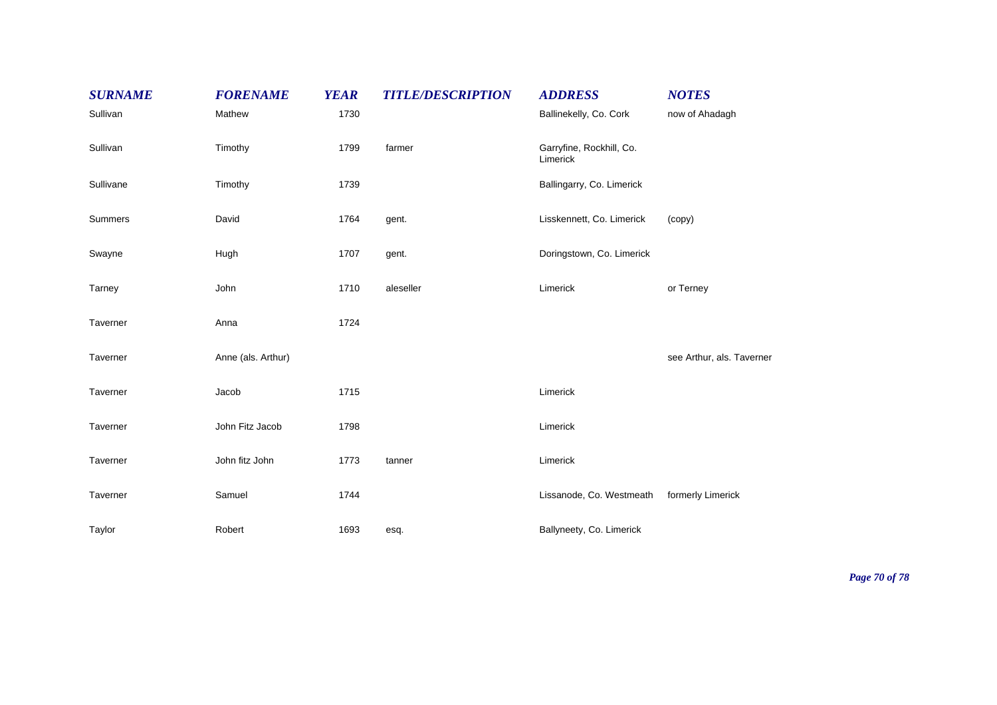| <b>SURNAME</b> | <b>FORENAME</b>    | <b>YEAR</b> | <b>TITLE/DESCRIPTION</b> | <b>ADDRESS</b>                       | <b>NOTES</b>              |
|----------------|--------------------|-------------|--------------------------|--------------------------------------|---------------------------|
| Sullivan       | Mathew             | 1730        |                          | Ballinekelly, Co. Cork               | now of Ahadagh            |
| Sullivan       | Timothy            | 1799        | farmer                   | Garryfine, Rockhill, Co.<br>Limerick |                           |
| Sullivane      | Timothy            | 1739        |                          | Ballingarry, Co. Limerick            |                           |
| Summers        | David              | 1764        | gent.                    | Lisskennett, Co. Limerick            | (copy)                    |
| Swayne         | Hugh               | 1707        | gent.                    | Doringstown, Co. Limerick            |                           |
| Tarney         | John               | 1710        | aleseller                | Limerick                             | or Terney                 |
| Taverner       | Anna               | 1724        |                          |                                      |                           |
| Taverner       | Anne (als. Arthur) |             |                          |                                      | see Arthur, als. Taverner |
| Taverner       | Jacob              | 1715        |                          | Limerick                             |                           |
| Taverner       | John Fitz Jacob    | 1798        |                          | Limerick                             |                           |
| Taverner       | John fitz John     | 1773        | tanner                   | Limerick                             |                           |
| Taverner       | Samuel             | 1744        |                          | Lissanode, Co. Westmeath             | formerly Limerick         |
| Taylor         | Robert             | 1693        | esq.                     | Ballyneety, Co. Limerick             |                           |

*Page 70 of 78*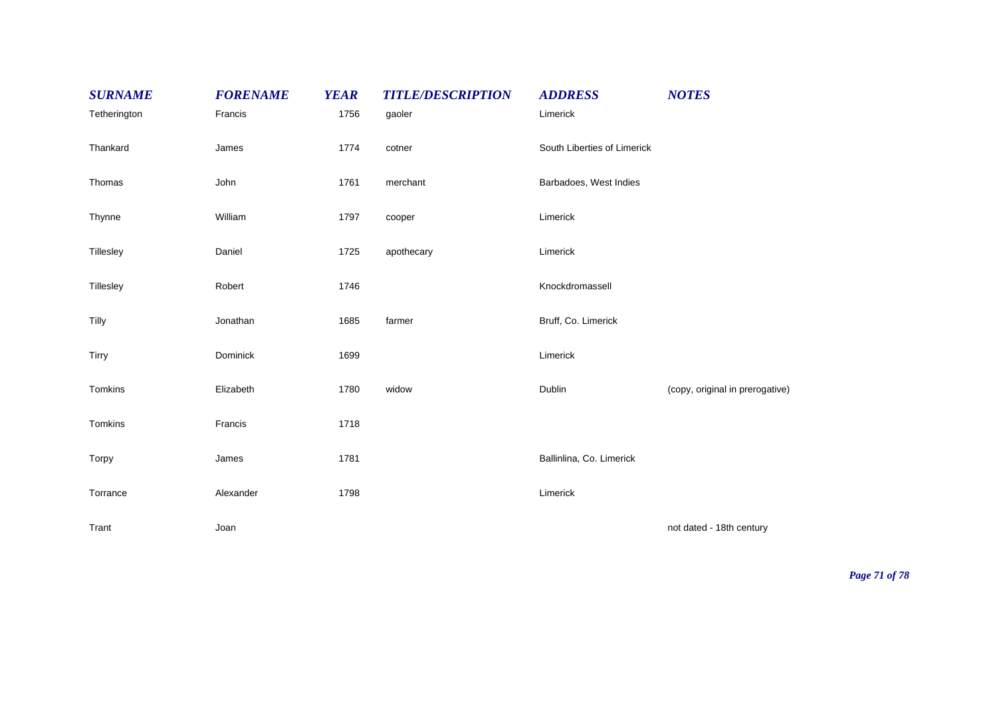| <b>SURNAME</b> | <b>FORENAME</b> | <b>YEAR</b> | <b>TITLE/DESCRIPTION</b> | <b>ADDRESS</b>              | <b>NOTES</b>                    |
|----------------|-----------------|-------------|--------------------------|-----------------------------|---------------------------------|
| Tetherington   | Francis         | 1756        | gaoler                   | Limerick                    |                                 |
| Thankard       | James           | 1774        | cotner                   | South Liberties of Limerick |                                 |
| Thomas         | John            | 1761        | merchant                 | Barbadoes, West Indies      |                                 |
| Thynne         | William         | 1797        | cooper                   | Limerick                    |                                 |
| Tillesley      | Daniel          | 1725        | apothecary               | Limerick                    |                                 |
| Tillesley      | Robert          | 1746        |                          | Knockdromassell             |                                 |
| Tilly          | Jonathan        | 1685        | farmer                   | Bruff, Co. Limerick         |                                 |
| Tirry          | Dominick        | 1699        |                          | Limerick                    |                                 |
| Tomkins        | Elizabeth       | 1780        | widow                    | Dublin                      | (copy, original in prerogative) |
| Tomkins        | Francis         | 1718        |                          |                             |                                 |
| Torpy          | James           | 1781        |                          | Ballinlina, Co. Limerick    |                                 |
| Torrance       | Alexander       | 1798        |                          | Limerick                    |                                 |
| Trant          | Joan            |             |                          |                             | not dated - 18th century        |

*Page 71 of 78*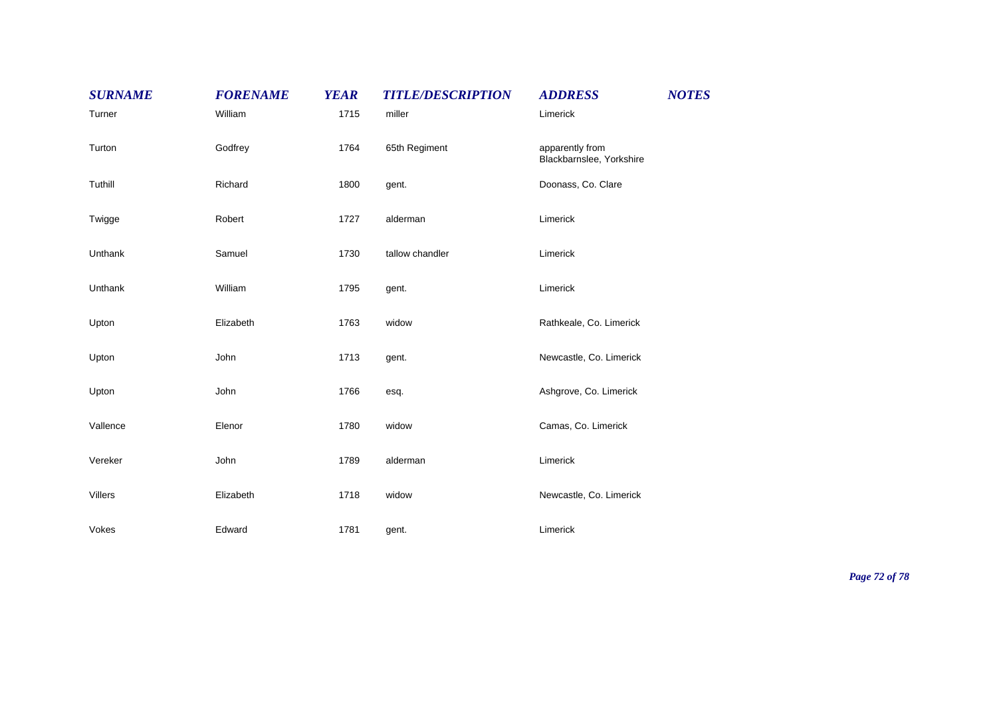| <b>SURNAME</b> | <b>FORENAME</b> | <b>YEAR</b> | <b>TITLE/DESCRIPTION</b> | <b>ADDRESS</b>                              | <b>NOTES</b> |
|----------------|-----------------|-------------|--------------------------|---------------------------------------------|--------------|
| Turner         | William         | 1715        | miller                   | Limerick                                    |              |
| Turton         | Godfrey         | 1764        | 65th Regiment            | apparently from<br>Blackbarnslee, Yorkshire |              |
| Tuthill        | Richard         | 1800        | gent.                    | Doonass, Co. Clare                          |              |
| Twigge         | Robert          | 1727        | alderman                 | Limerick                                    |              |
| Unthank        | Samuel          | 1730        | tallow chandler          | Limerick                                    |              |
| Unthank        | William         | 1795        | gent.                    | Limerick                                    |              |
| Upton          | Elizabeth       | 1763        | widow                    | Rathkeale, Co. Limerick                     |              |
| Upton          | John            | 1713        | gent.                    | Newcastle, Co. Limerick                     |              |
| Upton          | John            | 1766        | esq.                     | Ashgrove, Co. Limerick                      |              |
| Vallence       | Elenor          | 1780        | widow                    | Camas, Co. Limerick                         |              |
| Vereker        | John            | 1789        | alderman                 | Limerick                                    |              |
| Villers        | Elizabeth       | 1718        | widow                    | Newcastle, Co. Limerick                     |              |
| Vokes          | Edward          | 1781        | gent.                    | Limerick                                    |              |

*Page 72 of 78*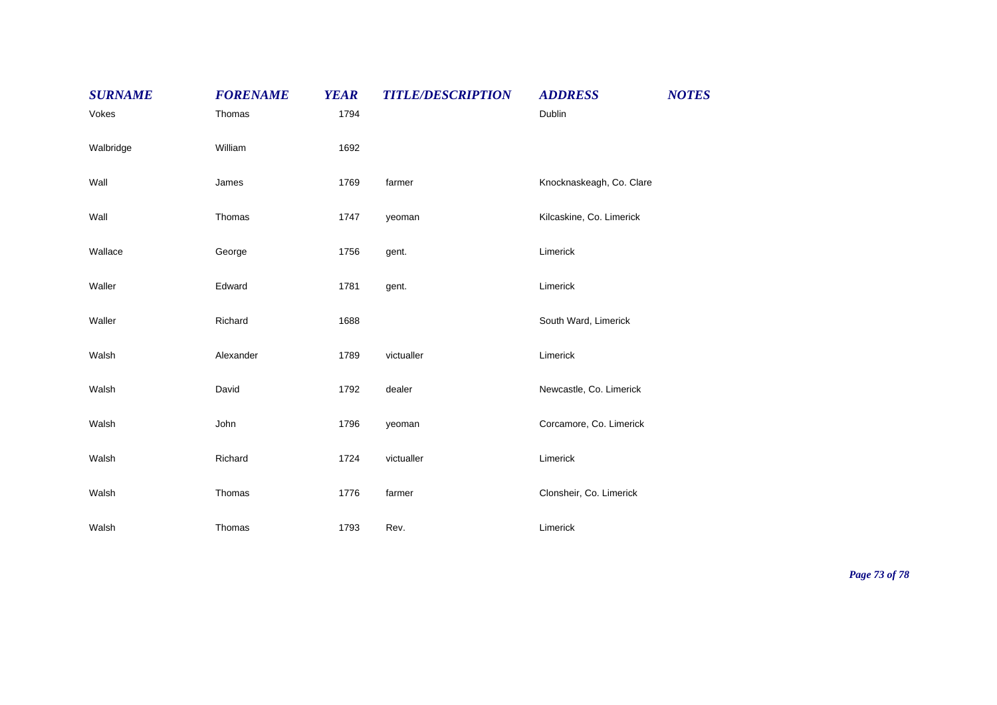| <b>SURNAME</b> | <b>FORENAME</b> | <b>YEAR</b> | <b>TITLE/DESCRIPTION</b> | <b>ADDRESS</b>           | <b>NOTES</b> |
|----------------|-----------------|-------------|--------------------------|--------------------------|--------------|
| Vokes          | Thomas          | 1794        |                          | Dublin                   |              |
| Walbridge      | William         | 1692        |                          |                          |              |
| Wall           | James           | 1769        | farmer                   | Knocknaskeagh, Co. Clare |              |
| Wall           | Thomas          | 1747        | yeoman                   | Kilcaskine, Co. Limerick |              |
| Wallace        | George          | 1756        | gent.                    | Limerick                 |              |
| Waller         | Edward          | 1781        | gent.                    | Limerick                 |              |
| Waller         | Richard         | 1688        |                          | South Ward, Limerick     |              |
| Walsh          | Alexander       | 1789        | victualler               | Limerick                 |              |
| Walsh          | David           | 1792        | dealer                   | Newcastle, Co. Limerick  |              |
| Walsh          | John            | 1796        | yeoman                   | Corcamore, Co. Limerick  |              |
| Walsh          | Richard         | 1724        | victualler               | Limerick                 |              |
| Walsh          | Thomas          | 1776        | farmer                   | Clonsheir, Co. Limerick  |              |
| Walsh          | Thomas          | 1793        | Rev.                     | Limerick                 |              |

*Page 73 of 78*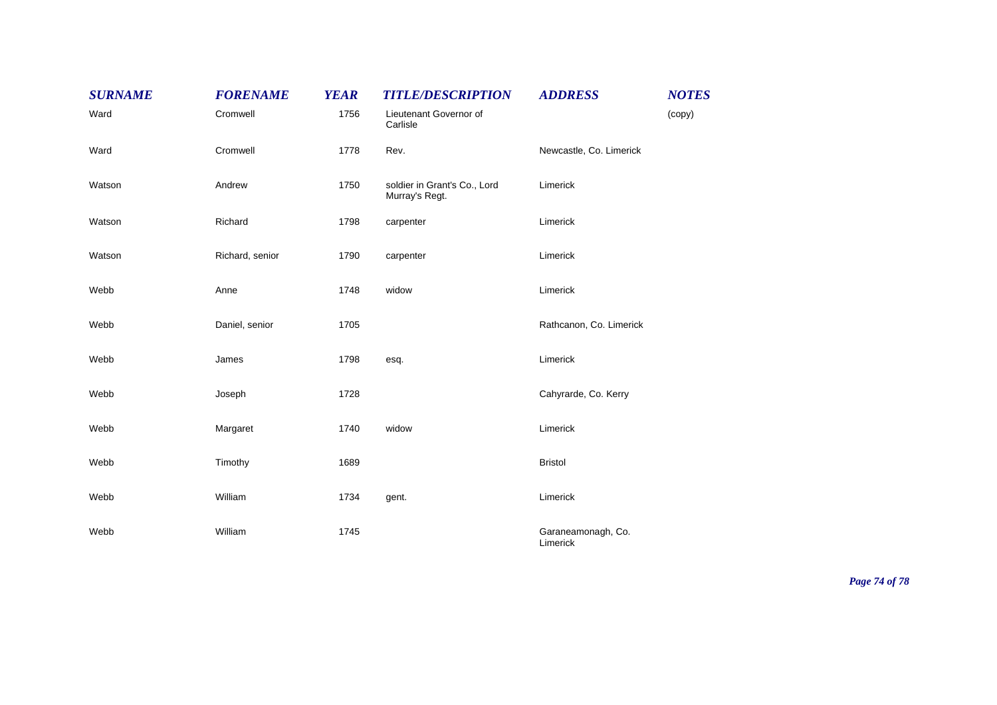| <b>SURNAME</b> | <b>FORENAME</b> | <b>YEAR</b> | <b>TITLE/DESCRIPTION</b>                       | <b>ADDRESS</b>                 | <b>NOTES</b> |
|----------------|-----------------|-------------|------------------------------------------------|--------------------------------|--------------|
| Ward           | Cromwell        | 1756        | Lieutenant Governor of<br>Carlisle             |                                | (copy)       |
| Ward           | Cromwell        | 1778        | Rev.                                           | Newcastle, Co. Limerick        |              |
| Watson         | Andrew          | 1750        | soldier in Grant's Co., Lord<br>Murray's Regt. | Limerick                       |              |
| Watson         | Richard         | 1798        | carpenter                                      | Limerick                       |              |
| Watson         | Richard, senior | 1790        | carpenter                                      | Limerick                       |              |
| Webb           | Anne            | 1748        | widow                                          | Limerick                       |              |
| Webb           | Daniel, senior  | 1705        |                                                | Rathcanon, Co. Limerick        |              |
| Webb           | James           | 1798        | esq.                                           | Limerick                       |              |
| Webb           | Joseph          | 1728        |                                                | Cahyrarde, Co. Kerry           |              |
| Webb           | Margaret        | 1740        | widow                                          | Limerick                       |              |
| Webb           | Timothy         | 1689        |                                                | <b>Bristol</b>                 |              |
| Webb           | William         | 1734        | gent.                                          | Limerick                       |              |
| Webb           | William         | 1745        |                                                | Garaneamonagh, Co.<br>Limerick |              |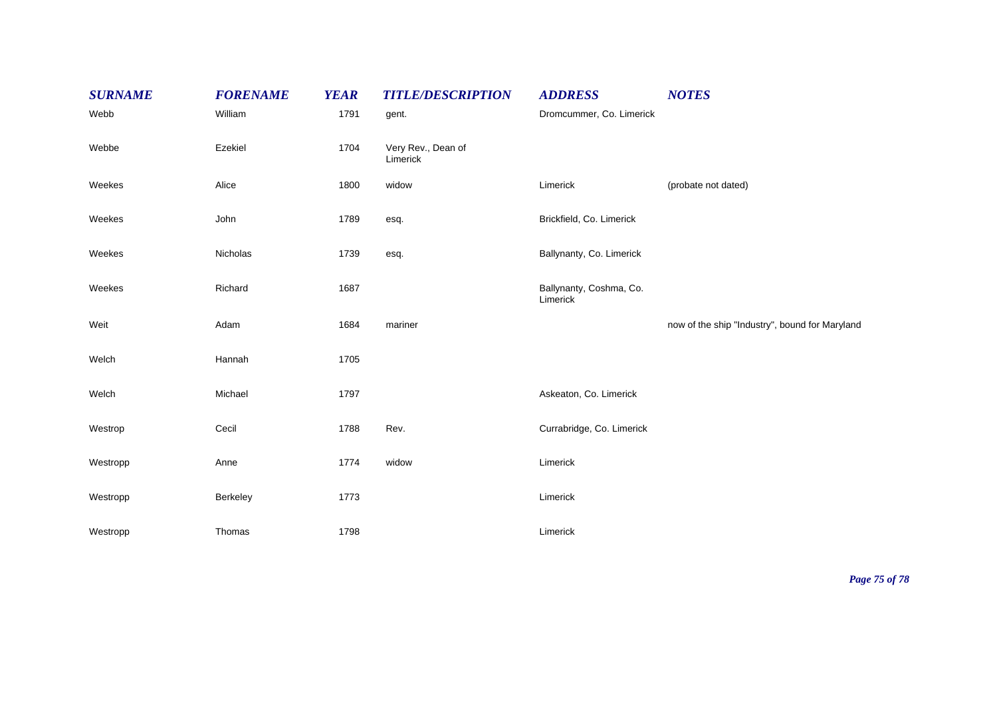| <b>SURNAME</b> | <b>FORENAME</b> | <b>YEAR</b> | <b>TITLE/DESCRIPTION</b>       | <b>ADDRESS</b>                      | <b>NOTES</b>                                   |
|----------------|-----------------|-------------|--------------------------------|-------------------------------------|------------------------------------------------|
| Webb           | William         | 1791        | gent.                          | Dromcummer, Co. Limerick            |                                                |
| Webbe          | Ezekiel         | 1704        | Very Rev., Dean of<br>Limerick |                                     |                                                |
| Weekes         | Alice           | 1800        | widow                          | Limerick                            | (probate not dated)                            |
| Weekes         | John            | 1789        | esq.                           | Brickfield, Co. Limerick            |                                                |
| Weekes         | Nicholas        | 1739        | esq.                           | Ballynanty, Co. Limerick            |                                                |
| Weekes         | Richard         | 1687        |                                | Ballynanty, Coshma, Co.<br>Limerick |                                                |
| Weit           | Adam            | 1684        | mariner                        |                                     | now of the ship "Industry", bound for Maryland |
| Welch          | Hannah          | 1705        |                                |                                     |                                                |
| Welch          | Michael         | 1797        |                                | Askeaton, Co. Limerick              |                                                |
| Westrop        | Cecil           | 1788        | Rev.                           | Currabridge, Co. Limerick           |                                                |
| Westropp       | Anne            | 1774        | widow                          | Limerick                            |                                                |
| Westropp       | Berkeley        | 1773        |                                | Limerick                            |                                                |
| Westropp       | Thomas          | 1798        |                                | Limerick                            |                                                |

*Page 75 of 78*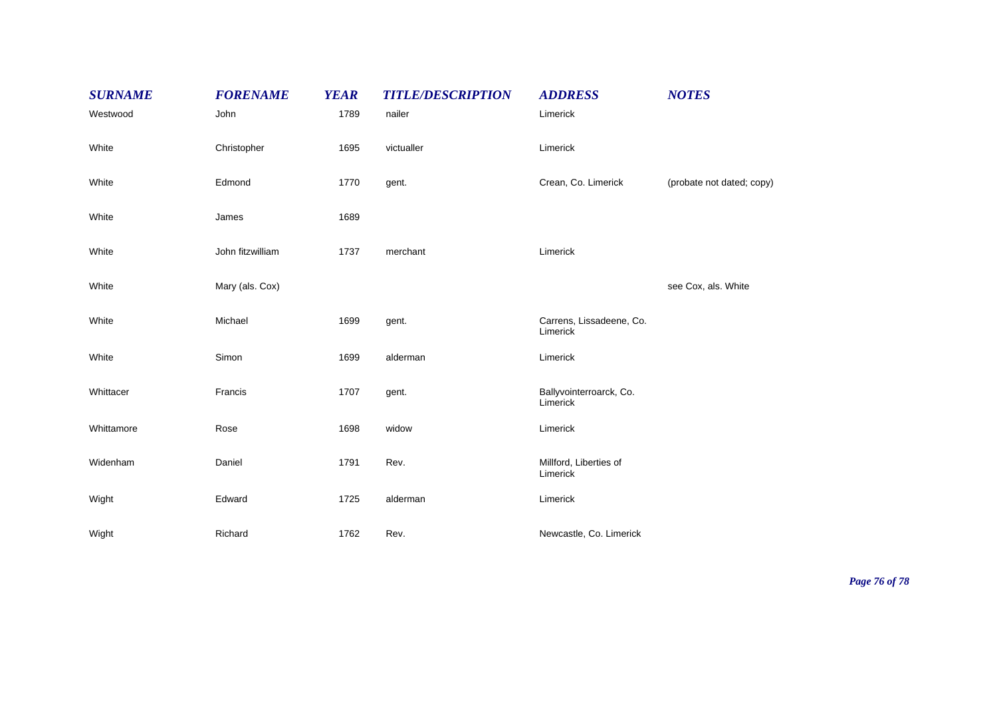| <b>SURNAME</b> | <b>FORENAME</b>  | <b>YEAR</b> | <b>TITLE/DESCRIPTION</b> | <b>ADDRESS</b>                       | <b>NOTES</b>              |
|----------------|------------------|-------------|--------------------------|--------------------------------------|---------------------------|
| Westwood       | John             | 1789        | nailer                   | Limerick                             |                           |
| White          | Christopher      | 1695        | victualler               | Limerick                             |                           |
| White          | Edmond           | 1770        | gent.                    | Crean, Co. Limerick                  | (probate not dated; copy) |
| White          | James            | 1689        |                          |                                      |                           |
| White          | John fitzwilliam | 1737        | merchant                 | Limerick                             |                           |
| White          | Mary (als. Cox)  |             |                          |                                      | see Cox, als. White       |
| White          | Michael          | 1699        | gent.                    | Carrens, Lissadeene, Co.<br>Limerick |                           |
| White          | Simon            | 1699        | alderman                 | Limerick                             |                           |
| Whittacer      | Francis          | 1707        | gent.                    | Ballyvointerroarck, Co.<br>Limerick  |                           |
| Whittamore     | Rose             | 1698        | widow                    | Limerick                             |                           |
| Widenham       | Daniel           | 1791        | Rev.                     | Millford, Liberties of<br>Limerick   |                           |
| Wight          | Edward           | 1725        | alderman                 | Limerick                             |                           |
| Wight          | Richard          | 1762        | Rev.                     | Newcastle, Co. Limerick              |                           |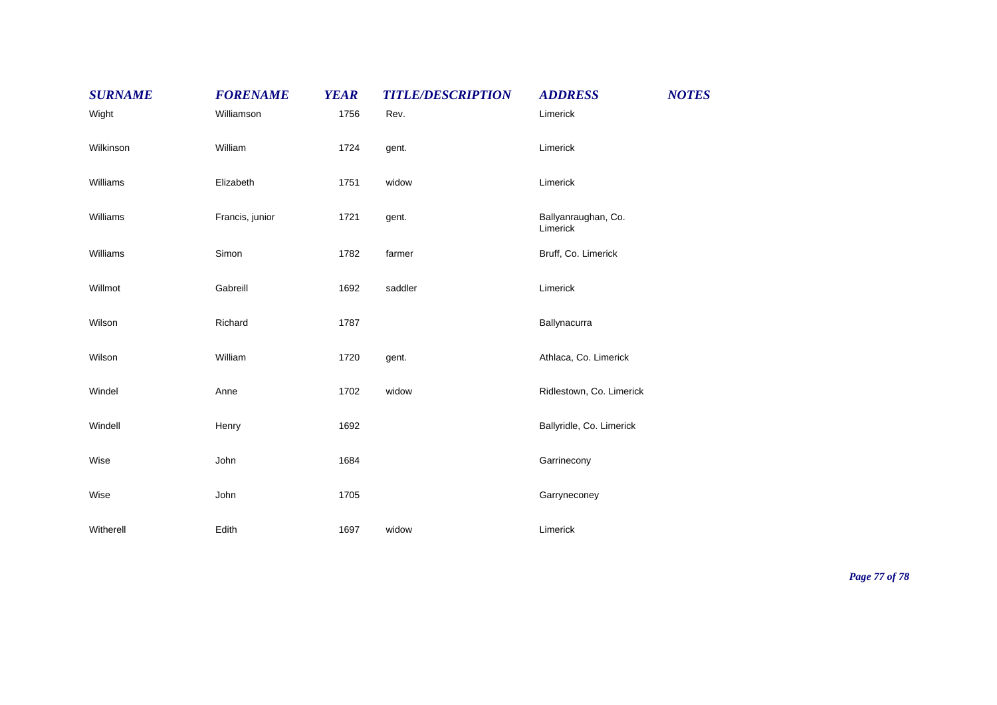| <b>SURNAME</b> | <b>FORENAME</b> | <b>YEAR</b> | <b>TITLE/DESCRIPTION</b> | <b>ADDRESS</b>                  | <b>NOTES</b> |
|----------------|-----------------|-------------|--------------------------|---------------------------------|--------------|
| Wight          | Williamson      | 1756        | Rev.                     | Limerick                        |              |
| Wilkinson      | William         | 1724        | gent.                    | Limerick                        |              |
| Williams       | Elizabeth       | 1751        | widow                    | Limerick                        |              |
| Williams       | Francis, junior | 1721        | gent.                    | Ballyanraughan, Co.<br>Limerick |              |
| Williams       | Simon           | 1782        | farmer                   | Bruff, Co. Limerick             |              |
| Willmot        | Gabreill        | 1692        | saddler                  | Limerick                        |              |
| Wilson         | Richard         | 1787        |                          | Ballynacurra                    |              |
| Wilson         | William         | 1720        | gent.                    | Athlaca, Co. Limerick           |              |
| Windel         | Anne            | 1702        | widow                    | Ridlestown, Co. Limerick        |              |
| Windell        | Henry           | 1692        |                          | Ballyridle, Co. Limerick        |              |
| Wise           | John            | 1684        |                          | Garrinecony                     |              |
| Wise           | John            | 1705        |                          | Garryneconey                    |              |
| Witherell      | Edith           | 1697        | widow                    | Limerick                        |              |

*Page 77 of 78*